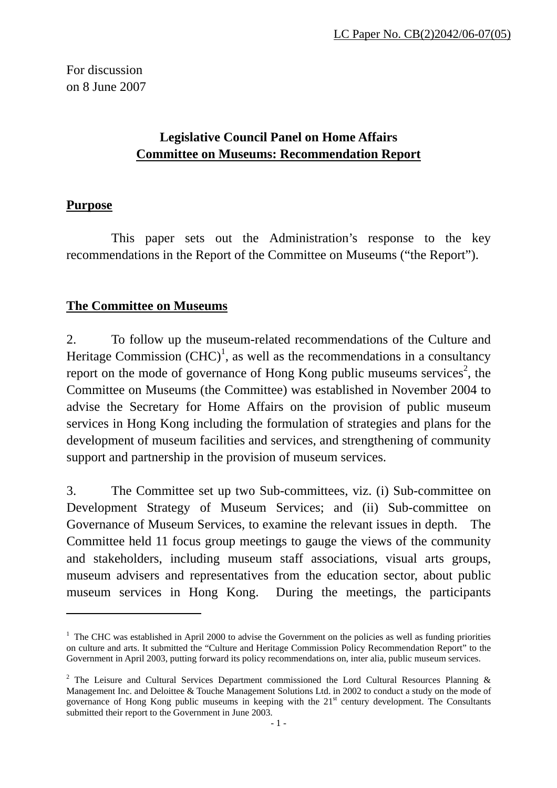For discussion on 8 June 2007

## **Legislative Council Panel on Home Affairs Committee on Museums: Recommendation Report**

## **Purpose**

 $\overline{a}$ 

This paper sets out the Administration's response to the key recommendations in the Report of the Committee on Museums ("the Report").

## **The Committee on Museums**

2. To follow up the museum-related recommendations of the Culture and Heritage Commission  $(CHC)^1$ , as well as the recommendations in a consultancy report on the mode of governance of Hong Kong public museums services<sup>2</sup>, the Committee on Museums (the Committee) was established in November 2004 to advise the Secretary for Home Affairs on the provision of public museum services in Hong Kong including the formulation of strategies and plans for the development of museum facilities and services, and strengthening of community support and partnership in the provision of museum services.

3. The Committee set up two Sub-committees, viz. (i) Sub-committee on Development Strategy of Museum Services; and (ii) Sub-committee on Governance of Museum Services, to examine the relevant issues in depth. The Committee held 11 focus group meetings to gauge the views of the community and stakeholders, including museum staff associations, visual arts groups, museum advisers and representatives from the education sector, about public museum services in Hong Kong. During the meetings, the participants

<sup>&</sup>lt;sup>1</sup> The CHC was established in April 2000 to advise the Government on the policies as well as funding priorities on culture and arts. It submitted the "Culture and Heritage Commission Policy Recommendation Report" to the Government in April 2003, putting forward its policy recommendations on, inter alia, public museum services.

<sup>&</sup>lt;sup>2</sup> The Leisure and Cultural Services Department commissioned the Lord Cultural Resources Planning  $\&$ Management Inc. and Deloittee & Touche Management Solutions Ltd. in 2002 to conduct a study on the mode of governance of Hong Kong public museums in keeping with the 21st century development. The Consultants submitted their report to the Government in June 2003.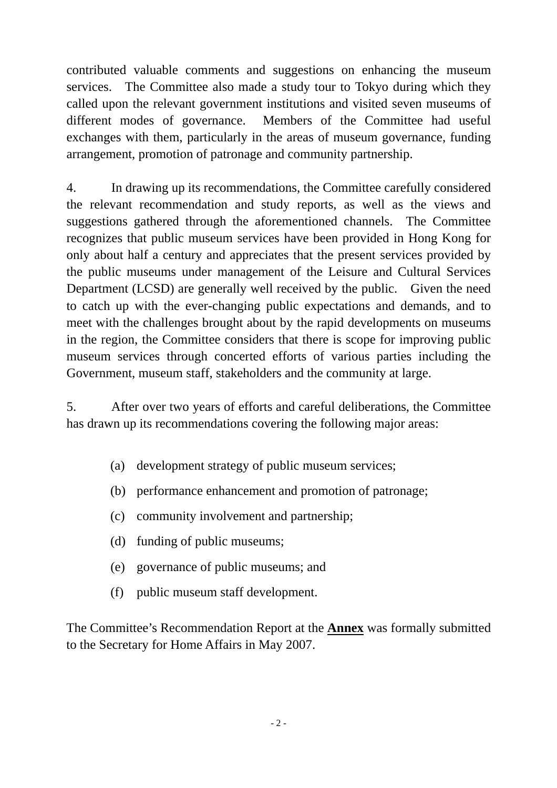contributed valuable comments and suggestions on enhancing the museum services. The Committee also made a study tour to Tokyo during which they called upon the relevant government institutions and visited seven museums of different modes of governance. Members of the Committee had useful exchanges with them, particularly in the areas of museum governance, funding arrangement, promotion of patronage and community partnership.

 4. In drawing up its recommendations, the Committee carefully considered the relevant recommendation and study reports, as well as the views and suggestions gathered through the aforementioned channels. The Committee recognizes that public museum services have been provided in Hong Kong for only about half a century and appreciates that the present services provided by the public museums under management of the Leisure and Cultural Services Department (LCSD) are generally well received by the public. Given the need to catch up with the ever-changing public expectations and demands, and to meet with the challenges brought about by the rapid developments on museums in the region, the Committee considers that there is scope for improving public museum services through concerted efforts of various parties including the Government, museum staff, stakeholders and the community at large.

 5. After over two years of efforts and careful deliberations, the Committee has drawn up its recommendations covering the following major areas:

- (a) development strategy of public museum services;
- (b) performance enhancement and promotion of patronage;
- (c) community involvement and partnership;
- (d) funding of public museums;
- (e) governance of public museums; and
- (f) public museum staff development.

The Committee's Recommendation Report at the **Annex** was formally submitted to the Secretary for Home Affairs in May 2007.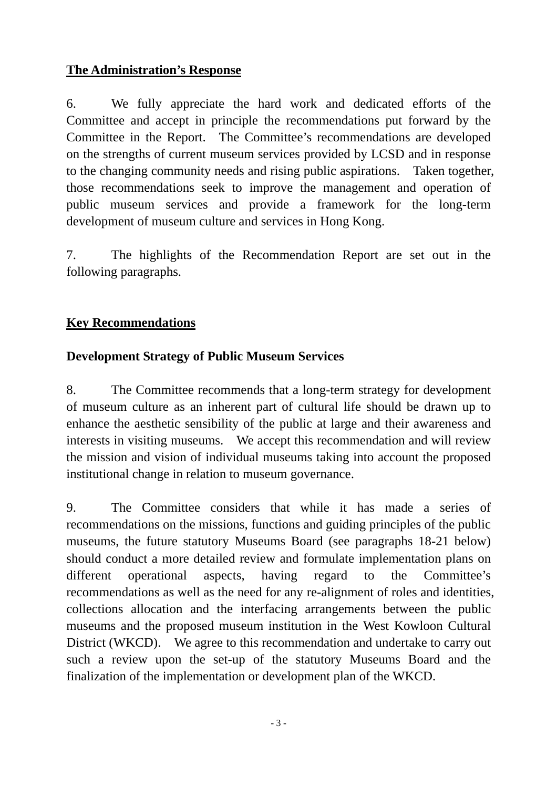## **The Administration's Response**

6. We fully appreciate the hard work and dedicated efforts of the Committee and accept in principle the recommendations put forward by the Committee in the Report. The Committee's recommendations are developed on the strengths of current museum services provided by LCSD and in response to the changing community needs and rising public aspirations. Taken together, those recommendations seek to improve the management and operation of public museum services and provide a framework for the long-term development of museum culture and services in Hong Kong.

7. The highlights of the Recommendation Report are set out in the following paragraphs.

## **Key Recommendations**

## **Development Strategy of Public Museum Services**

8. The Committee recommends that a long-term strategy for development of museum culture as an inherent part of cultural life should be drawn up to enhance the aesthetic sensibility of the public at large and their awareness and interests in visiting museums. We accept this recommendation and will review the mission and vision of individual museums taking into account the proposed institutional change in relation to museum governance.

9. The Committee considers that while it has made a series of recommendations on the missions, functions and guiding principles of the public museums, the future statutory Museums Board (see paragraphs 18-21 below) should conduct a more detailed review and formulate implementation plans on different operational aspects, having regard to the Committee's recommendations as well as the need for any re-alignment of roles and identities, collections allocation and the interfacing arrangements between the public museums and the proposed museum institution in the West Kowloon Cultural District (WKCD). We agree to this recommendation and undertake to carry out such a review upon the set-up of the statutory Museums Board and the finalization of the implementation or development plan of the WKCD.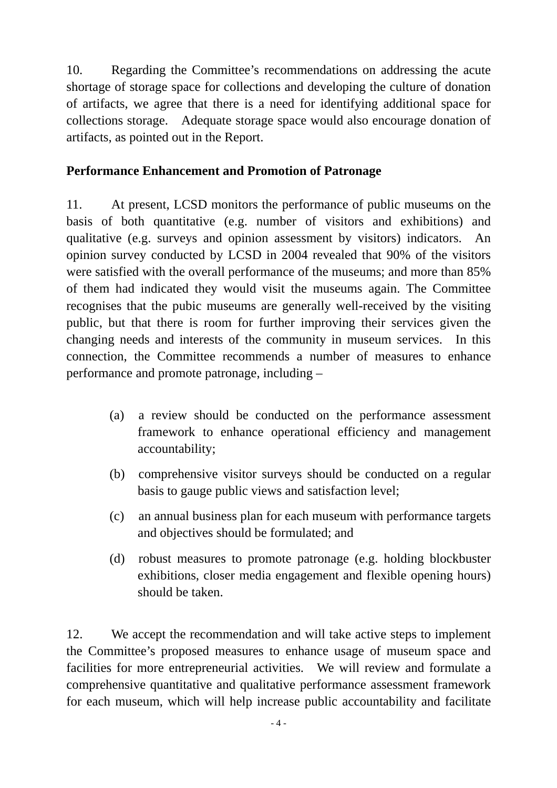10. Regarding the Committee's recommendations on addressing the acute shortage of storage space for collections and developing the culture of donation of artifacts, we agree that there is a need for identifying additional space for collections storage. Adequate storage space would also encourage donation of artifacts, as pointed out in the Report.

## **Performance Enhancement and Promotion of Patronage**

11. At present, LCSD monitors the performance of public museums on the basis of both quantitative (e.g. number of visitors and exhibitions) and qualitative (e.g. surveys and opinion assessment by visitors) indicators. An opinion survey conducted by LCSD in 2004 revealed that 90% of the visitors were satisfied with the overall performance of the museums; and more than 85% of them had indicated they would visit the museums again. The Committee recognises that the pubic museums are generally well-received by the visiting public, but that there is room for further improving their services given the changing needs and interests of the community in museum services. In this connection, the Committee recommends a number of measures to enhance performance and promote patronage, including –

- (a) a review should be conducted on the performance assessment framework to enhance operational efficiency and management accountability;
- (b) comprehensive visitor surveys should be conducted on a regular basis to gauge public views and satisfaction level;
- (c) an annual business plan for each museum with performance targets and objectives should be formulated; and
- (d) robust measures to promote patronage (e.g. holding blockbuster exhibitions, closer media engagement and flexible opening hours) should be taken.

12. We accept the recommendation and will take active steps to implement the Committee's proposed measures to enhance usage of museum space and facilities for more entrepreneurial activities. We will review and formulate a comprehensive quantitative and qualitative performance assessment framework for each museum, which will help increase public accountability and facilitate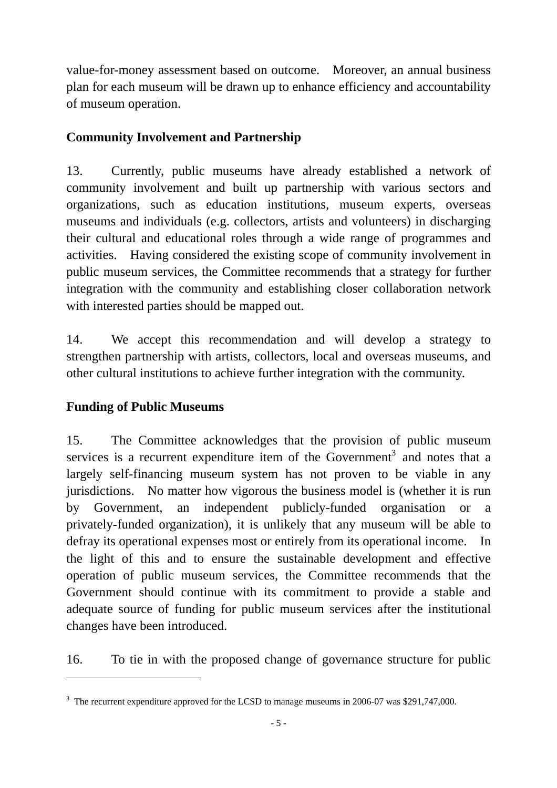value-for-money assessment based on outcome. Moreover, an annual business plan for each museum will be drawn up to enhance efficiency and accountability of museum operation.

## **Community Involvement and Partnership**

13. Currently, public museums have already established a network of community involvement and built up partnership with various sectors and organizations, such as education institutions, museum experts, overseas museums and individuals (e.g. collectors, artists and volunteers) in discharging their cultural and educational roles through a wide range of programmes and activities. Having considered the existing scope of community involvement in public museum services, the Committee recommends that a strategy for further integration with the community and establishing closer collaboration network with interested parties should be mapped out.

14. We accept this recommendation and will develop a strategy to strengthen partnership with artists, collectors, local and overseas museums, and other cultural institutions to achieve further integration with the community.

## **Funding of Public Museums**

 $\overline{a}$ 

15. The Committee acknowledges that the provision of public museum services is a recurrent expenditure item of the Government<sup>3</sup> and notes that a largely self-financing museum system has not proven to be viable in any jurisdictions. No matter how vigorous the business model is (whether it is run by Government, an independent publicly-funded organisation or a privately-funded organization), it is unlikely that any museum will be able to defray its operational expenses most or entirely from its operational income. In the light of this and to ensure the sustainable development and effective operation of public museum services, the Committee recommends that the Government should continue with its commitment to provide a stable and adequate source of funding for public museum services after the institutional changes have been introduced.

16. To tie in with the proposed change of governance structure for public

<sup>&</sup>lt;sup>3</sup> The recurrent expenditure approved for the LCSD to manage museums in 2006-07 was \$291,747,000.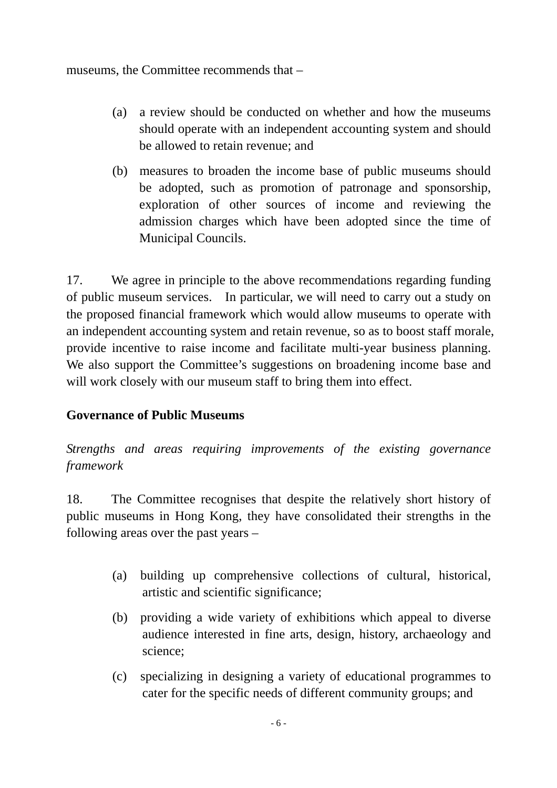museums, the Committee recommends that –

- (a) a review should be conducted on whether and how the museums should operate with an independent accounting system and should be allowed to retain revenue; and
- (b) measures to broaden the income base of public museums should be adopted, such as promotion of patronage and sponsorship, exploration of other sources of income and reviewing the admission charges which have been adopted since the time of Municipal Councils.

17. We agree in principle to the above recommendations regarding funding of public museum services. In particular, we will need to carry out a study on the proposed financial framework which would allow museums to operate with an independent accounting system and retain revenue, so as to boost staff morale, provide incentive to raise income and facilitate multi-year business planning. We also support the Committee's suggestions on broadening income base and will work closely with our museum staff to bring them into effect.

## **Governance of Public Museums**

*Strengths and areas requiring improvements of the existing governance framework* 

18. The Committee recognises that despite the relatively short history of public museums in Hong Kong, they have consolidated their strengths in the following areas over the past years –

- (a) building up comprehensive collections of cultural, historical, artistic and scientific significance;
- (b) providing a wide variety of exhibitions which appeal to diverse audience interested in fine arts, design, history, archaeology and science;
- (c) specializing in designing a variety of educational programmes to cater for the specific needs of different community groups; and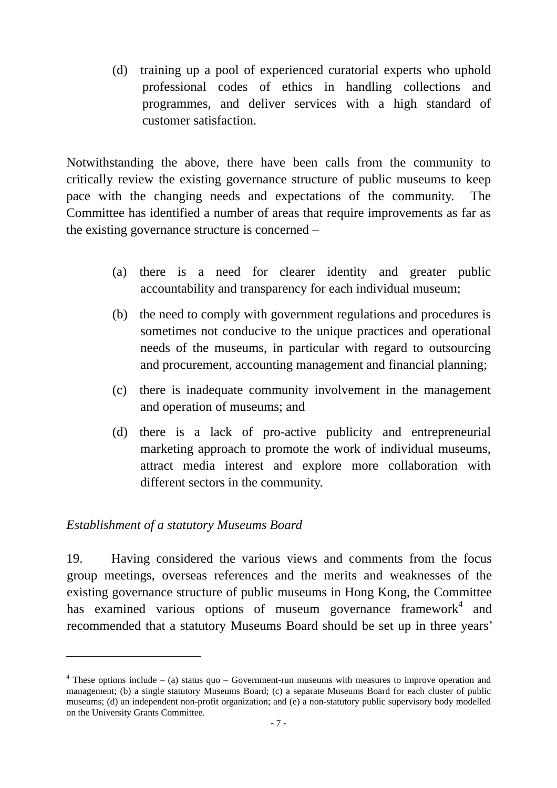(d) training up a pool of experienced curatorial experts who uphold professional codes of ethics in handling collections and programmes, and deliver services with a high standard of customer satisfaction.

Notwithstanding the above, there have been calls from the community to critically review the existing governance structure of public museums to keep pace with the changing needs and expectations of the community. The Committee has identified a number of areas that require improvements as far as the existing governance structure is concerned –

- (a) there is a need for clearer identity and greater public accountability and transparency for each individual museum;
- (b) the need to comply with government regulations and procedures is sometimes not conducive to the unique practices and operational needs of the museums, in particular with regard to outsourcing and procurement, accounting management and financial planning;
- (c) there is inadequate community involvement in the management and operation of museums; and
- (d) there is a lack of pro-active publicity and entrepreneurial marketing approach to promote the work of individual museums, attract media interest and explore more collaboration with different sectors in the community.

## *Establishment of a statutory Museums Board*

 $\overline{a}$ 

19. Having considered the various views and comments from the focus group meetings, overseas references and the merits and weaknesses of the existing governance structure of public museums in Hong Kong, the Committee has examined various options of museum governance framework<sup>4</sup> and recommended that a statutory Museums Board should be set up in three years'

 $4$  These options include – (a) status quo – Government-run museums with measures to improve operation and management; (b) a single statutory Museums Board; (c) a separate Museums Board for each cluster of public museums; (d) an independent non-profit organization; and (e) a non-statutory public supervisory body modelled on the University Grants Committee.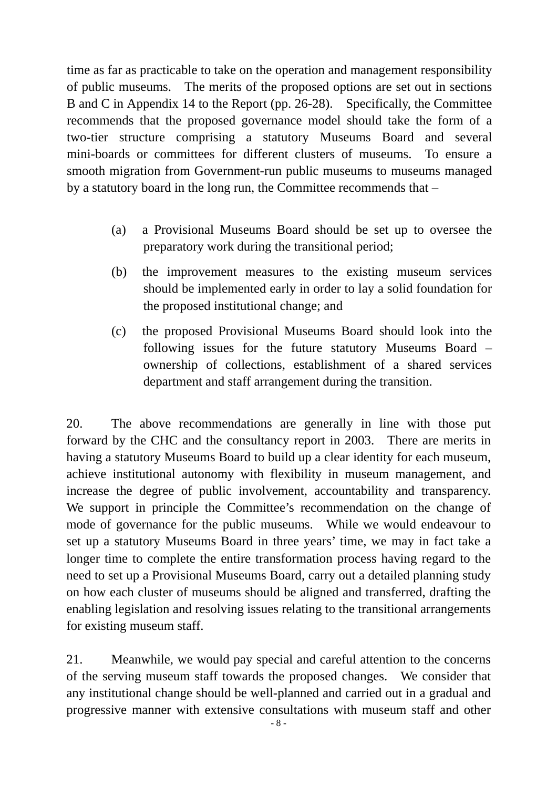time as far as practicable to take on the operation and management responsibility of public museums. The merits of the proposed options are set out in sections B and C in Appendix 14 to the Report (pp. 26-28). Specifically, the Committee recommends that the proposed governance model should take the form of a two-tier structure comprising a statutory Museums Board and several mini-boards or committees for different clusters of museums. To ensure a smooth migration from Government-run public museums to museums managed by a statutory board in the long run, the Committee recommends that –

- (a) a Provisional Museums Board should be set up to oversee the preparatory work during the transitional period;
- (b) the improvement measures to the existing museum services should be implemented early in order to lay a solid foundation for the proposed institutional change; and
- (c) the proposed Provisional Museums Board should look into the following issues for the future statutory Museums Board – ownership of collections, establishment of a shared services department and staff arrangement during the transition.

20. The above recommendations are generally in line with those put forward by the CHC and the consultancy report in 2003. There are merits in having a statutory Museums Board to build up a clear identity for each museum, achieve institutional autonomy with flexibility in museum management, and increase the degree of public involvement, accountability and transparency. We support in principle the Committee's recommendation on the change of mode of governance for the public museums. While we would endeavour to set up a statutory Museums Board in three years' time, we may in fact take a longer time to complete the entire transformation process having regard to the need to set up a Provisional Museums Board, carry out a detailed planning study on how each cluster of museums should be aligned and transferred, drafting the enabling legislation and resolving issues relating to the transitional arrangements for existing museum staff.

21. Meanwhile, we would pay special and careful attention to the concerns of the serving museum staff towards the proposed changes. We consider that any institutional change should be well-planned and carried out in a gradual and progressive manner with extensive consultations with museum staff and other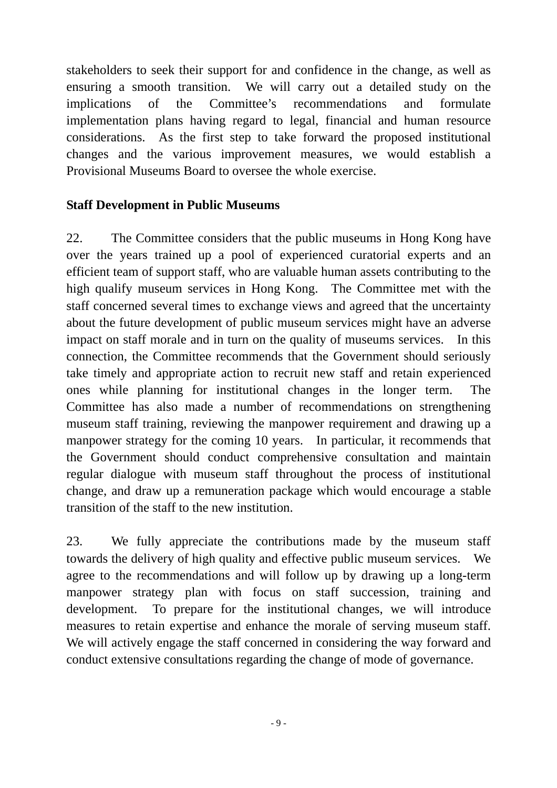stakeholders to seek their support for and confidence in the change, as well as ensuring a smooth transition. We will carry out a detailed study on the implications of the Committee's recommendations and formulate implementation plans having regard to legal, financial and human resource considerations. As the first step to take forward the proposed institutional changes and the various improvement measures, we would establish a Provisional Museums Board to oversee the whole exercise.

## **Staff Development in Public Museums**

22. The Committee considers that the public museums in Hong Kong have over the years trained up a pool of experienced curatorial experts and an efficient team of support staff, who are valuable human assets contributing to the high qualify museum services in Hong Kong. The Committee met with the staff concerned several times to exchange views and agreed that the uncertainty about the future development of public museum services might have an adverse impact on staff morale and in turn on the quality of museums services. In this connection, the Committee recommends that the Government should seriously take timely and appropriate action to recruit new staff and retain experienced ones while planning for institutional changes in the longer term. The Committee has also made a number of recommendations on strengthening museum staff training, reviewing the manpower requirement and drawing up a manpower strategy for the coming 10 years. In particular, it recommends that the Government should conduct comprehensive consultation and maintain regular dialogue with museum staff throughout the process of institutional change, and draw up a remuneration package which would encourage a stable transition of the staff to the new institution.

23. We fully appreciate the contributions made by the museum staff towards the delivery of high quality and effective public museum services. We agree to the recommendations and will follow up by drawing up a long-term manpower strategy plan with focus on staff succession, training and development. To prepare for the institutional changes, we will introduce measures to retain expertise and enhance the morale of serving museum staff. We will actively engage the staff concerned in considering the way forward and conduct extensive consultations regarding the change of mode of governance.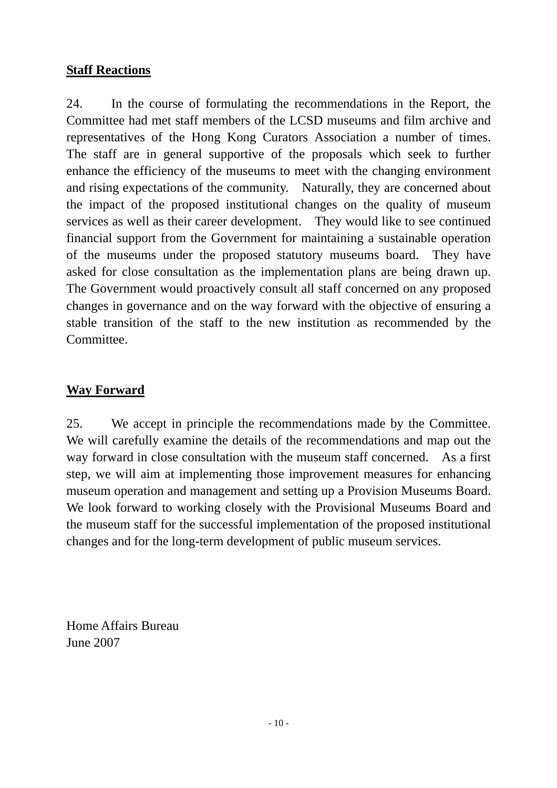## **Staff Reactions**

24. In the course of formulating the recommendations in the Report, the Committee had met staff members of the LCSD museums and film archive and representatives of the Hong Kong Curators Association a number of times. The staff are in general supportive of the proposals which seek to further enhance the efficiency of the museums to meet with the changing environment and rising expectations of the community. Naturally, they are concerned about the impact of the proposed institutional changes on the quality of museum services as well as their career development. They would like to see continued financial support from the Government for maintaining a sustainable operation of the museums under the proposed statutory museums board. They have asked for close consultation as the implementation plans are being drawn up. The Government would proactively consult all staff concerned on any proposed changes in governance and on the way forward with the objective of ensuring a stable transition of the staff to the new institution as recommended by the Committee.

## **Way Forward**

25. We accept in principle the recommendations made by the Committee. We will carefully examine the details of the recommendations and map out the way forward in close consultation with the museum staff concerned. As a first step, we will aim at implementing those improvement measures for enhancing museum operation and management and setting up a Provision Museums Board. We look forward to working closely with the Provisional Museums Board and the museum staff for the successful implementation of the proposed institutional changes and for the long-term development of public museum services.

Home Affairs Bureau June 2007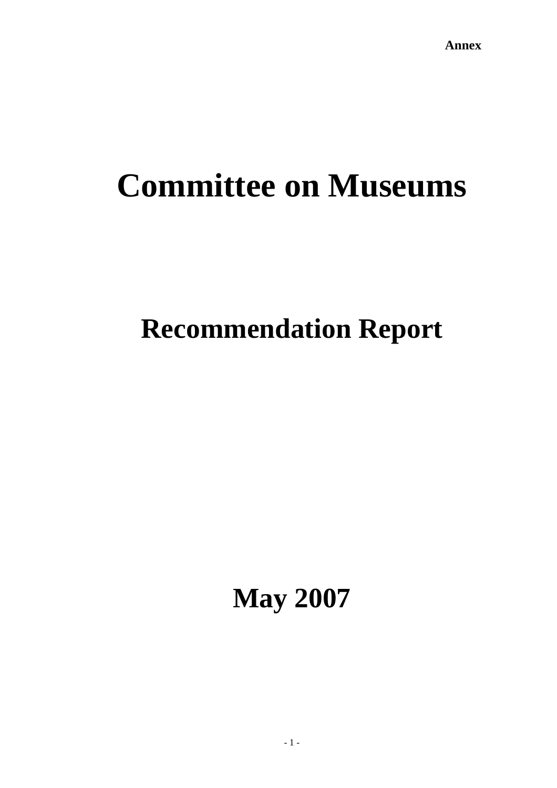# **Committee on Museums**

## **Recommendation Report**

**May 2007**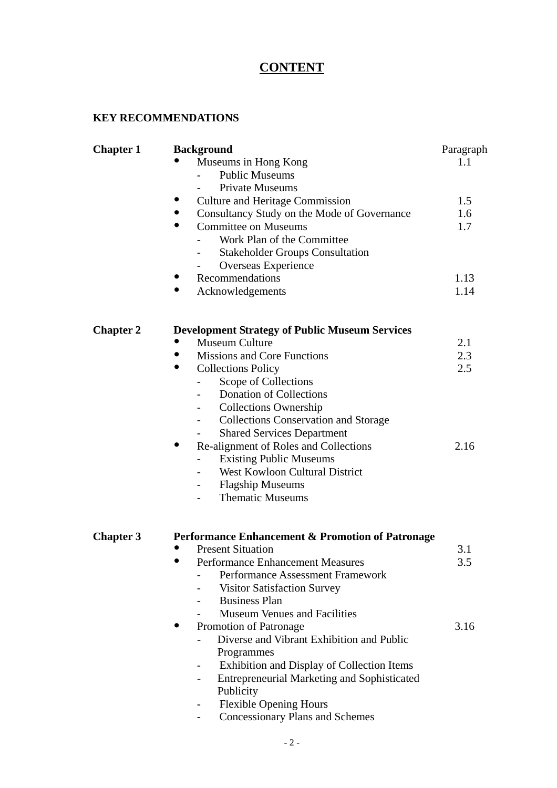## **CONTENT**

#### **KEY RECOMMENDATIONS**

| <b>Chapter 1</b> | <b>Background</b>                                           | Paragraph |
|------------------|-------------------------------------------------------------|-----------|
|                  | Museums in Hong Kong                                        | 1.1       |
|                  | <b>Public Museums</b>                                       |           |
|                  | <b>Private Museums</b>                                      |           |
|                  | <b>Culture and Heritage Commission</b>                      | 1.5       |
|                  | Consultancy Study on the Mode of Governance                 | 1.6       |
|                  | <b>Committee on Museums</b><br>$\bullet$                    | 1.7       |
|                  | Work Plan of the Committee                                  |           |
|                  | <b>Stakeholder Groups Consultation</b>                      |           |
|                  | Overseas Experience                                         |           |
|                  | Recommendations                                             | 1.13      |
|                  | Acknowledgements                                            | 1.14      |
| <b>Chapter 2</b> | <b>Development Strategy of Public Museum Services</b>       |           |
|                  | Museum Culture<br>$\bullet$                                 | 2.1       |
|                  | <b>Missions and Core Functions</b>                          | 2.3       |
|                  | <b>Collections Policy</b>                                   | 2.5       |
|                  | Scope of Collections                                        |           |
|                  | <b>Donation of Collections</b>                              |           |
|                  | <b>Collections Ownership</b>                                |           |
|                  | <b>Collections Conservation and Storage</b>                 |           |
|                  | <b>Shared Services Department</b>                           |           |
|                  | Re-alignment of Roles and Collections                       | 2.16      |
|                  | <b>Existing Public Museums</b>                              |           |
|                  | <b>West Kowloon Cultural District</b>                       |           |
|                  | <b>Flagship Museums</b><br>$\qquad \qquad \blacksquare$     |           |
|                  | <b>Thematic Museums</b>                                     |           |
| <b>Chapter 3</b> | <b>Performance Enhancement &amp; Promotion of Patronage</b> |           |
|                  | <b>Present Situation</b>                                    | 3.1       |
|                  | <b>Performance Enhancement Measures</b>                     | 3.5       |
|                  | <b>Performance Assessment Framework</b>                     |           |
|                  | <b>Visitor Satisfaction Survey</b>                          |           |
|                  | <b>Business Plan</b>                                        |           |
|                  | <b>Museum Venues and Facilities</b>                         |           |
|                  | Promotion of Patronage                                      | 3.16      |
|                  | Diverse and Vibrant Exhibition and Public                   |           |
|                  | Programmes                                                  |           |
|                  | Exhibition and Display of Collection Items                  |           |
|                  | <b>Entrepreneurial Marketing and Sophisticated</b>          |           |
|                  | Publicity                                                   |           |
|                  | <b>Flexible Opening Hours</b>                               |           |
|                  | <b>Concessionary Plans and Schemes</b>                      |           |
|                  |                                                             |           |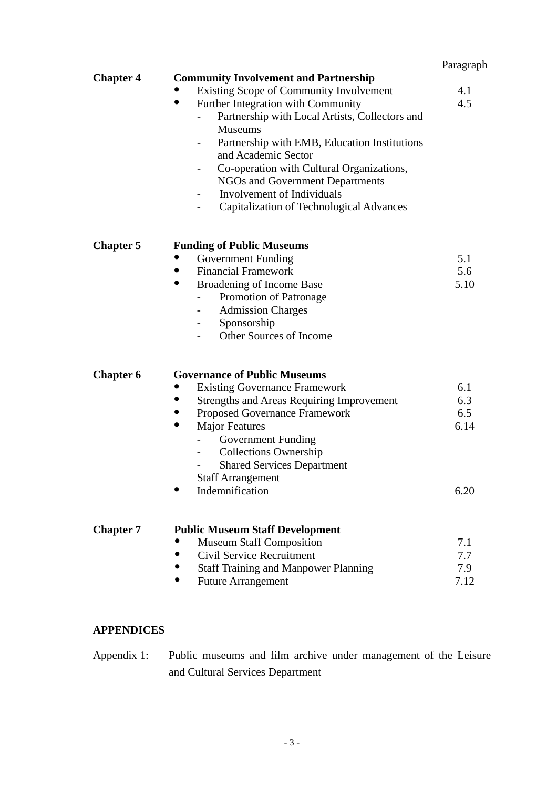| Paragraph |
|-----------|
|-----------|

|                  |                                                  | Paragraph |
|------------------|--------------------------------------------------|-----------|
| <b>Chapter 4</b> | <b>Community Involvement and Partnership</b>     |           |
|                  | Existing Scope of Community Involvement          | 4.1       |
|                  | Further Integration with Community<br>$\bullet$  | 4.5       |
|                  | Partnership with Local Artists, Collectors and   |           |
|                  | <b>Museums</b>                                   |           |
|                  | Partnership with EMB, Education Institutions     |           |
|                  | and Academic Sector                              |           |
|                  | Co-operation with Cultural Organizations,        |           |
|                  | NGOs and Government Departments                  |           |
|                  | Involvement of Individuals                       |           |
|                  | Capitalization of Technological Advances         |           |
| <b>Chapter 5</b> | <b>Funding of Public Museums</b>                 |           |
|                  | <b>Government Funding</b>                        | 5.1       |
|                  | <b>Financial Framework</b>                       | 5.6       |
|                  | $\bullet$<br>Broadening of Income Base           | 5.10      |
|                  | Promotion of Patronage                           |           |
|                  | <b>Admission Charges</b>                         |           |
|                  | Sponsorship                                      |           |
|                  | Other Sources of Income                          |           |
| <b>Chapter 6</b> | <b>Governance of Public Museums</b>              |           |
|                  | <b>Existing Governance Framework</b>             | 6.1       |
|                  | <b>Strengths and Areas Requiring Improvement</b> | 6.3       |
|                  | Proposed Governance Framework                    | 6.5       |
|                  | <b>Major Features</b><br>$\bullet$               | 6.14      |
|                  | Government Funding                               |           |
|                  | <b>Collections Ownership</b>                     |           |
|                  | <b>Shared Services Department</b>                |           |
|                  | <b>Staff Arrangement</b>                         |           |
|                  | Indemnification                                  | 6.20      |
| <b>Chapter 7</b> | <b>Public Museum Staff Development</b>           |           |
|                  | <b>Museum Staff Composition</b>                  | 7.1       |
|                  | Civil Service Recruitment                        | 7.7       |
|                  | <b>Staff Training and Manpower Planning</b>      | 7.9       |
|                  | <b>Future Arrangement</b><br>$\bullet$           | 7.12      |

### **APPENDICES**

Appendix 1: Public museums and film archive under management of the Leisure and Cultural Services Department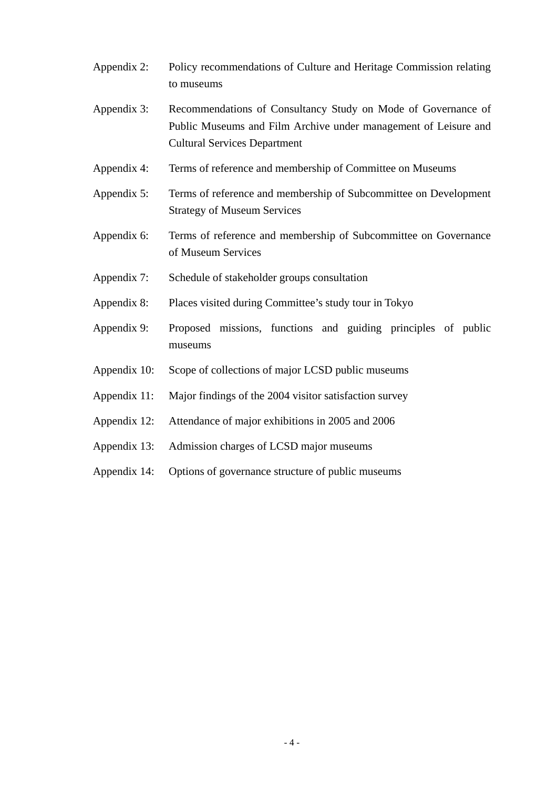- Appendix 2: Policy recommendations of Culture and Heritage Commission relating to museums
- Appendix 3: Recommendations of Consultancy Study on Mode of Governance of Public Museums and Film Archive under management of Leisure and Cultural Services Department
- Appendix 4: Terms of reference and membership of Committee on Museums
- Appendix 5: Terms of reference and membership of Subcommittee on Development Strategy of Museum Services
- Appendix 6: Terms of reference and membership of Subcommittee on Governance of Museum Services
- Appendix 7: Schedule of stakeholder groups consultation
- Appendix 8: Places visited during Committee's study tour in Tokyo
- Appendix 9: Proposed missions, functions and guiding principles of public museums
- Appendix 10: Scope of collections of major LCSD public museums
- Appendix 11: Major findings of the 2004 visitor satisfaction survey
- Appendix 12: Attendance of major exhibitions in 2005 and 2006
- Appendix 13: Admission charges of LCSD major museums
- Appendix 14: Options of governance structure of public museums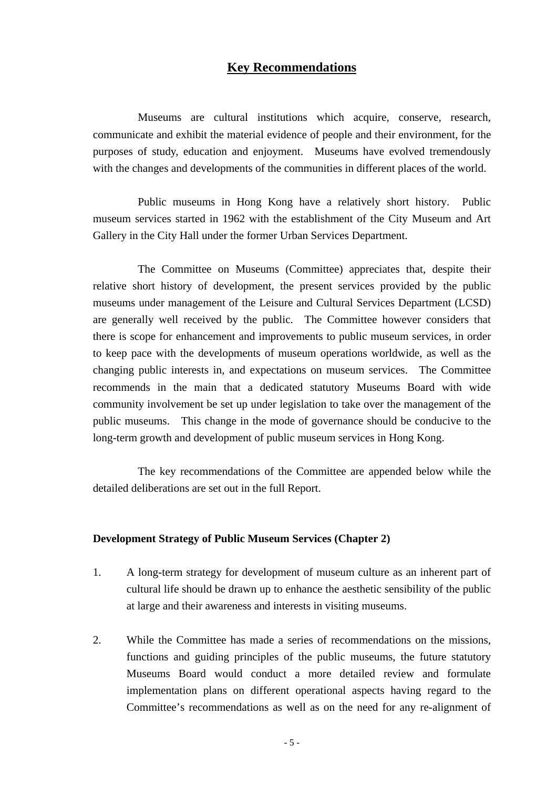#### **Key Recommendations**

Museums are cultural institutions which acquire, conserve, research, communicate and exhibit the material evidence of people and their environment, for the purposes of study, education and enjoyment. Museums have evolved tremendously with the changes and developments of the communities in different places of the world.

 Public museums in Hong Kong have a relatively short history. Public museum services started in 1962 with the establishment of the City Museum and Art Gallery in the City Hall under the former Urban Services Department.

 The Committee on Museums (Committee) appreciates that, despite their relative short history of development, the present services provided by the public museums under management of the Leisure and Cultural Services Department (LCSD) are generally well received by the public. The Committee however considers that there is scope for enhancement and improvements to public museum services, in order to keep pace with the developments of museum operations worldwide, as well as the changing public interests in, and expectations on museum services. The Committee recommends in the main that a dedicated statutory Museums Board with wide community involvement be set up under legislation to take over the management of the public museums. This change in the mode of governance should be conducive to the long-term growth and development of public museum services in Hong Kong.

 The key recommendations of the Committee are appended below while the detailed deliberations are set out in the full Report.

#### **Development Strategy of Public Museum Services (Chapter 2)**

- 1. A long-term strategy for development of museum culture as an inherent part of cultural life should be drawn up to enhance the aesthetic sensibility of the public at large and their awareness and interests in visiting museums.
- 2. While the Committee has made a series of recommendations on the missions, functions and guiding principles of the public museums, the future statutory Museums Board would conduct a more detailed review and formulate implementation plans on different operational aspects having regard to the Committee's recommendations as well as on the need for any re-alignment of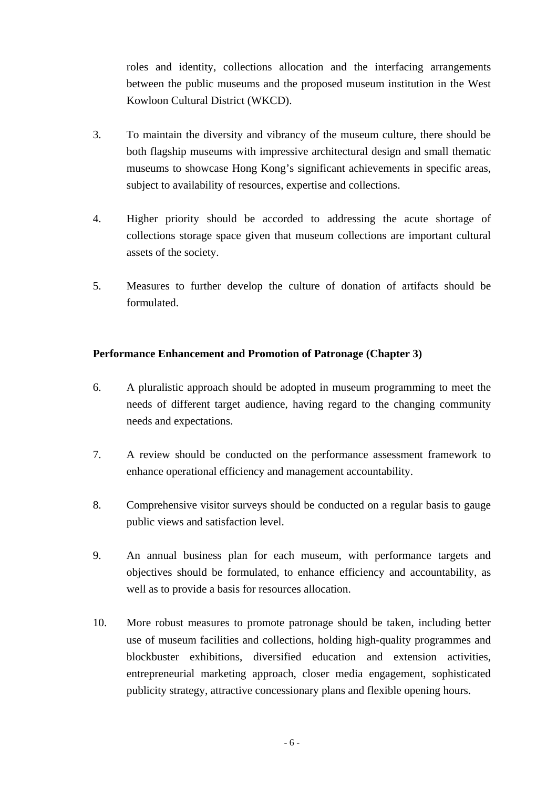roles and identity, collections allocation and the interfacing arrangements between the public museums and the proposed museum institution in the West Kowloon Cultural District (WKCD).

- 3. To maintain the diversity and vibrancy of the museum culture, there should be both flagship museums with impressive architectural design and small thematic museums to showcase Hong Kong's significant achievements in specific areas, subject to availability of resources, expertise and collections.
- 4. Higher priority should be accorded to addressing the acute shortage of collections storage space given that museum collections are important cultural assets of the society.
- 5. Measures to further develop the culture of donation of artifacts should be formulated.

#### **Performance Enhancement and Promotion of Patronage (Chapter 3)**

- 6. A pluralistic approach should be adopted in museum programming to meet the needs of different target audience, having regard to the changing community needs and expectations.
- 7. A review should be conducted on the performance assessment framework to enhance operational efficiency and management accountability.
- 8. Comprehensive visitor surveys should be conducted on a regular basis to gauge public views and satisfaction level.
- 9. An annual business plan for each museum, with performance targets and objectives should be formulated, to enhance efficiency and accountability, as well as to provide a basis for resources allocation.
- 10. More robust measures to promote patronage should be taken, including better use of museum facilities and collections, holding high-quality programmes and blockbuster exhibitions, diversified education and extension activities, entrepreneurial marketing approach, closer media engagement, sophisticated publicity strategy, attractive concessionary plans and flexible opening hours.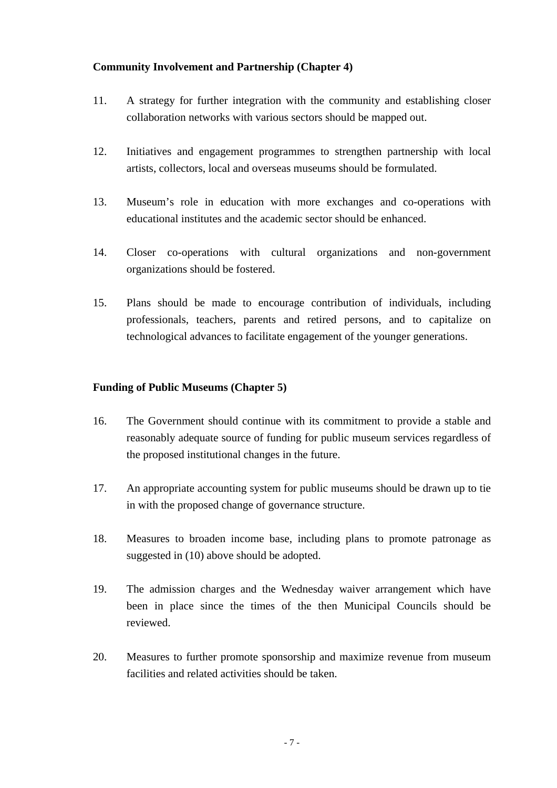#### **Community Involvement and Partnership (Chapter 4)**

- 11. A strategy for further integration with the community and establishing closer collaboration networks with various sectors should be mapped out.
- 12. Initiatives and engagement programmes to strengthen partnership with local artists, collectors, local and overseas museums should be formulated.
- 13. Museum's role in education with more exchanges and co-operations with educational institutes and the academic sector should be enhanced.
- 14. Closer co-operations with cultural organizations and non-government organizations should be fostered.
- 15. Plans should be made to encourage contribution of individuals, including professionals, teachers, parents and retired persons, and to capitalize on technological advances to facilitate engagement of the younger generations.

#### **Funding of Public Museums (Chapter 5)**

- 16. The Government should continue with its commitment to provide a stable and reasonably adequate source of funding for public museum services regardless of the proposed institutional changes in the future.
- 17. An appropriate accounting system for public museums should be drawn up to tie in with the proposed change of governance structure.
- 18. Measures to broaden income base, including plans to promote patronage as suggested in (10) above should be adopted.
- 19. The admission charges and the Wednesday waiver arrangement which have been in place since the times of the then Municipal Councils should be reviewed.
- 20. Measures to further promote sponsorship and maximize revenue from museum facilities and related activities should be taken.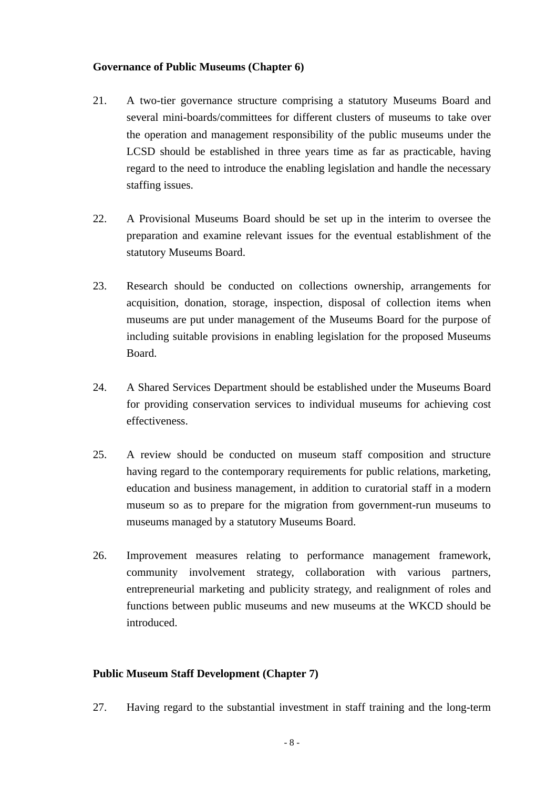#### **Governance of Public Museums (Chapter 6)**

- 21. A two-tier governance structure comprising a statutory Museums Board and several mini-boards/committees for different clusters of museums to take over the operation and management responsibility of the public museums under the LCSD should be established in three years time as far as practicable, having regard to the need to introduce the enabling legislation and handle the necessary staffing issues.
- 22. A Provisional Museums Board should be set up in the interim to oversee the preparation and examine relevant issues for the eventual establishment of the statutory Museums Board.
- 23. Research should be conducted on collections ownership, arrangements for acquisition, donation, storage, inspection, disposal of collection items when museums are put under management of the Museums Board for the purpose of including suitable provisions in enabling legislation for the proposed Museums Board.
- 24. A Shared Services Department should be established under the Museums Board for providing conservation services to individual museums for achieving cost effectiveness.
- 25. A review should be conducted on museum staff composition and structure having regard to the contemporary requirements for public relations, marketing, education and business management, in addition to curatorial staff in a modern museum so as to prepare for the migration from government-run museums to museums managed by a statutory Museums Board.
- 26. Improvement measures relating to performance management framework, community involvement strategy, collaboration with various partners, entrepreneurial marketing and publicity strategy, and realignment of roles and functions between public museums and new museums at the WKCD should be introduced.

#### **Public Museum Staff Development (Chapter 7)**

27. Having regard to the substantial investment in staff training and the long-term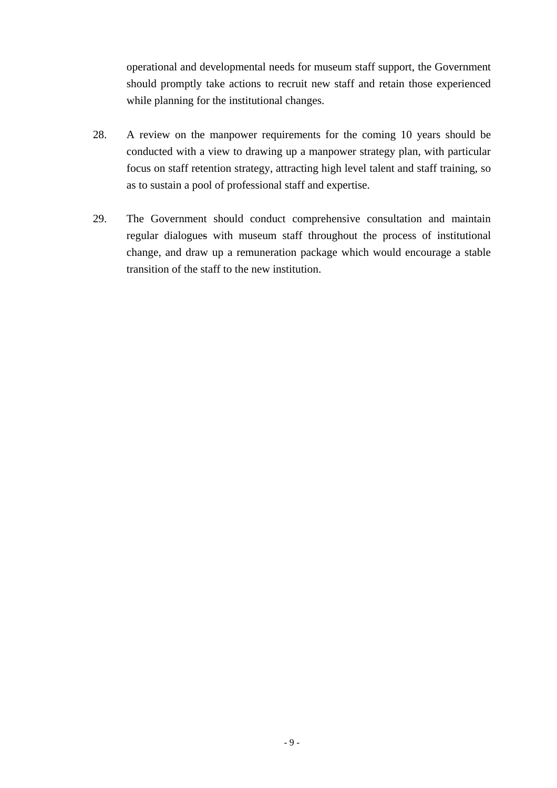operational and developmental needs for museum staff support, the Government should promptly take actions to recruit new staff and retain those experienced while planning for the institutional changes.

- 28. A review on the manpower requirements for the coming 10 years should be conducted with a view to drawing up a manpower strategy plan, with particular focus on staff retention strategy, attracting high level talent and staff training, so as to sustain a pool of professional staff and expertise.
- 29. The Government should conduct comprehensive consultation and maintain regular dialogues with museum staff throughout the process of institutional change, and draw up a remuneration package which would encourage a stable transition of the staff to the new institution.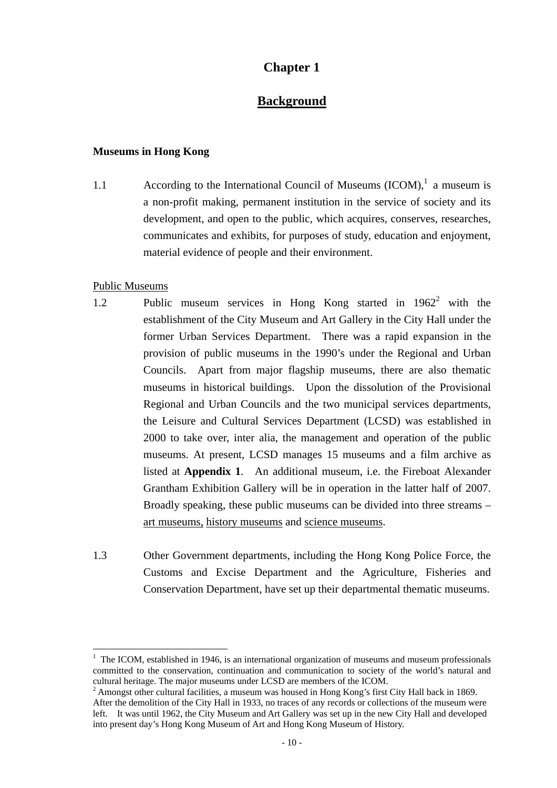## **Chapter 1**

## **Background**

#### **Museums in Hong Kong**

1.1 According to the International Council of Museums  $(ICOM)$ ,<sup>1</sup> a museum is a non-profit making, permanent institution in the service of society and its development, and open to the public, which acquires, conserves, researches, communicates and exhibits, for purposes of study, education and enjoyment, material evidence of people and their environment.

#### Public Museums

 $\overline{a}$ 

- 1.2 Public museum services in Hong Kong started in 1962<sup>2</sup> with the establishment of the City Museum and Art Gallery in the City Hall under the former Urban Services Department. There was a rapid expansion in the provision of public museums in the 1990's under the Regional and Urban Councils. Apart from major flagship museums, there are also thematic museums in historical buildings. Upon the dissolution of the Provisional Regional and Urban Councils and the two municipal services departments, the Leisure and Cultural Services Department (LCSD) was established in 2000 to take over, inter alia, the management and operation of the public museums. At present, LCSD manages 15 museums and a film archive as listed at **Appendix 1**. An additional museum, i.e. the Fireboat Alexander Grantham Exhibition Gallery will be in operation in the latter half of 2007. Broadly speaking, these public museums can be divided into three streams – art museums, history museums and science museums.
- 1.3 Other Government departments, including the Hong Kong Police Force, the Customs and Excise Department and the Agriculture, Fisheries and Conservation Department, have set up their departmental thematic museums.

<sup>&</sup>lt;sup>1</sup> The ICOM, established in 1946, is an international organization of museums and museum professionals committed to the conservation, continuation and communication to society of the world's natural and cultural heritage. The major museums under LCSD are members of the ICOM.

 $2$  Amongst other cultural facilities, a museum was housed in Hong Kong's first City Hall back in 1869. After the demolition of the City Hall in 1933, no traces of any records or collections of the museum were left. It was until 1962, the City Museum and Art Gallery was set up in the new City Hall and developed into present day's Hong Kong Museum of Art and Hong Kong Museum of History.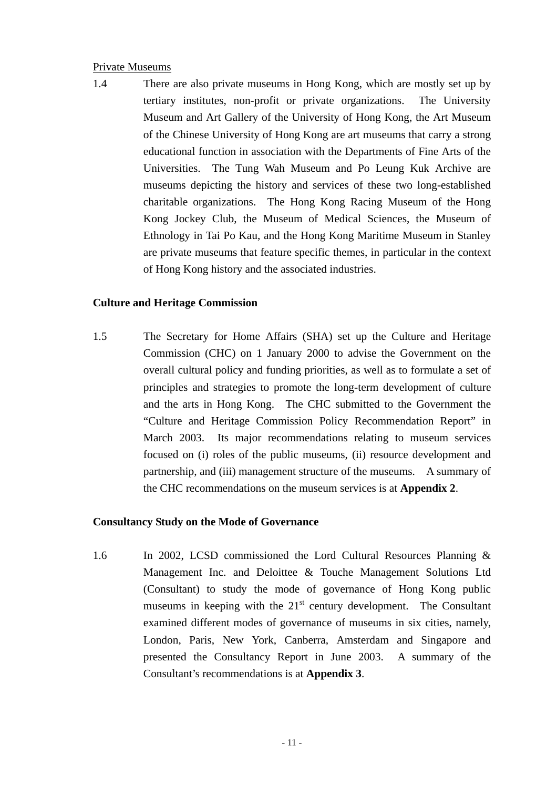#### Private Museums

1.4 There are also private museums in Hong Kong, which are mostly set up by tertiary institutes, non-profit or private organizations. The University Museum and Art Gallery of the University of Hong Kong, the Art Museum of the Chinese University of Hong Kong are art museums that carry a strong educational function in association with the Departments of Fine Arts of the Universities. The Tung Wah Museum and Po Leung Kuk Archive are museums depicting the history and services of these two long-established charitable organizations. The Hong Kong Racing Museum of the Hong Kong Jockey Club, the Museum of Medical Sciences, the Museum of Ethnology in Tai Po Kau, and the Hong Kong Maritime Museum in Stanley are private museums that feature specific themes, in particular in the context of Hong Kong history and the associated industries.

#### **Culture and Heritage Commission**

1.5 The Secretary for Home Affairs (SHA) set up the Culture and Heritage Commission (CHC) on 1 January 2000 to advise the Government on the overall cultural policy and funding priorities, as well as to formulate a set of principles and strategies to promote the long-term development of culture and the arts in Hong Kong. The CHC submitted to the Government the "Culture and Heritage Commission Policy Recommendation Report" in March 2003. Its major recommendations relating to museum services focused on (i) roles of the public museums, (ii) resource development and partnership, and (iii) management structure of the museums. A summary of the CHC recommendations on the museum services is at **Appendix 2**.

#### **Consultancy Study on the Mode of Governance**

1.6 In 2002, LCSD commissioned the Lord Cultural Resources Planning & Management Inc. and Deloittee & Touche Management Solutions Ltd (Consultant) to study the mode of governance of Hong Kong public museums in keeping with the  $21<sup>st</sup>$  century development. The Consultant examined different modes of governance of museums in six cities, namely, London, Paris, New York, Canberra, Amsterdam and Singapore and presented the Consultancy Report in June 2003. A summary of the Consultant's recommendations is at **Appendix 3**.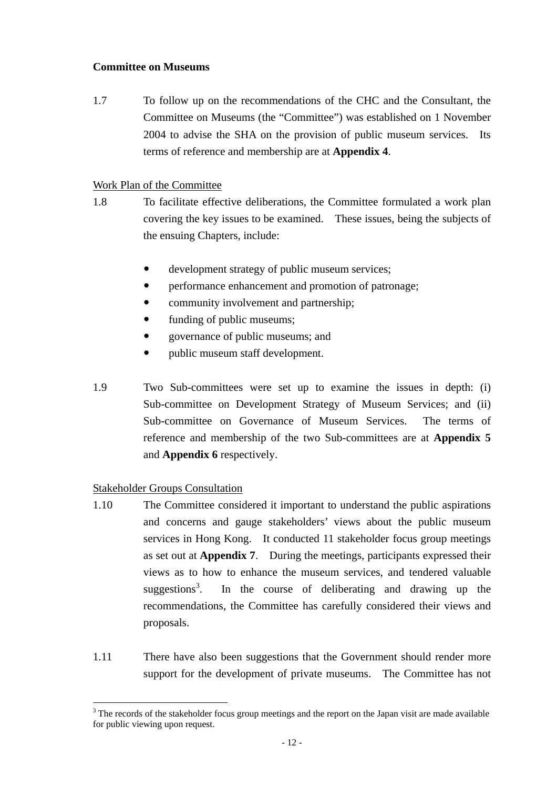#### **Committee on Museums**

1.7To follow up on the recommendations of the CHC and the Consultant, the Committee on Museums (the "Committee") was established on 1 November 2004 to advise the SHA on the provision of public museum services. Its terms of reference and membership are at **Appendix 4**.

#### Work Plan of the Committee

- 1.8 To facilitate effective deliberations, the Committee formulated a work plan covering the key issues to be examined. These issues, being the subjects of the ensuing Chapters, include:
	- development strategy of public museum services;
	- performance enhancement and promotion of patronage;
	- community involvement and partnership;
	- funding of public museums;
	- y governance of public museums; and
	- public museum staff development.
- 1.9 Two Sub-committees were set up to examine the issues in depth: (i) Sub-committee on Development Strategy of Museum Services; and (ii) Sub-committee on Governance of Museum Services. The terms of reference and membership of the two Sub-committees are at **Appendix 5** and **Appendix 6** respectively.

#### Stakeholder Groups Consultation

- 1.10 The Committee considered it important to understand the public aspirations and concerns and gauge stakeholders' views about the public museum services in Hong Kong. It conducted 11 stakeholder focus group meetings as set out at **Appendix 7**. During the meetings, participants expressed their views as to how to enhance the museum services, and tendered valuable suggestions<sup>3</sup>. . In the course of deliberating and drawing up the recommendations, the Committee has carefully considered their views and proposals.
- 1.11 There have also been suggestions that the Government should render more support for the development of private museums. The Committee has not

 $\overline{a}$  $3$  The records of the stakeholder focus group meetings and the report on the Japan visit are made available for public viewing upon request.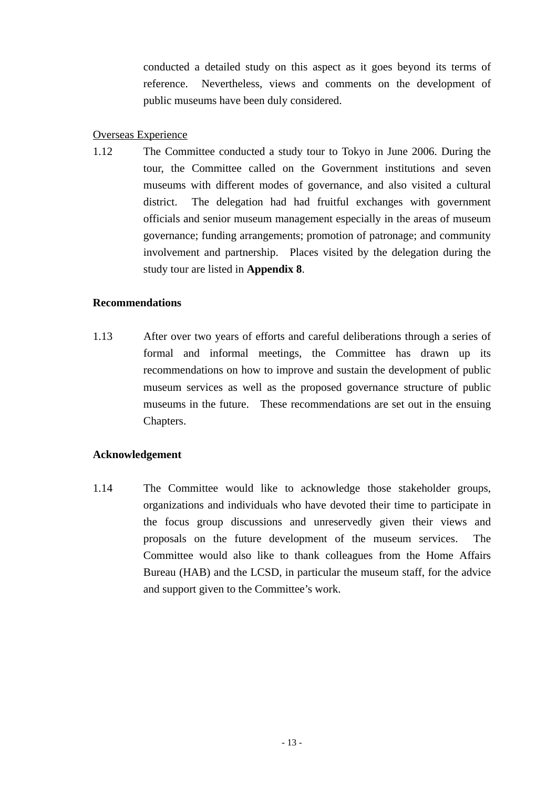conducted a detailed study on this aspect as it goes beyond its terms of reference. Nevertheless, views and comments on the development of public museums have been duly considered.

#### Overseas Experience

1.12 The Committee conducted a study tour to Tokyo in June 2006. During the tour, the Committee called on the Government institutions and seven museums with different modes of governance, and also visited a cultural district. The delegation had had fruitful exchanges with government officials and senior museum management especially in the areas of museum governance; funding arrangements; promotion of patronage; and community involvement and partnership. Places visited by the delegation during the study tour are listed in **Appendix 8**.

#### **Recommendations**

1.13 After over two years of efforts and careful deliberations through a series of formal and informal meetings, the Committee has drawn up its recommendations on how to improve and sustain the development of public museum services as well as the proposed governance structure of public museums in the future. These recommendations are set out in the ensuing Chapters.

#### **Acknowledgement**

1.14 The Committee would like to acknowledge those stakeholder groups, organizations and individuals who have devoted their time to participate in the focus group discussions and unreservedly given their views and proposals on the future development of the museum services. The Committee would also like to thank colleagues from the Home Affairs Bureau (HAB) and the LCSD, in particular the museum staff, for the advice and support given to the Committee's work.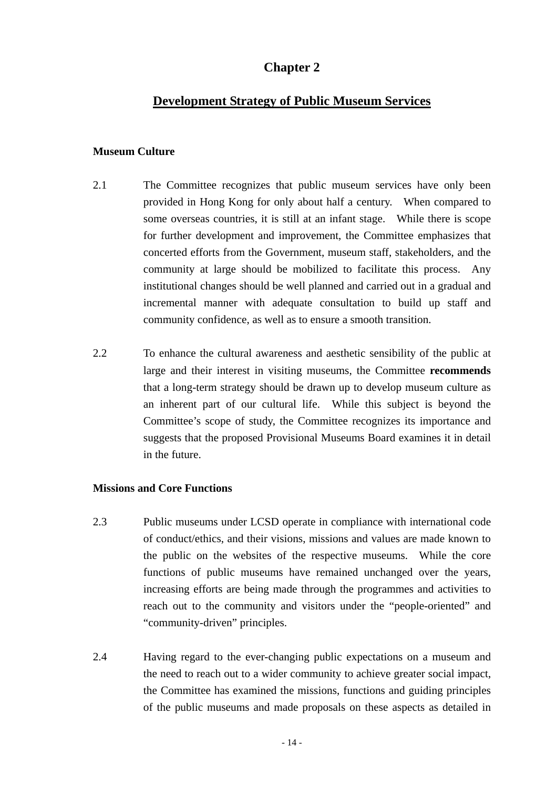## **Chapter 2**

#### **Development Strategy of Public Museum Services**

#### **Museum Culture**

- 2.1 The Committee recognizes that public museum services have only been provided in Hong Kong for only about half a century. When compared to some overseas countries, it is still at an infant stage. While there is scope for further development and improvement, the Committee emphasizes that concerted efforts from the Government, museum staff, stakeholders, and the community at large should be mobilized to facilitate this process. Any institutional changes should be well planned and carried out in a gradual and incremental manner with adequate consultation to build up staff and community confidence, as well as to ensure a smooth transition.
- 2.2 To enhance the cultural awareness and aesthetic sensibility of the public at large and their interest in visiting museums, the Committee **recommends** that a long-term strategy should be drawn up to develop museum culture as an inherent part of our cultural life. While this subject is beyond the Committee's scope of study, the Committee recognizes its importance and suggests that the proposed Provisional Museums Board examines it in detail in the future.

#### **Missions and Core Functions**

- 2.3 Public museums under LCSD operate in compliance with international code of conduct/ethics, and their visions, missions and values are made known to the public on the websites of the respective museums. While the core functions of public museums have remained unchanged over the years, increasing efforts are being made through the programmes and activities to reach out to the community and visitors under the "people-oriented" and "community-driven" principles.
- 2.4 Having regard to the ever-changing public expectations on a museum and the need to reach out to a wider community to achieve greater social impact, the Committee has examined the missions, functions and guiding principles of the public museums and made proposals on these aspects as detailed in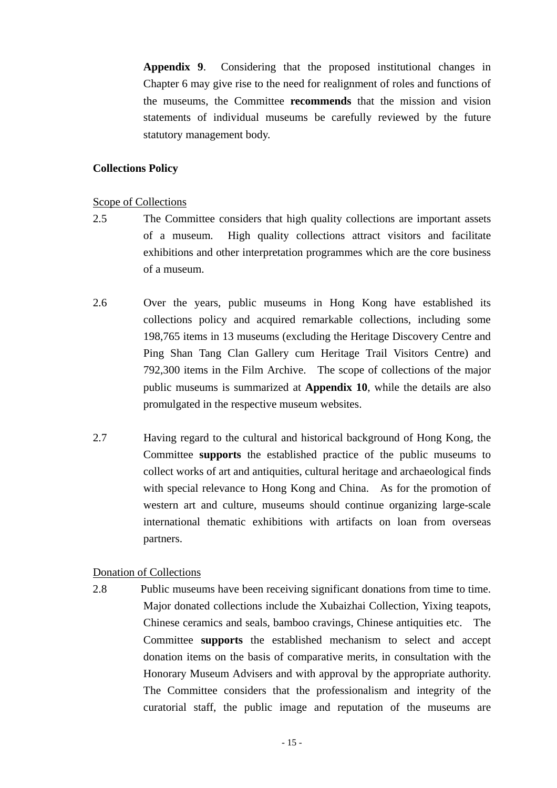**Appendix 9**. Considering that the proposed institutional changes in Chapter 6 may give rise to the need for realignment of roles and functions of the museums, the Committee **recommends** that the mission and vision statements of individual museums be carefully reviewed by the future statutory management body.

#### **Collections Policy**

#### Scope of Collections

- 2.5 The Committee considers that high quality collections are important assets of a museum. High quality collections attract visitors and facilitate exhibitions and other interpretation programmes which are the core business of a museum.
- 2.6 Over the years, public museums in Hong Kong have established its collections policy and acquired remarkable collections, including some 198,765 items in 13 museums (excluding the Heritage Discovery Centre and Ping Shan Tang Clan Gallery cum Heritage Trail Visitors Centre) and 792,300 items in the Film Archive. The scope of collections of the major public museums is summarized at **Appendix 10**, while the details are also promulgated in the respective museum websites.
- 2.7 Having regard to the cultural and historical background of Hong Kong, the Committee **supports** the established practice of the public museums to collect works of art and antiquities, cultural heritage and archaeological finds with special relevance to Hong Kong and China. As for the promotion of western art and culture, museums should continue organizing large-scale international thematic exhibitions with artifacts on loan from overseas partners.

#### Donation of Collections

2.8 Public museums have been receiving significant donations from time to time. Major donated collections include the Xubaizhai Collection, Yixing teapots, Chinese ceramics and seals, bamboo cravings, Chinese antiquities etc. The Committee **supports** the established mechanism to select and accept donation items on the basis of comparative merits, in consultation with the Honorary Museum Advisers and with approval by the appropriate authority. The Committee considers that the professionalism and integrity of the curatorial staff, the public image and reputation of the museums are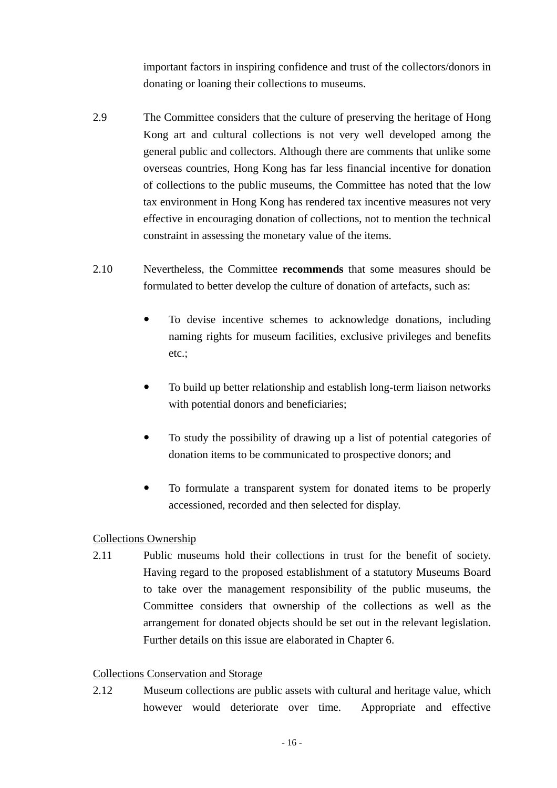important factors in inspiring confidence and trust of the collectors/donors in donating or loaning their collections to museums.

- 2.9 The Committee considers that the culture of preserving the heritage of Hong Kong art and cultural collections is not very well developed among the general public and collectors. Although there are comments that unlike some overseas countries, Hong Kong has far less financial incentive for donation of collections to the public museums, the Committee has noted that the low tax environment in Hong Kong has rendered tax incentive measures not very effective in encouraging donation of collections, not to mention the technical constraint in assessing the monetary value of the items.
- 2.10 Nevertheless, the Committee **recommends** that some measures should be formulated to better develop the culture of donation of artefacts, such as:
	- To devise incentive schemes to acknowledge donations, including naming rights for museum facilities, exclusive privileges and benefits etc.;
	- To build up better relationship and establish long-term liaison networks with potential donors and beneficiaries;
	- To study the possibility of drawing up a list of potential categories of donation items to be communicated to prospective donors; and
	- To formulate a transparent system for donated items to be properly accessioned, recorded and then selected for display.

#### Collections Ownership

2.11 Public museums hold their collections in trust for the benefit of society. Having regard to the proposed establishment of a statutory Museums Board to take over the management responsibility of the public museums, the Committee considers that ownership of the collections as well as the arrangement for donated objects should be set out in the relevant legislation. Further details on this issue are elaborated in Chapter 6.

#### Collections Conservation and Storage

2.12 Museum collections are public assets with cultural and heritage value, which however would deteriorate over time. Appropriate and effective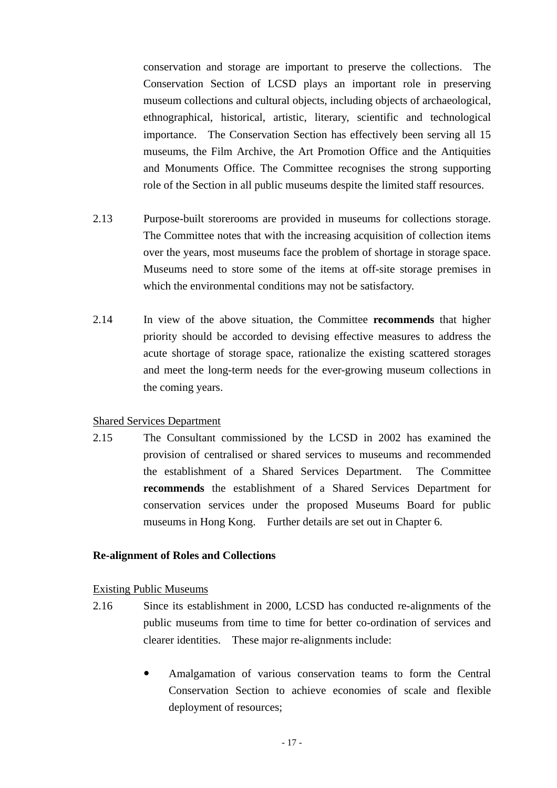conservation and storage are important to preserve the collections. The Conservation Section of LCSD plays an important role in preserving museum collections and cultural objects, including objects of archaeological, ethnographical, historical, artistic, literary, scientific and technological importance. The Conservation Section has effectively been serving all 15 museums, the Film Archive, the Art Promotion Office and the Antiquities and Monuments Office. The Committee recognises the strong supporting role of the Section in all public museums despite the limited staff resources.

- 2.13 Purpose-built storerooms are provided in museums for collections storage. The Committee notes that with the increasing acquisition of collection items over the years, most museums face the problem of shortage in storage space. Museums need to store some of the items at off-site storage premises in which the environmental conditions may not be satisfactory.
- 2.14 In view of the above situation, the Committee **recommends** that higher priority should be accorded to devising effective measures to address the acute shortage of storage space, rationalize the existing scattered storages and meet the long-term needs for the ever-growing museum collections in the coming years.

#### Shared Services Department

2.15 The Consultant commissioned by the LCSD in 2002 has examined the provision of centralised or shared services to museums and recommended the establishment of a Shared Services Department. The Committee **recommends** the establishment of a Shared Services Department for conservation services under the proposed Museums Board for public museums in Hong Kong. Further details are set out in Chapter 6.

#### **Re-alignment of Roles and Collections**

#### Existing Public Museums

- 2.16 Since its establishment in 2000, LCSD has conducted re-alignments of the public museums from time to time for better co-ordination of services and clearer identities. These major re-alignments include:
	- Amalgamation of various conservation teams to form the Central Conservation Section to achieve economies of scale and flexible deployment of resources;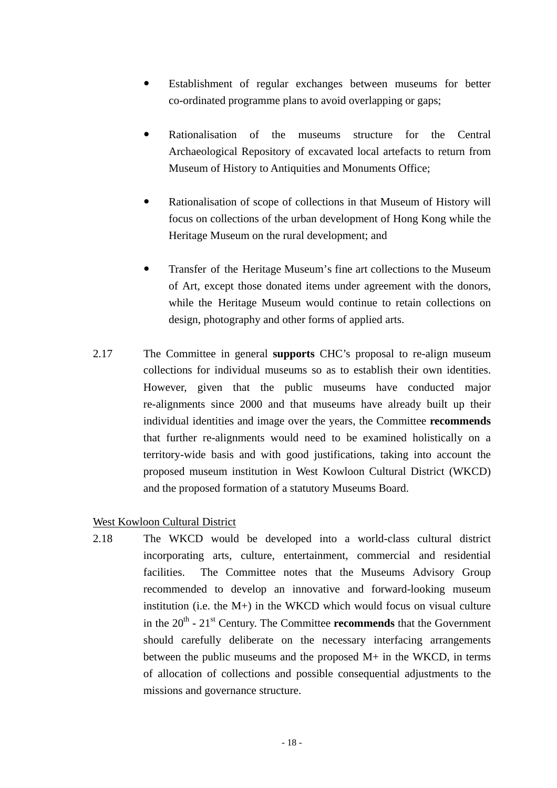- Establishment of regular exchanges between museums for better co-ordinated programme plans to avoid overlapping or gaps;
- Rationalisation of the museums structure for the Central Archaeological Repository of excavated local artefacts to return from Museum of History to Antiquities and Monuments Office;
- Rationalisation of scope of collections in that Museum of History will focus on collections of the urban development of Hong Kong while the Heritage Museum on the rural development; and
- Transfer of the Heritage Museum's fine art collections to the Museum of Art, except those donated items under agreement with the donors, while the Heritage Museum would continue to retain collections on design, photography and other forms of applied arts.
- 2.17 The Committee in general **supports** CHC's proposal to re-align museum collections for individual museums so as to establish their own identities. However, given that the public museums have conducted major re-alignments since 2000 and that museums have already built up their individual identities and image over the years, the Committee **recommends** that further re-alignments would need to be examined holistically on a territory-wide basis and with good justifications, taking into account the proposed museum institution in West Kowloon Cultural District (WKCD) and the proposed formation of a statutory Museums Board.

#### West Kowloon Cultural District

2.18 The WKCD would be developed into a world-class cultural district incorporating arts, culture, entertainment, commercial and residential facilities. The Committee notes that the Museums Advisory Group recommended to develop an innovative and forward-looking museum institution (i.e. the M+) in the WKCD which would focus on visual culture in the  $20<sup>th</sup>$  -  $21<sup>st</sup>$  Century. The Committee **recommends** that the Government should carefully deliberate on the necessary interfacing arrangements between the public museums and the proposed M+ in the WKCD, in terms of allocation of collections and possible consequential adjustments to the missions and governance structure.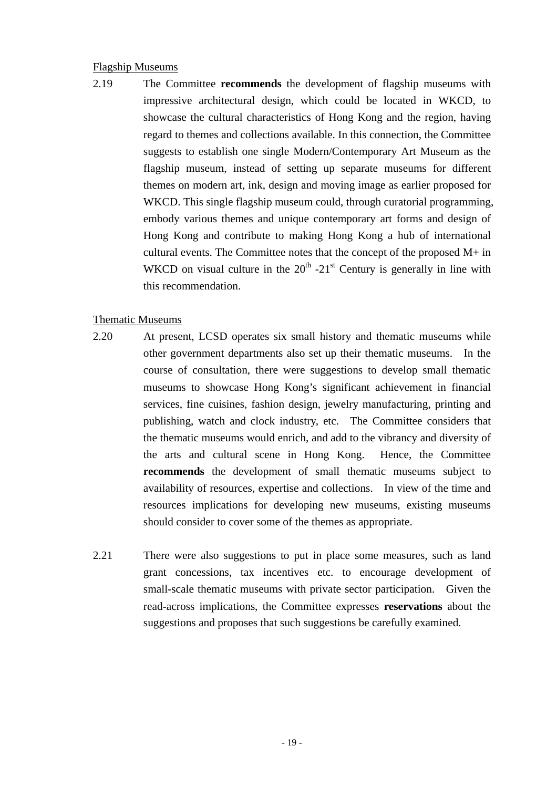#### Flagship Museums

2.19 The Committee **recommends** the development of flagship museums with impressive architectural design, which could be located in WKCD, to showcase the cultural characteristics of Hong Kong and the region, having regard to themes and collections available. In this connection, the Committee suggests to establish one single Modern/Contemporary Art Museum as the flagship museum, instead of setting up separate museums for different themes on modern art, ink, design and moving image as earlier proposed for WKCD. This single flagship museum could, through curatorial programming, embody various themes and unique contemporary art forms and design of Hong Kong and contribute to making Hong Kong a hub of international cultural events. The Committee notes that the concept of the proposed M+ in WKCD on visual culture in the  $20<sup>th</sup> -21<sup>st</sup>$  Century is generally in line with this recommendation.

#### Thematic Museums

- 2.20 At present, LCSD operates six small history and thematic museums while other government departments also set up their thematic museums. In the course of consultation, there were suggestions to develop small thematic museums to showcase Hong Kong's significant achievement in financial services, fine cuisines, fashion design, jewelry manufacturing, printing and publishing, watch and clock industry, etc. The Committee considers that the thematic museums would enrich, and add to the vibrancy and diversity of the arts and cultural scene in Hong Kong. Hence, the Committee **recommends** the development of small thematic museums subject to availability of resources, expertise and collections. In view of the time and resources implications for developing new museums, existing museums should consider to cover some of the themes as appropriate.
- 2.21 There were also suggestions to put in place some measures, such as land grant concessions, tax incentives etc. to encourage development of small-scale thematic museums with private sector participation. Given the read-across implications, the Committee expresses **reservations** about the suggestions and proposes that such suggestions be carefully examined.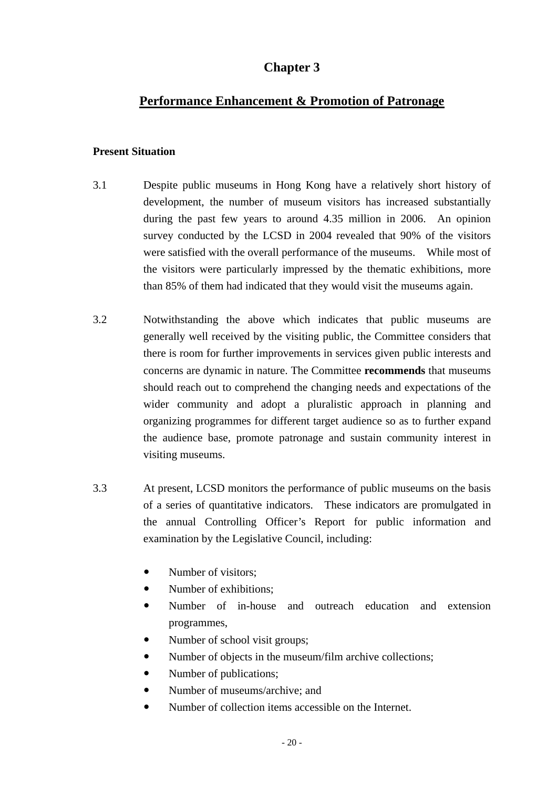## **Chapter 3**

## **Performance Enhancement & Promotion of Patronage**

#### **Present Situation**

- 3.1 Despite public museums in Hong Kong have a relatively short history of development, the number of museum visitors has increased substantially during the past few years to around 4.35 million in 2006. An opinion survey conducted by the LCSD in 2004 revealed that 90% of the visitors were satisfied with the overall performance of the museums. While most of the visitors were particularly impressed by the thematic exhibitions, more than 85% of them had indicated that they would visit the museums again.
- 3.2 Notwithstanding the above which indicates that public museums are generally well received by the visiting public, the Committee considers that there is room for further improvements in services given public interests and concerns are dynamic in nature. The Committee **recommends** that museums should reach out to comprehend the changing needs and expectations of the wider community and adopt a pluralistic approach in planning and organizing programmes for different target audience so as to further expand the audience base, promote patronage and sustain community interest in visiting museums.
- 3.3 At present, LCSD monitors the performance of public museums on the basis of a series of quantitative indicators. These indicators are promulgated in the annual Controlling Officer's Report for public information and examination by the Legislative Council, including:
	- Number of visitors:
	- Number of exhibitions:
	- Number of in-house and outreach education and extension programmes,
	- Number of school visit groups;
	- Number of objects in the museum/film archive collections;
	- Number of publications;
	- Number of museums/archive: and
	- Number of collection items accessible on the Internet.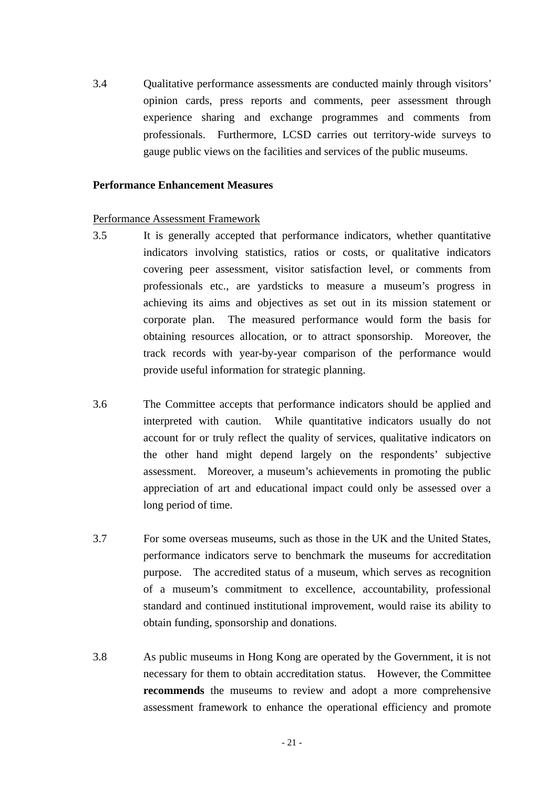3.4 Qualitative performance assessments are conducted mainly through visitors' opinion cards, press reports and comments, peer assessment through experience sharing and exchange programmes and comments from professionals. Furthermore, LCSD carries out territory-wide surveys to gauge public views on the facilities and services of the public museums.

#### **Performance Enhancement Measures**

#### Performance Assessment Framework

- 3.5 It is generally accepted that performance indicators, whether quantitative indicators involving statistics, ratios or costs, or qualitative indicators covering peer assessment, visitor satisfaction level, or comments from professionals etc., are yardsticks to measure a museum's progress in achieving its aims and objectives as set out in its mission statement or corporate plan. The measured performance would form the basis for obtaining resources allocation, or to attract sponsorship. Moreover, the track records with year-by-year comparison of the performance would provide useful information for strategic planning.
- 3.6 The Committee accepts that performance indicators should be applied and interpreted with caution. While quantitative indicators usually do not account for or truly reflect the quality of services, qualitative indicators on the other hand might depend largely on the respondents' subjective assessment. Moreover, a museum's achievements in promoting the public appreciation of art and educational impact could only be assessed over a long period of time.
- 3.7 For some overseas museums, such as those in the UK and the United States, performance indicators serve to benchmark the museums for accreditation purpose. The accredited status of a museum, which serves as recognition of a museum's commitment to excellence, accountability, professional standard and continued institutional improvement, would raise its ability to obtain funding, sponsorship and donations.
- 3.8 As public museums in Hong Kong are operated by the Government, it is not necessary for them to obtain accreditation status. However, the Committee **recommends** the museums to review and adopt a more comprehensive assessment framework to enhance the operational efficiency and promote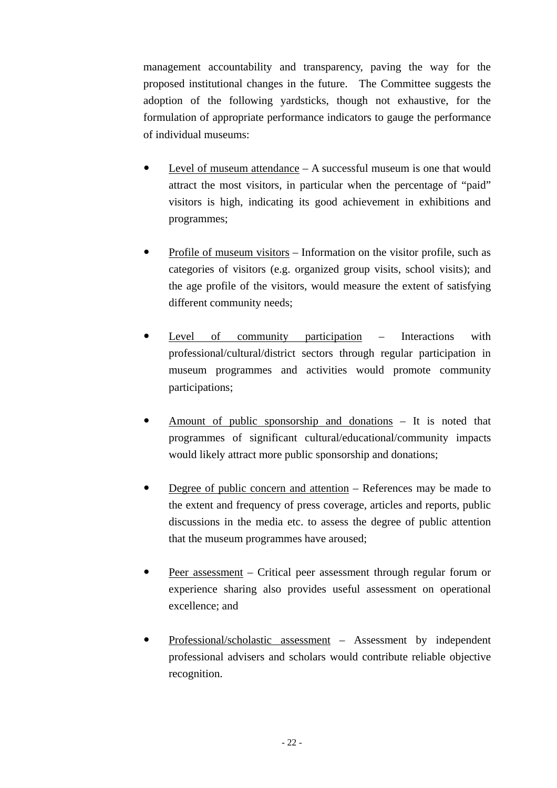management accountability and transparency, paving the way for the proposed institutional changes in the future. The Committee suggests the adoption of the following yardsticks, though not exhaustive, for the formulation of appropriate performance indicators to gauge the performance of individual museums:

- Level of museum attendance  $A$  successful museum is one that would attract the most visitors, in particular when the percentage of "paid" visitors is high, indicating its good achievement in exhibitions and programmes;
- Profile of museum visitors Information on the visitor profile, such as categories of visitors (e.g. organized group visits, school visits); and the age profile of the visitors, would measure the extent of satisfying different community needs;
- Level of community participation Interactions with professional/cultural/district sectors through regular participation in museum programmes and activities would promote community participations;
- Amount of public sponsorship and donations It is noted that programmes of significant cultural/educational/community impacts would likely attract more public sponsorship and donations;
- Degree of public concern and attention References may be made to the extent and frequency of press coverage, articles and reports, public discussions in the media etc. to assess the degree of public attention that the museum programmes have aroused;
- Peer assessment Critical peer assessment through regular forum or experience sharing also provides useful assessment on operational excellence; and
- Professional/scholastic assessment Assessment by independent professional advisers and scholars would contribute reliable objective recognition.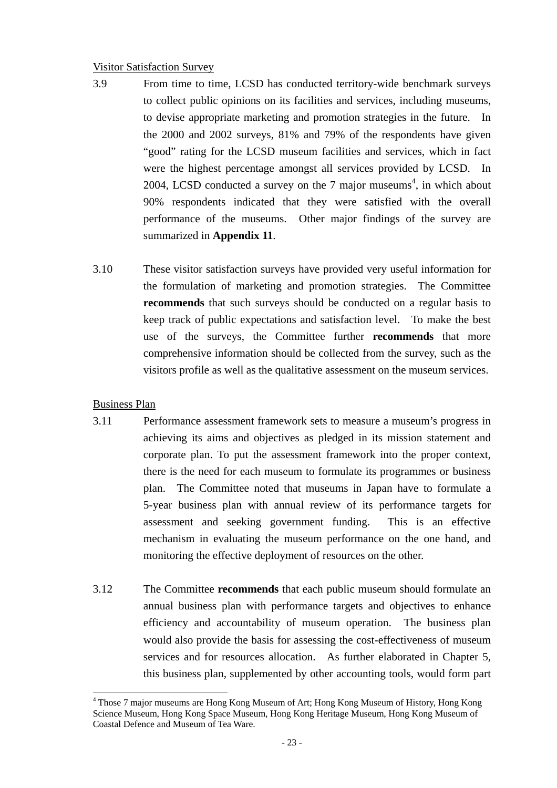#### Visitor Satisfaction Survey

- 3.9 From time to time, LCSD has conducted territory-wide benchmark surveys to collect public opinions on its facilities and services, including museums, to devise appropriate marketing and promotion strategies in the future. In the 2000 and 2002 surveys, 81% and 79% of the respondents have given "good" rating for the LCSD museum facilities and services, which in fact were the highest percentage amongst all services provided by LCSD. In 2004, LCSD conducted a survey on the 7 major museums<sup>4</sup>, in which about 90% respondents indicated that they were satisfied with the overall performance of the museums. Other major findings of the survey are summarized in **Appendix 11**.
- 3.10 These visitor satisfaction surveys have provided very useful information for the formulation of marketing and promotion strategies. The Committee **recommends** that such surveys should be conducted on a regular basis to keep track of public expectations and satisfaction level. To make the best use of the surveys, the Committee further **recommends** that more comprehensive information should be collected from the survey, such as the visitors profile as well as the qualitative assessment on the museum services.

#### Business Plan

 $\overline{a}$ 

- 3.11 Performance assessment framework sets to measure a museum's progress in achieving its aims and objectives as pledged in its mission statement and corporate plan. To put the assessment framework into the proper context, there is the need for each museum to formulate its programmes or business plan. The Committee noted that museums in Japan have to formulate a 5-year business plan with annual review of its performance targets for assessment and seeking government funding. This is an effective mechanism in evaluating the museum performance on the one hand, and monitoring the effective deployment of resources on the other.
- 3.12 The Committee **recommends** that each public museum should formulate an annual business plan with performance targets and objectives to enhance efficiency and accountability of museum operation. The business plan would also provide the basis for assessing the cost-effectiveness of museum services and for resources allocation. As further elaborated in Chapter 5, this business plan, supplemented by other accounting tools, would form part

<sup>&</sup>lt;sup>4</sup> Those 7 major museums are Hong Kong Museum of Art; Hong Kong Museum of History, Hong Kong Science Museum, Hong Kong Space Museum, Hong Kong Heritage Museum, Hong Kong Museum of Coastal Defence and Museum of Tea Ware.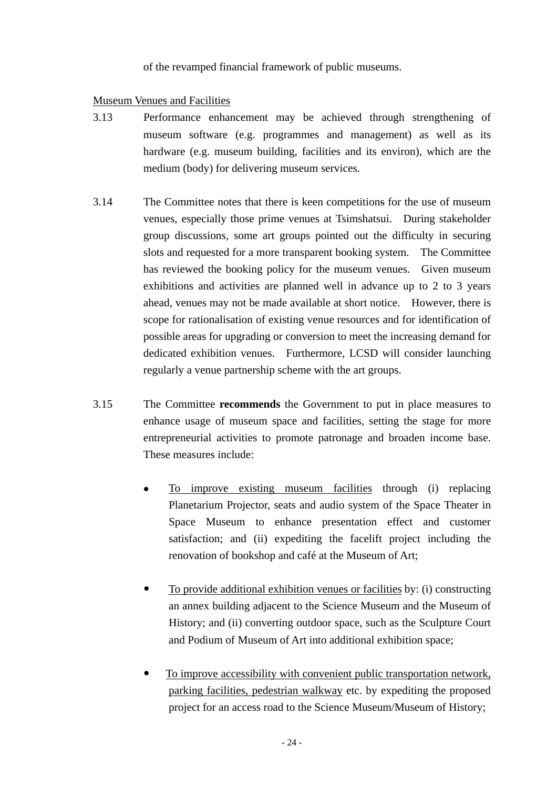of the revamped financial framework of public museums.

#### Museum Venues and Facilities

- 3.13 Performance enhancement may be achieved through strengthening of museum software (e.g. programmes and management) as well as its hardware (e.g. museum building, facilities and its environ), which are the medium (body) for delivering museum services.
- 3.14 The Committee notes that there is keen competitions for the use of museum venues, especially those prime venues at Tsimshatsui. During stakeholder group discussions, some art groups pointed out the difficulty in securing slots and requested for a more transparent booking system. The Committee has reviewed the booking policy for the museum venues. Given museum exhibitions and activities are planned well in advance up to 2 to 3 years ahead, venues may not be made available at short notice. However, there is scope for rationalisation of existing venue resources and for identification of possible areas for upgrading or conversion to meet the increasing demand for dedicated exhibition venues. Furthermore, LCSD will consider launching regularly a venue partnership scheme with the art groups.
- 3.15 The Committee **recommends** the Government to put in place measures to enhance usage of museum space and facilities, setting the stage for more entrepreneurial activities to promote patronage and broaden income base. These measures include:
	- $\bullet$  To improve existing museum facilities through (i) replacing Planetarium Projector, seats and audio system of the Space Theater in Space Museum to enhance presentation effect and customer satisfaction; and (ii) expediting the facelift project including the renovation of bookshop and café at the Museum of Art;
	- To provide additional exhibition venues or facilities by: (i) constructing an annex building adjacent to the Science Museum and the Museum of History; and (ii) converting outdoor space, such as the Sculpture Court and Podium of Museum of Art into additional exhibition space;
	- To improve accessibility with convenient public transportation network, parking facilities, pedestrian walkway etc. by expediting the proposed project for an access road to the Science Museum/Museum of History;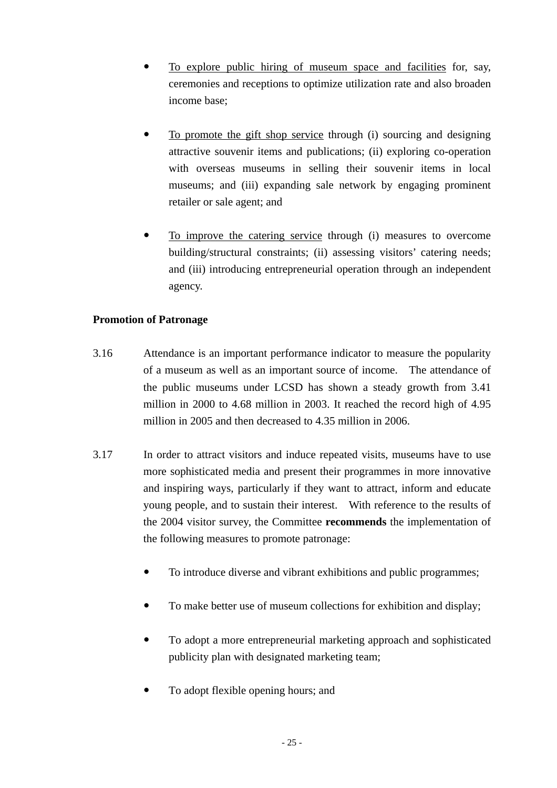- To explore public hiring of museum space and facilities for, say, ceremonies and receptions to optimize utilization rate and also broaden income base;
- To promote the gift shop service through (i) sourcing and designing attractive souvenir items and publications; (ii) exploring co-operation with overseas museums in selling their souvenir items in local museums; and (iii) expanding sale network by engaging prominent retailer or sale agent; and
- To improve the catering service through (i) measures to overcome building/structural constraints; (ii) assessing visitors' catering needs; and (iii) introducing entrepreneurial operation through an independent agency.

#### **Promotion of Patronage**

- 3.16 Attendance is an important performance indicator to measure the popularity of a museum as well as an important source of income. The attendance of the public museums under LCSD has shown a steady growth from 3.41 million in 2000 to 4.68 million in 2003. It reached the record high of 4.95 million in 2005 and then decreased to 4.35 million in 2006.
- 3.17 In order to attract visitors and induce repeated visits, museums have to use more sophisticated media and present their programmes in more innovative and inspiring ways, particularly if they want to attract, inform and educate young people, and to sustain their interest. With reference to the results of the 2004 visitor survey, the Committee **recommends** the implementation of the following measures to promote patronage:
	- To introduce diverse and vibrant exhibitions and public programmes;
	- To make better use of museum collections for exhibition and display;
	- To adopt a more entrepreneurial marketing approach and sophisticated publicity plan with designated marketing team;
	- To adopt flexible opening hours; and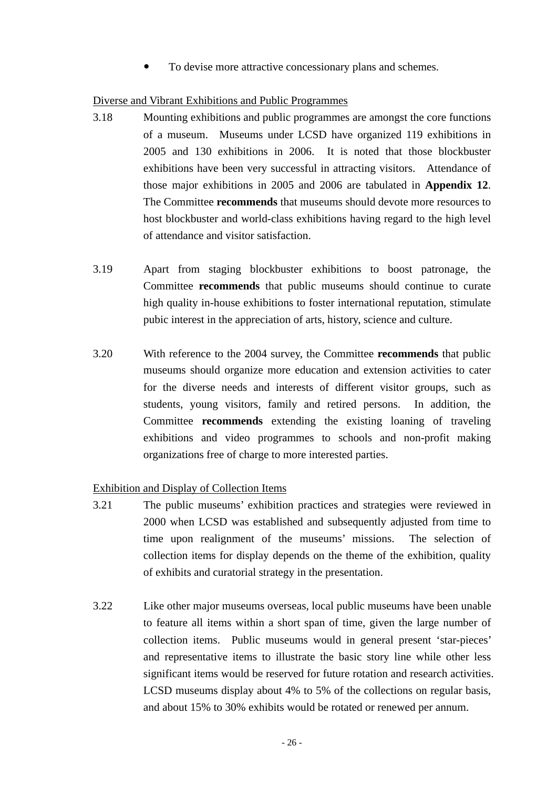To devise more attractive concessionary plans and schemes.

#### Diverse and Vibrant Exhibitions and Public Programmes

- 3.18 Mounting exhibitions and public programmes are amongst the core functions of a museum. Museums under LCSD have organized 119 exhibitions in 2005 and 130 exhibitions in 2006. It is noted that those blockbuster exhibitions have been very successful in attracting visitors. Attendance of those major exhibitions in 2005 and 2006 are tabulated in **Appendix 12**. The Committee **recommends** that museums should devote more resources to host blockbuster and world-class exhibitions having regard to the high level of attendance and visitor satisfaction.
- 3.19 Apart from staging blockbuster exhibitions to boost patronage, the Committee **recommends** that public museums should continue to curate high quality in-house exhibitions to foster international reputation, stimulate pubic interest in the appreciation of arts, history, science and culture.
- 3.20 With reference to the 2004 survey, the Committee **recommends** that public museums should organize more education and extension activities to cater for the diverse needs and interests of different visitor groups, such as students, young visitors, family and retired persons. In addition, the Committee **recommends** extending the existing loaning of traveling exhibitions and video programmes to schools and non-profit making organizations free of charge to more interested parties.

#### Exhibition and Display of Collection Items

- 3.21 The public museums' exhibition practices and strategies were reviewed in 2000 when LCSD was established and subsequently adjusted from time to time upon realignment of the museums' missions. The selection of collection items for display depends on the theme of the exhibition, quality of exhibits and curatorial strategy in the presentation.
- 3.22 Like other major museums overseas, local public museums have been unable to feature all items within a short span of time, given the large number of collection items. Public museums would in general present 'star-pieces' and representative items to illustrate the basic story line while other less significant items would be reserved for future rotation and research activities. LCSD museums display about 4% to 5% of the collections on regular basis, and about 15% to 30% exhibits would be rotated or renewed per annum.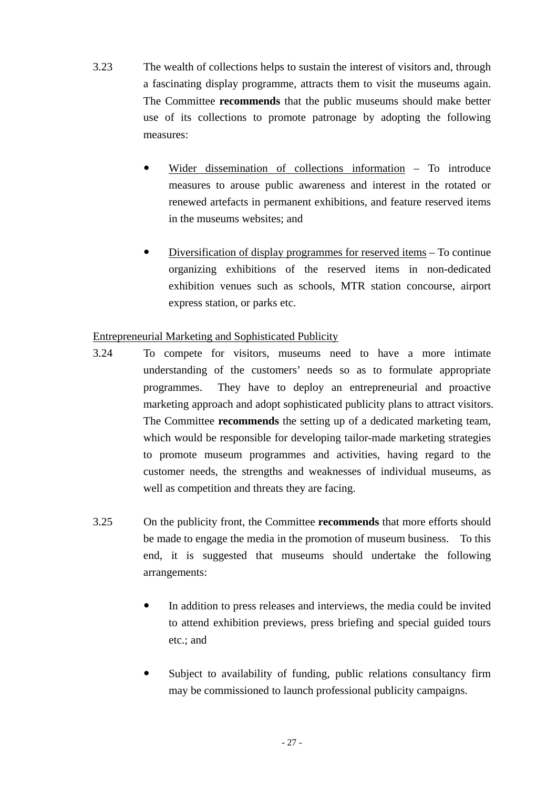- 3.23 The wealth of collections helps to sustain the interest of visitors and, through a fascinating display programme, attracts them to visit the museums again. The Committee **recommends** that the public museums should make better use of its collections to promote patronage by adopting the following measures:
	- Wider dissemination of collections information To introduce measures to arouse public awareness and interest in the rotated or renewed artefacts in permanent exhibitions, and feature reserved items in the museums websites; and
	- $\bullet$  Diversification of display programmes for reserved items To continue organizing exhibitions of the reserved items in non-dedicated exhibition venues such as schools, MTR station concourse, airport express station, or parks etc.

## Entrepreneurial Marketing and Sophisticated Publicity

- 3.24 To compete for visitors, museums need to have a more intimate understanding of the customers' needs so as to formulate appropriate programmes. They have to deploy an entrepreneurial and proactive marketing approach and adopt sophisticated publicity plans to attract visitors. The Committee **recommends** the setting up of a dedicated marketing team, which would be responsible for developing tailor-made marketing strategies to promote museum programmes and activities, having regard to the customer needs, the strengths and weaknesses of individual museums, as well as competition and threats they are facing.
- 3.25 On the publicity front, the Committee **recommends** that more efforts should be made to engage the media in the promotion of museum business. To this end, it is suggested that museums should undertake the following arrangements:
	- In addition to press releases and interviews, the media could be invited to attend exhibition previews, press briefing and special guided tours etc.; and
	- Subject to availability of funding, public relations consultancy firm may be commissioned to launch professional publicity campaigns.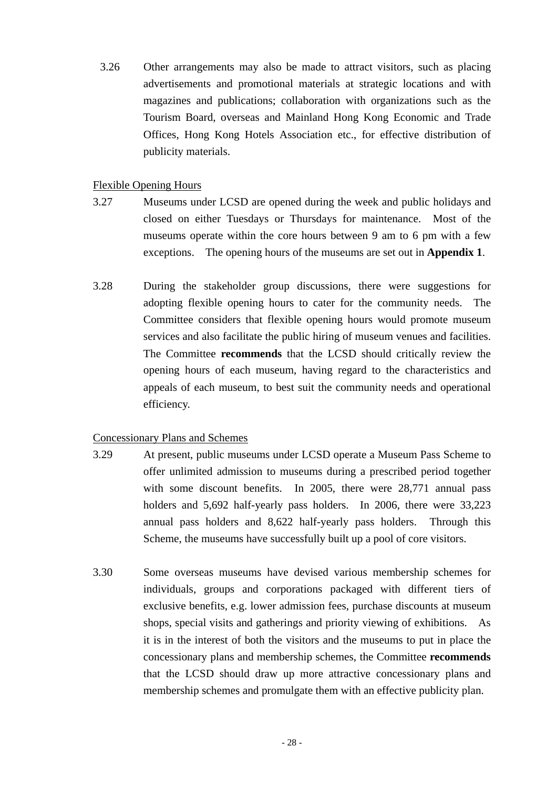3.26 Other arrangements may also be made to attract visitors, such as placing advertisements and promotional materials at strategic locations and with magazines and publications; collaboration with organizations such as the Tourism Board, overseas and Mainland Hong Kong Economic and Trade Offices, Hong Kong Hotels Association etc., for effective distribution of publicity materials.

#### Flexible Opening Hours

- 3.27 Museums under LCSD are opened during the week and public holidays and closed on either Tuesdays or Thursdays for maintenance. Most of the museums operate within the core hours between 9 am to 6 pm with a few exceptions. The opening hours of the museums are set out in **Appendix 1**.
- 3.28 During the stakeholder group discussions, there were suggestions for adopting flexible opening hours to cater for the community needs. The Committee considers that flexible opening hours would promote museum services and also facilitate the public hiring of museum venues and facilities. The Committee **recommends** that the LCSD should critically review the opening hours of each museum, having regard to the characteristics and appeals of each museum, to best suit the community needs and operational efficiency.

## Concessionary Plans and Schemes

- 3.29 At present, public museums under LCSD operate a Museum Pass Scheme to offer unlimited admission to museums during a prescribed period together with some discount benefits. In 2005, there were 28,771 annual pass holders and 5,692 half-yearly pass holders. In 2006, there were 33,223 annual pass holders and 8,622 half-yearly pass holders. Through this Scheme, the museums have successfully built up a pool of core visitors.
- 3.30 Some overseas museums have devised various membership schemes for individuals, groups and corporations packaged with different tiers of exclusive benefits, e.g. lower admission fees, purchase discounts at museum shops, special visits and gatherings and priority viewing of exhibitions. As it is in the interest of both the visitors and the museums to put in place the concessionary plans and membership schemes, the Committee **recommends** that the LCSD should draw up more attractive concessionary plans and membership schemes and promulgate them with an effective publicity plan.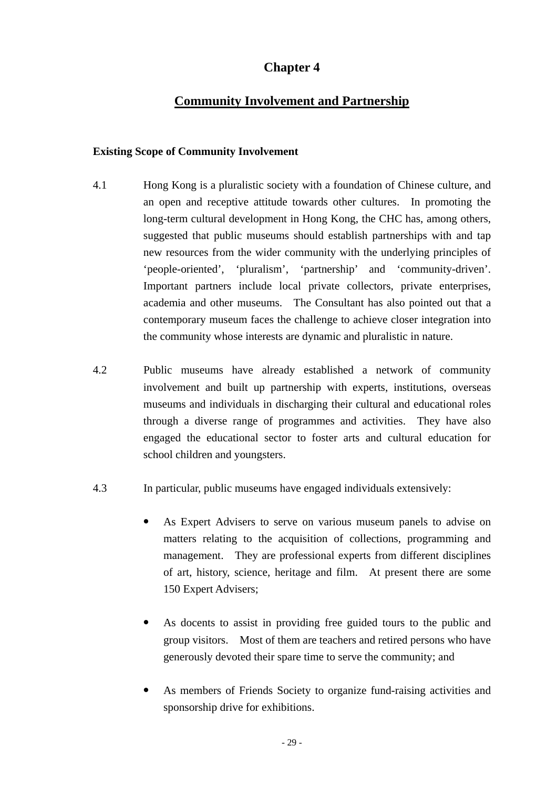# **Chapter 4**

# **Community Involvement and Partnership**

#### **Existing Scope of Community Involvement**

- 4.1 Hong Kong is a pluralistic society with a foundation of Chinese culture, and an open and receptive attitude towards other cultures. In promoting the long-term cultural development in Hong Kong, the CHC has, among others, suggested that public museums should establish partnerships with and tap new resources from the wider community with the underlying principles of 'people-oriented', 'pluralism', 'partnership' and 'community-driven'. Important partners include local private collectors, private enterprises, academia and other museums. The Consultant has also pointed out that a contemporary museum faces the challenge to achieve closer integration into the community whose interests are dynamic and pluralistic in nature.
- 4.2 Public museums have already established a network of community involvement and built up partnership with experts, institutions, overseas museums and individuals in discharging their cultural and educational roles through a diverse range of programmes and activities. They have also engaged the educational sector to foster arts and cultural education for school children and youngsters.
- 4.3 In particular, public museums have engaged individuals extensively:
	- As Expert Advisers to serve on various museum panels to advise on matters relating to the acquisition of collections, programming and management. They are professional experts from different disciplines of art, history, science, heritage and film. At present there are some 150 Expert Advisers;
	- As docents to assist in providing free guided tours to the public and group visitors. Most of them are teachers and retired persons who have generously devoted their spare time to serve the community; and
	- As members of Friends Society to organize fund-raising activities and sponsorship drive for exhibitions.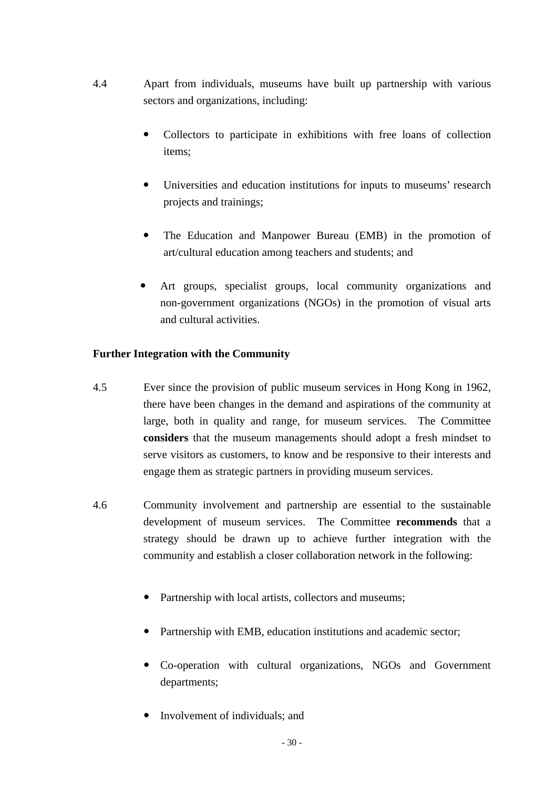- 4.4 Apart from individuals, museums have built up partnership with various sectors and organizations, including:
	- Collectors to participate in exhibitions with free loans of collection items;
	- Universities and education institutions for inputs to museums' research projects and trainings;
	- The Education and Manpower Bureau (EMB) in the promotion of art/cultural education among teachers and students; and
	- Art groups, specialist groups, local community organizations and non-government organizations (NGOs) in the promotion of visual arts and cultural activities.

## **Further Integration with the Community**

- 4.5 Ever since the provision of public museum services in Hong Kong in 1962, there have been changes in the demand and aspirations of the community at large, both in quality and range, for museum services. The Committee **considers** that the museum managements should adopt a fresh mindset to serve visitors as customers, to know and be responsive to their interests and engage them as strategic partners in providing museum services.
- 4.6 Community involvement and partnership are essential to the sustainable development of museum services. The Committee **recommends** that a strategy should be drawn up to achieve further integration with the community and establish a closer collaboration network in the following:
	- Partnership with local artists, collectors and museums;
	- Partnership with EMB, education institutions and academic sector;
	- Co-operation with cultural organizations, NGOs and Government departments;
	- Involvement of individuals; and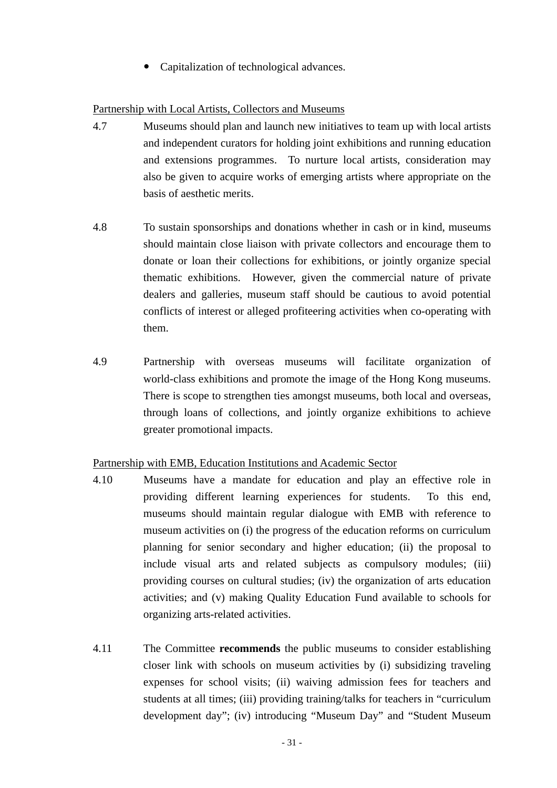Capitalization of technological advances.

## Partnership with Local Artists, Collectors and Museums

- 4.7 Museums should plan and launch new initiatives to team up with local artists and independent curators for holding joint exhibitions and running education and extensions programmes. To nurture local artists, consideration may also be given to acquire works of emerging artists where appropriate on the basis of aesthetic merits.
- 4.8 To sustain sponsorships and donations whether in cash or in kind, museums should maintain close liaison with private collectors and encourage them to donate or loan their collections for exhibitions, or jointly organize special thematic exhibitions. However, given the commercial nature of private dealers and galleries, museum staff should be cautious to avoid potential conflicts of interest or alleged profiteering activities when co-operating with them.
- 4.9 Partnership with overseas museums will facilitate organization of world-class exhibitions and promote the image of the Hong Kong museums. There is scope to strengthen ties amongst museums, both local and overseas, through loans of collections, and jointly organize exhibitions to achieve greater promotional impacts.

## Partnership with EMB, Education Institutions and Academic Sector

- 4.10 Museums have a mandate for education and play an effective role in providing different learning experiences for students. To this end, museums should maintain regular dialogue with EMB with reference to museum activities on (i) the progress of the education reforms on curriculum planning for senior secondary and higher education; (ii) the proposal to include visual arts and related subjects as compulsory modules; (iii) providing courses on cultural studies; (iv) the organization of arts education activities; and (v) making Quality Education Fund available to schools for organizing arts-related activities.
- 4.11 The Committee **recommends** the public museums to consider establishing closer link with schools on museum activities by (i) subsidizing traveling expenses for school visits; (ii) waiving admission fees for teachers and students at all times; (iii) providing training/talks for teachers in "curriculum development day"; (iv) introducing "Museum Day" and "Student Museum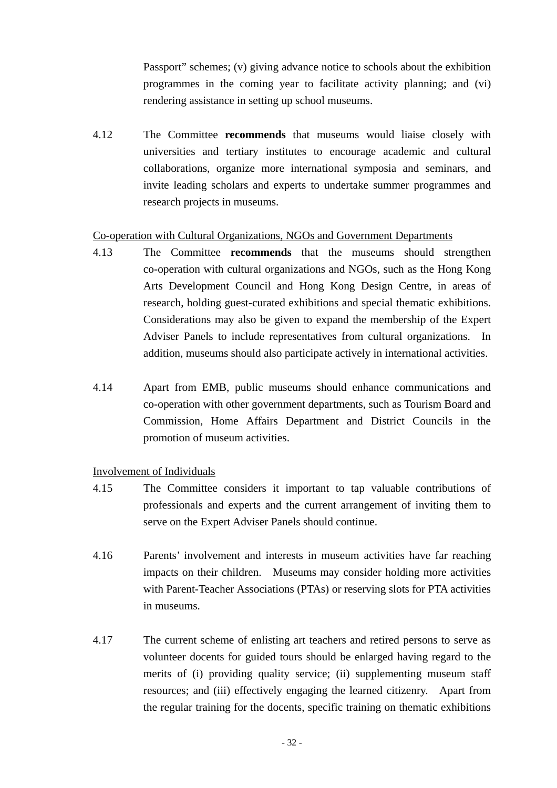Passport" schemes; (v) giving advance notice to schools about the exhibition programmes in the coming year to facilitate activity planning; and (vi) rendering assistance in setting up school museums.

4.12 The Committee **recommends** that museums would liaise closely with universities and tertiary institutes to encourage academic and cultural collaborations, organize more international symposia and seminars, and invite leading scholars and experts to undertake summer programmes and research projects in museums.

#### Co-operation with Cultural Organizations, NGOs and Government Departments

- 4.13 The Committee **recommends** that the museums should strengthen co-operation with cultural organizations and NGOs, such as the Hong Kong Arts Development Council and Hong Kong Design Centre, in areas of research, holding guest-curated exhibitions and special thematic exhibitions. Considerations may also be given to expand the membership of the Expert Adviser Panels to include representatives from cultural organizations. In addition, museums should also participate actively in international activities.
- 4.14 Apart from EMB, public museums should enhance communications and co-operation with other government departments, such as Tourism Board and Commission, Home Affairs Department and District Councils in the promotion of museum activities.

## Involvement of Individuals

- 4.15 The Committee considers it important to tap valuable contributions of professionals and experts and the current arrangement of inviting them to serve on the Expert Adviser Panels should continue.
- 4.16 Parents' involvement and interests in museum activities have far reaching impacts on their children. Museums may consider holding more activities with Parent-Teacher Associations (PTAs) or reserving slots for PTA activities in museums.
- 4.17 The current scheme of enlisting art teachers and retired persons to serve as volunteer docents for guided tours should be enlarged having regard to the merits of (i) providing quality service; (ii) supplementing museum staff resources; and (iii) effectively engaging the learned citizenry. Apart from the regular training for the docents, specific training on thematic exhibitions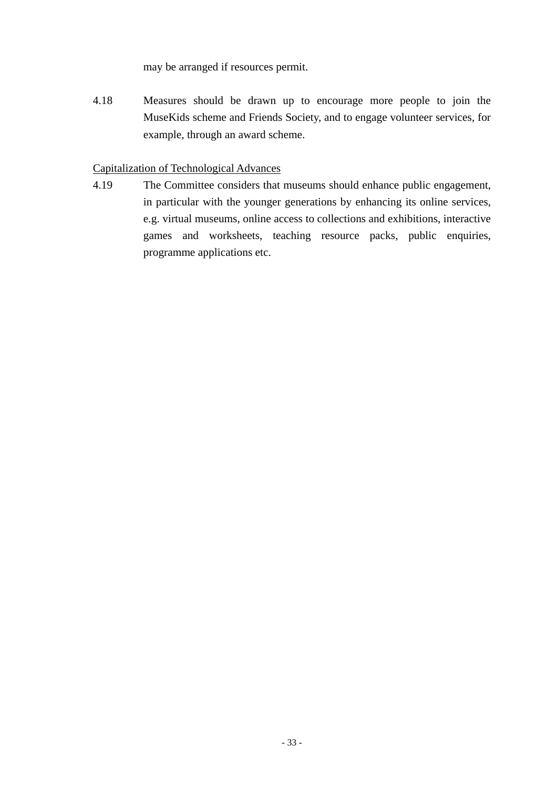may be arranged if resources permit.

4.18 Measures should be drawn up to encourage more people to join the MuseKids scheme and Friends Society, and to engage volunteer services, for example, through an award scheme.

## Capitalization of Technological Advances

4.19 The Committee considers that museums should enhance public engagement, in particular with the younger generations by enhancing its online services, e.g. virtual museums, online access to collections and exhibitions, interactive games and worksheets, teaching resource packs, public enquiries, programme applications etc.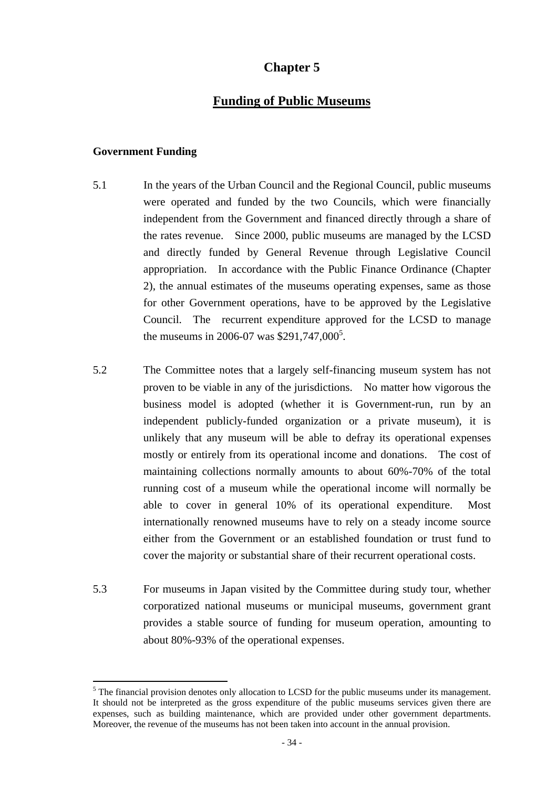# **Chapter 5**

## **Funding of Public Museums**

#### **Government Funding**

 $\overline{a}$ 

- 5.1 In the years of the Urban Council and the Regional Council, public museums were operated and funded by the two Councils, which were financially independent from the Government and financed directly through a share of the rates revenue. Since 2000, public museums are managed by the LCSD and directly funded by General Revenue through Legislative Council appropriation. In accordance with the Public Finance Ordinance (Chapter 2), the annual estimates of the museums operating expenses, same as those for other Government operations, have to be approved by the Legislative Council. The recurrent expenditure approved for the LCSD to manage the museums in 2006-07 was \$291,747,000<sup>5</sup>.
- 5.2 The Committee notes that a largely self-financing museum system has not proven to be viable in any of the jurisdictions. No matter how vigorous the business model is adopted (whether it is Government-run, run by an independent publicly-funded organization or a private museum), it is unlikely that any museum will be able to defray its operational expenses mostly or entirely from its operational income and donations. The cost of maintaining collections normally amounts to about 60%-70% of the total running cost of a museum while the operational income will normally be able to cover in general 10% of its operational expenditure. Most internationally renowned museums have to rely on a steady income source either from the Government or an established foundation or trust fund to cover the majority or substantial share of their recurrent operational costs.
- 5.3For museums in Japan visited by the Committee during study tour, whether corporatized national museums or municipal museums, government grant provides a stable source of funding for museum operation, amounting to about 80%-93% of the operational expenses.

 $<sup>5</sup>$  The financial provision denotes only allocation to LCSD for the public museums under its management.</sup> It should not be interpreted as the gross expenditure of the public museums services given there are expenses, such as building maintenance, which are provided under other government departments. Moreover, the revenue of the museums has not been taken into account in the annual provision.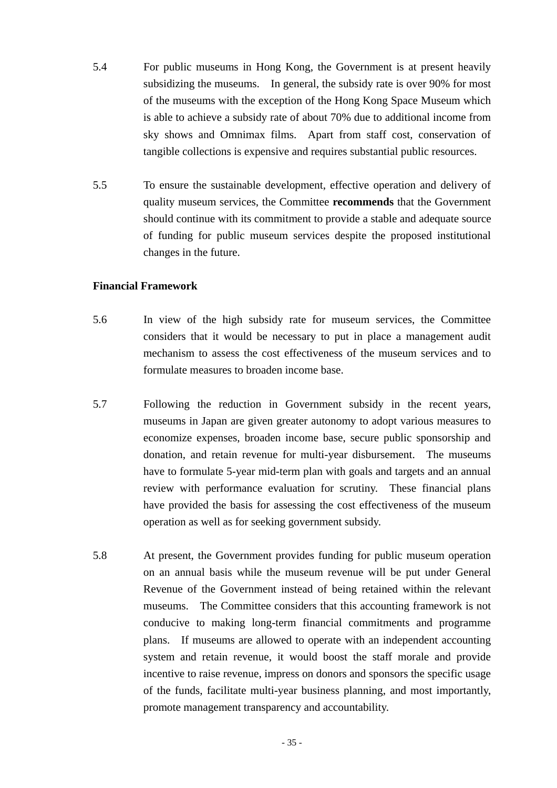- 5.4 For public museums in Hong Kong, the Government is at present heavily subsidizing the museums. In general, the subsidy rate is over 90% for most of the museums with the exception of the Hong Kong Space Museum which is able to achieve a subsidy rate of about 70% due to additional income from sky shows and Omnimax films. Apart from staff cost, conservation of tangible collections is expensive and requires substantial public resources.
- 5.5 To ensure the sustainable development, effective operation and delivery of quality museum services, the Committee **recommends** that the Government should continue with its commitment to provide a stable and adequate source of funding for public museum services despite the proposed institutional changes in the future.

#### **Financial Framework**

- 5.6 In view of the high subsidy rate for museum services, the Committee considers that it would be necessary to put in place a management audit mechanism to assess the cost effectiveness of the museum services and to formulate measures to broaden income base.
- 5.7 Following the reduction in Government subsidy in the recent years, museums in Japan are given greater autonomy to adopt various measures to economize expenses, broaden income base, secure public sponsorship and donation, and retain revenue for multi-year disbursement. The museums have to formulate 5-year mid-term plan with goals and targets and an annual review with performance evaluation for scrutiny. These financial plans have provided the basis for assessing the cost effectiveness of the museum operation as well as for seeking government subsidy.
- 5.8 At present, the Government provides funding for public museum operation on an annual basis while the museum revenue will be put under General Revenue of the Government instead of being retained within the relevant museums. The Committee considers that this accounting framework is not conducive to making long-term financial commitments and programme plans. If museums are allowed to operate with an independent accounting system and retain revenue, it would boost the staff morale and provide incentive to raise revenue, impress on donors and sponsors the specific usage of the funds, facilitate multi-year business planning, and most importantly, promote management transparency and accountability.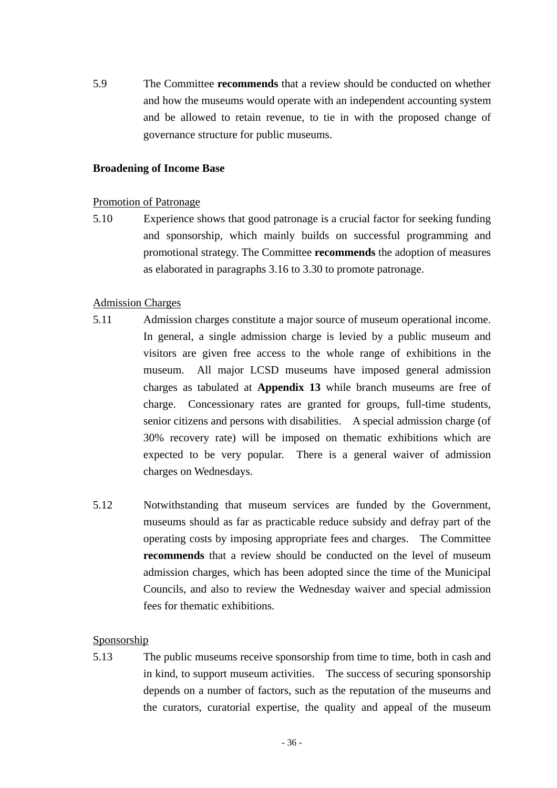5.9 The Committee **recommends** that a review should be conducted on whether and how the museums would operate with an independent accounting system and be allowed to retain revenue, to tie in with the proposed change of governance structure for public museums.

#### **Broadening of Income Base**

#### Promotion of Patronage

5.10 Experience shows that good patronage is a crucial factor for seeking funding and sponsorship, which mainly builds on successful programming and promotional strategy. The Committee **recommends** the adoption of measures as elaborated in paragraphs 3.16 to 3.30 to promote patronage.

#### Admission Charges

- 5.11 Admission charges constitute a major source of museum operational income. In general, a single admission charge is levied by a public museum and visitors are given free access to the whole range of exhibitions in the museum. All major LCSD museums have imposed general admission charges as tabulated at **Appendix 13** while branch museums are free of charge. Concessionary rates are granted for groups, full-time students, senior citizens and persons with disabilities. A special admission charge (of 30% recovery rate) will be imposed on thematic exhibitions which are expected to be very popular. There is a general waiver of admission charges on Wednesdays.
- 5.12 Notwithstanding that museum services are funded by the Government, museums should as far as practicable reduce subsidy and defray part of the operating costs by imposing appropriate fees and charges. The Committee **recommends** that a review should be conducted on the level of museum admission charges, which has been adopted since the time of the Municipal Councils, and also to review the Wednesday waiver and special admission fees for thematic exhibitions.

## Sponsorship

5.13 The public museums receive sponsorship from time to time, both in cash and in kind, to support museum activities. The success of securing sponsorship depends on a number of factors, such as the reputation of the museums and the curators, curatorial expertise, the quality and appeal of the museum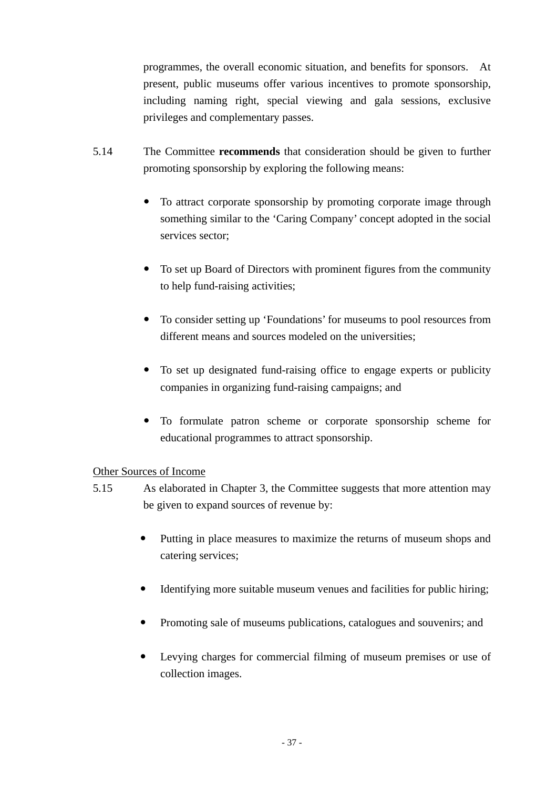programmes, the overall economic situation, and benefits for sponsors. At present, public museums offer various incentives to promote sponsorship, including naming right, special viewing and gala sessions, exclusive privileges and complementary passes.

- 5.14 The Committee **recommends** that consideration should be given to further promoting sponsorship by exploring the following means:
	- To attract corporate sponsorship by promoting corporate image through something similar to the 'Caring Company' concept adopted in the social services sector;
	- To set up Board of Directors with prominent figures from the community to help fund-raising activities;
	- To consider setting up 'Foundations' for museums to pool resources from different means and sources modeled on the universities;
	- To set up designated fund-raising office to engage experts or publicity companies in organizing fund-raising campaigns; and
	- To formulate patron scheme or corporate sponsorship scheme for educational programmes to attract sponsorship.

## Other Sources of Income

- 5.15 As elaborated in Chapter 3, the Committee suggests that more attention may be given to expand sources of revenue by:
	- Putting in place measures to maximize the returns of museum shops and catering services;
	- Identifying more suitable museum venues and facilities for public hiring;
	- Promoting sale of museums publications, catalogues and souvenirs; and
	- Levying charges for commercial filming of museum premises or use of collection images.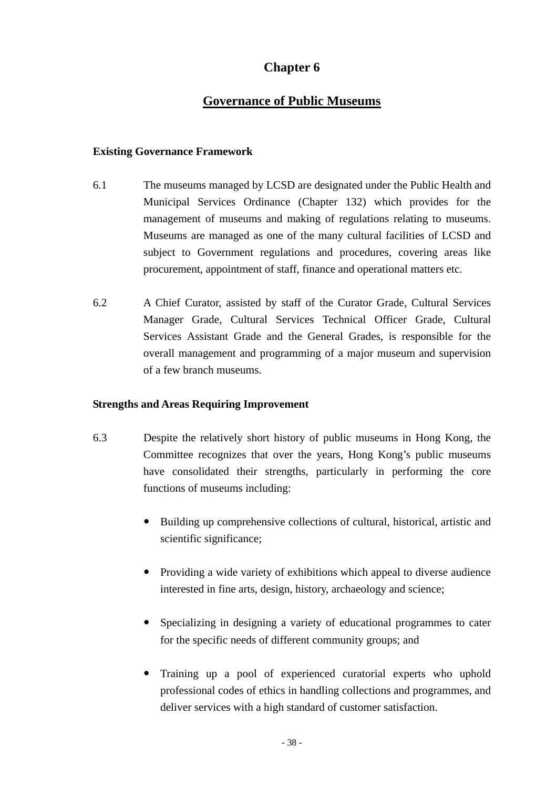# **Chapter 6**

# **Governance of Public Museums**

#### **Existing Governance Framework**

- 6.1 The museums managed by LCSD are designated under the Public Health and Municipal Services Ordinance (Chapter 132) which provides for the management of museums and making of regulations relating to museums. Museums are managed as one of the many cultural facilities of LCSD and subject to Government regulations and procedures, covering areas like procurement, appointment of staff, finance and operational matters etc.
- 6.2 A Chief Curator, assisted by staff of the Curator Grade, Cultural Services Manager Grade, Cultural Services Technical Officer Grade, Cultural Services Assistant Grade and the General Grades, is responsible for the overall management and programming of a major museum and supervision of a few branch museums.

#### **Strengths and Areas Requiring Improvement**

- 6.3 Despite the relatively short history of public museums in Hong Kong, the Committee recognizes that over the years, Hong Kong's public museums have consolidated their strengths, particularly in performing the core functions of museums including:
	- Building up comprehensive collections of cultural, historical, artistic and scientific significance;
	- Providing a wide variety of exhibitions which appeal to diverse audience interested in fine arts, design, history, archaeology and science;
	- Specializing in designing a variety of educational programmes to cater for the specific needs of different community groups; and
	- Training up a pool of experienced curatorial experts who uphold professional codes of ethics in handling collections and programmes, and deliver services with a high standard of customer satisfaction.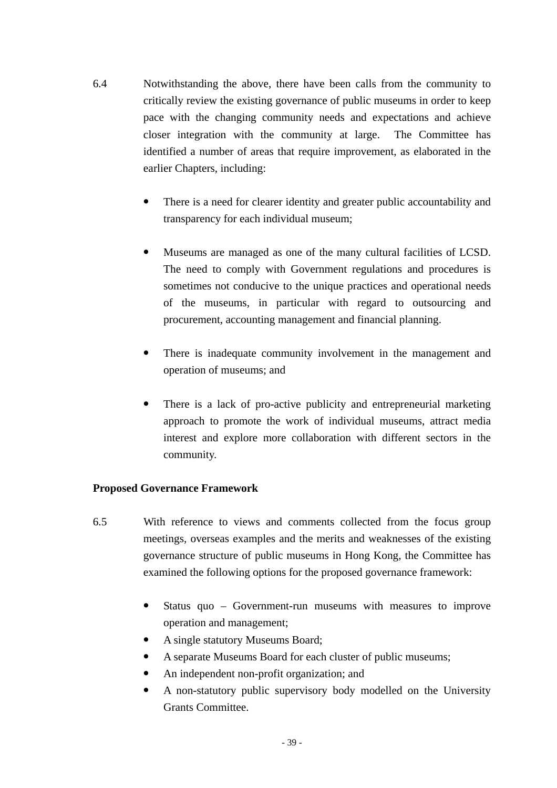- 6.4 Notwithstanding the above, there have been calls from the community to critically review the existing governance of public museums in order to keep pace with the changing community needs and expectations and achieve closer integration with the community at large. The Committee has identified a number of areas that require improvement, as elaborated in the earlier Chapters, including:
	- There is a need for clearer identity and greater public accountability and transparency for each individual museum;
	- Museums are managed as one of the many cultural facilities of LCSD. The need to comply with Government regulations and procedures is sometimes not conducive to the unique practices and operational needs of the museums, in particular with regard to outsourcing and procurement, accounting management and financial planning.
	- There is inadequate community involvement in the management and operation of museums; and
	- There is a lack of pro-active publicity and entrepreneurial marketing approach to promote the work of individual museums, attract media interest and explore more collaboration with different sectors in the community.

## **Proposed Governance Framework**

- 6.5 With reference to views and comments collected from the focus group meetings, overseas examples and the merits and weaknesses of the existing governance structure of public museums in Hong Kong, the Committee has examined the following options for the proposed governance framework:
	- Status quo Government-run museums with measures to improve operation and management;
	- A single statutory Museums Board;
	- A separate Museums Board for each cluster of public museums;
	- An independent non-profit organization; and
	- A non-statutory public supervisory body modelled on the University Grants Committee.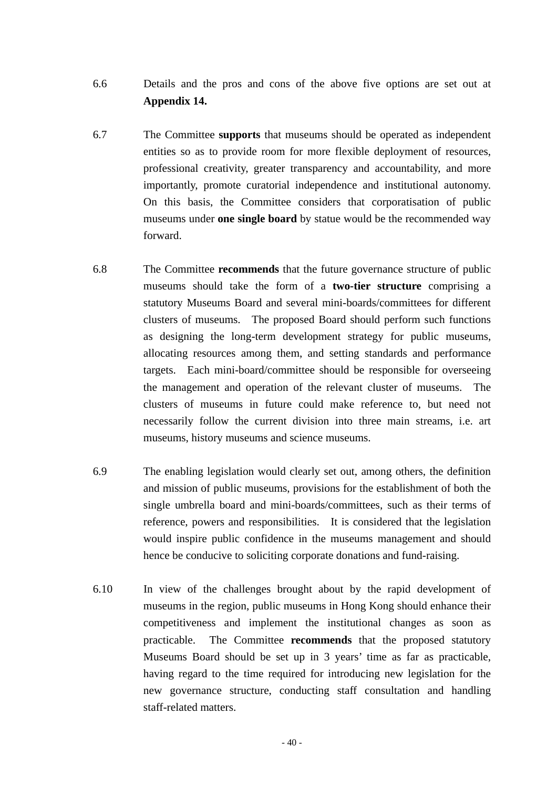- 6.6 Details and the pros and cons of the above five options are set out at **Appendix 14.**
- 6.7 The Committee **supports** that museums should be operated as independent entities so as to provide room for more flexible deployment of resources, professional creativity, greater transparency and accountability, and more importantly, promote curatorial independence and institutional autonomy. On this basis, the Committee considers that corporatisation of public museums under **one single board** by statue would be the recommended way forward.
- 6.8 The Committee **recommends** that the future governance structure of public museums should take the form of a **two-tier structure** comprising a statutory Museums Board and several mini-boards/committees for different clusters of museums. The proposed Board should perform such functions as designing the long-term development strategy for public museums, allocating resources among them, and setting standards and performance targets. Each mini-board/committee should be responsible for overseeing the management and operation of the relevant cluster of museums. The clusters of museums in future could make reference to, but need not necessarily follow the current division into three main streams, i.e. art museums, history museums and science museums.
- 6.9 The enabling legislation would clearly set out, among others, the definition and mission of public museums, provisions for the establishment of both the single umbrella board and mini-boards/committees, such as their terms of reference, powers and responsibilities. It is considered that the legislation would inspire public confidence in the museums management and should hence be conducive to soliciting corporate donations and fund-raising.
- 6.10 In view of the challenges brought about by the rapid development of museums in the region, public museums in Hong Kong should enhance their competitiveness and implement the institutional changes as soon as practicable. The Committee **recommends** that the proposed statutory Museums Board should be set up in 3 years' time as far as practicable, having regard to the time required for introducing new legislation for the new governance structure, conducting staff consultation and handling staff-related matters.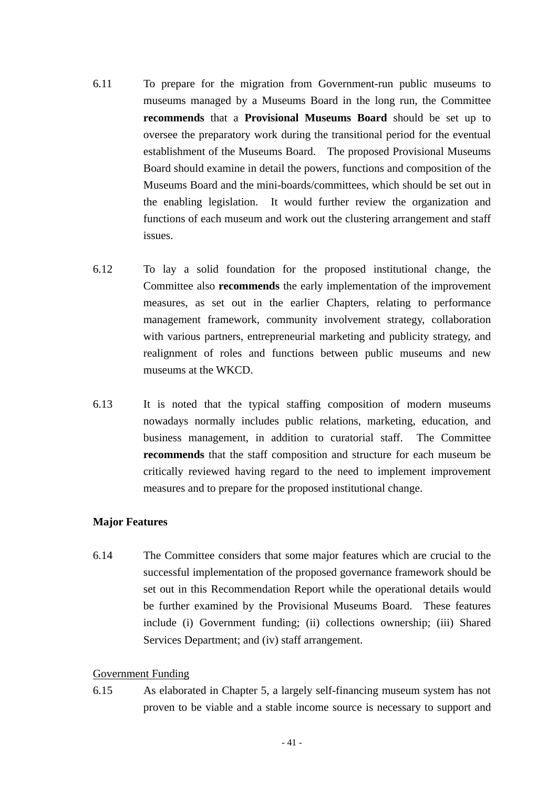- 6.11 To prepare for the migration from Government-run public museums to museums managed by a Museums Board in the long run, the Committee **recommends** that a **Provisional Museums Board** should be set up to oversee the preparatory work during the transitional period for the eventual establishment of the Museums Board. The proposed Provisional Museums Board should examine in detail the powers, functions and composition of the Museums Board and the mini-boards/committees, which should be set out in the enabling legislation. It would further review the organization and functions of each museum and work out the clustering arrangement and staff issues.
- 6.12 To lay a solid foundation for the proposed institutional change, the Committee also **recommends** the early implementation of the improvement measures, as set out in the earlier Chapters, relating to performance management framework, community involvement strategy, collaboration with various partners, entrepreneurial marketing and publicity strategy, and realignment of roles and functions between public museums and new museums at the WKCD.
- 6.13 It is noted that the typical staffing composition of modern museums nowadays normally includes public relations, marketing, education, and business management, in addition to curatorial staff. The Committee **recommends** that the staff composition and structure for each museum be critically reviewed having regard to the need to implement improvement measures and to prepare for the proposed institutional change.

## **Major Features**

6.14 The Committee considers that some major features which are crucial to the successful implementation of the proposed governance framework should be set out in this Recommendation Report while the operational details would be further examined by the Provisional Museums Board. These features include (i) Government funding; (ii) collections ownership; (iii) Shared Services Department; and (iv) staff arrangement.

## Government Funding

6.15 As elaborated in Chapter 5, a largely self-financing museum system has not proven to be viable and a stable income source is necessary to support and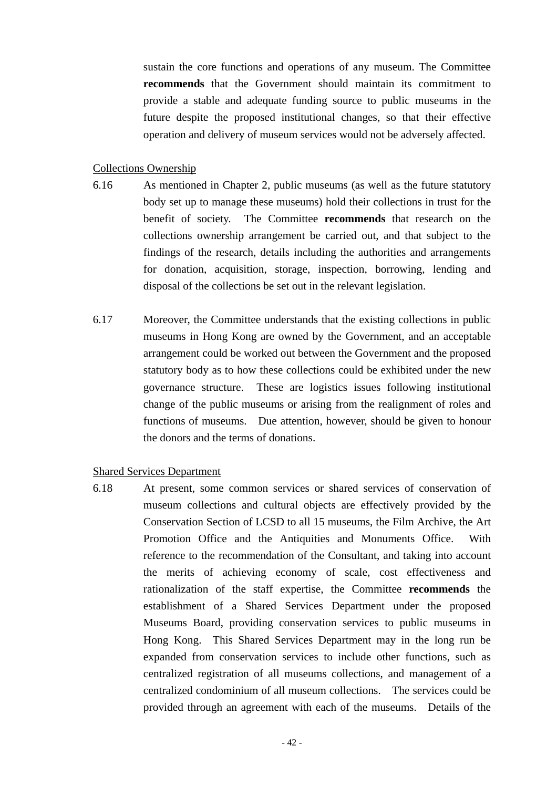sustain the core functions and operations of any museum. The Committee **recommends** that the Government should maintain its commitment to provide a stable and adequate funding source to public museums in the future despite the proposed institutional changes, so that their effective operation and delivery of museum services would not be adversely affected.

#### Collections Ownership

- 6.16 As mentioned in Chapter 2, public museums (as well as the future statutory body set up to manage these museums) hold their collections in trust for the benefit of society. The Committee **recommends** that research on the collections ownership arrangement be carried out, and that subject to the findings of the research, details including the authorities and arrangements for donation, acquisition, storage, inspection, borrowing, lending and disposal of the collections be set out in the relevant legislation.
- 6.17 Moreover, the Committee understands that the existing collections in public museums in Hong Kong are owned by the Government, and an acceptable arrangement could be worked out between the Government and the proposed statutory body as to how these collections could be exhibited under the new governance structure. These are logistics issues following institutional change of the public museums or arising from the realignment of roles and functions of museums. Due attention, however, should be given to honour the donors and the terms of donations.

#### Shared Services Department

6.18 At present, some common services or shared services of conservation of museum collections and cultural objects are effectively provided by the Conservation Section of LCSD to all 15 museums, the Film Archive, the Art Promotion Office and the Antiquities and Monuments Office. With reference to the recommendation of the Consultant, and taking into account the merits of achieving economy of scale, cost effectiveness and rationalization of the staff expertise, the Committee **recommends** the establishment of a Shared Services Department under the proposed Museums Board, providing conservation services to public museums in Hong Kong. This Shared Services Department may in the long run be expanded from conservation services to include other functions, such as centralized registration of all museums collections, and management of a centralized condominium of all museum collections. The services could be provided through an agreement with each of the museums. Details of the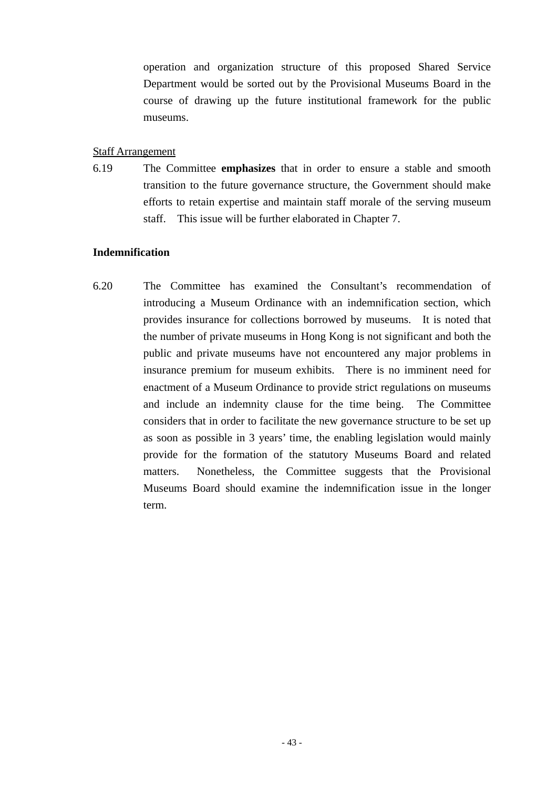operation and organization structure of this proposed Shared Service Department would be sorted out by the Provisional Museums Board in the course of drawing up the future institutional framework for the public museums.

#### Staff Arrangement

6.19 The Committee **emphasizes** that in order to ensure a stable and smooth transition to the future governance structure, the Government should make efforts to retain expertise and maintain staff morale of the serving museum staff. This issue will be further elaborated in Chapter 7.

#### **Indemnification**

6.20 The Committee has examined the Consultant's recommendation of introducing a Museum Ordinance with an indemnification section, which provides insurance for collections borrowed by museums. It is noted that the number of private museums in Hong Kong is not significant and both the public and private museums have not encountered any major problems in insurance premium for museum exhibits. There is no imminent need for enactment of a Museum Ordinance to provide strict regulations on museums and include an indemnity clause for the time being. The Committee considers that in order to facilitate the new governance structure to be set up as soon as possible in 3 years' time, the enabling legislation would mainly provide for the formation of the statutory Museums Board and related matters. Nonetheless, the Committee suggests that the Provisional Museums Board should examine the indemnification issue in the longer term.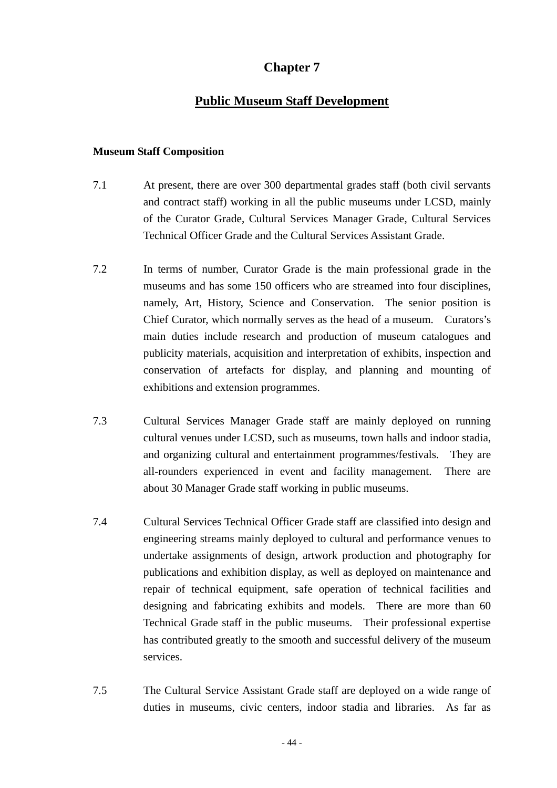# **Chapter 7**

## **Public Museum Staff Development**

#### **Museum Staff Composition**

- 7.1 At present, there are over 300 departmental grades staff (both civil servants and contract staff) working in all the public museums under LCSD, mainly of the Curator Grade, Cultural Services Manager Grade, Cultural Services Technical Officer Grade and the Cultural Services Assistant Grade.
- 7.2 In terms of number, Curator Grade is the main professional grade in the museums and has some 150 officers who are streamed into four disciplines, namely, Art, History, Science and Conservation. The senior position is Chief Curator, which normally serves as the head of a museum. Curators's main duties include research and production of museum catalogues and publicity materials, acquisition and interpretation of exhibits, inspection and conservation of artefacts for display, and planning and mounting of exhibitions and extension programmes.
- 7.3 Cultural Services Manager Grade staff are mainly deployed on running cultural venues under LCSD, such as museums, town halls and indoor stadia, and organizing cultural and entertainment programmes/festivals. They are all-rounders experienced in event and facility management. There are about 30 Manager Grade staff working in public museums.
- 7.4 Cultural Services Technical Officer Grade staff are classified into design and engineering streams mainly deployed to cultural and performance venues to undertake assignments of design, artwork production and photography for publications and exhibition display, as well as deployed on maintenance and repair of technical equipment, safe operation of technical facilities and designing and fabricating exhibits and models. There are more than 60 Technical Grade staff in the public museums. Their professional expertise has contributed greatly to the smooth and successful delivery of the museum services.
- 7.5 The Cultural Service Assistant Grade staff are deployed on a wide range of duties in museums, civic centers, indoor stadia and libraries. As far as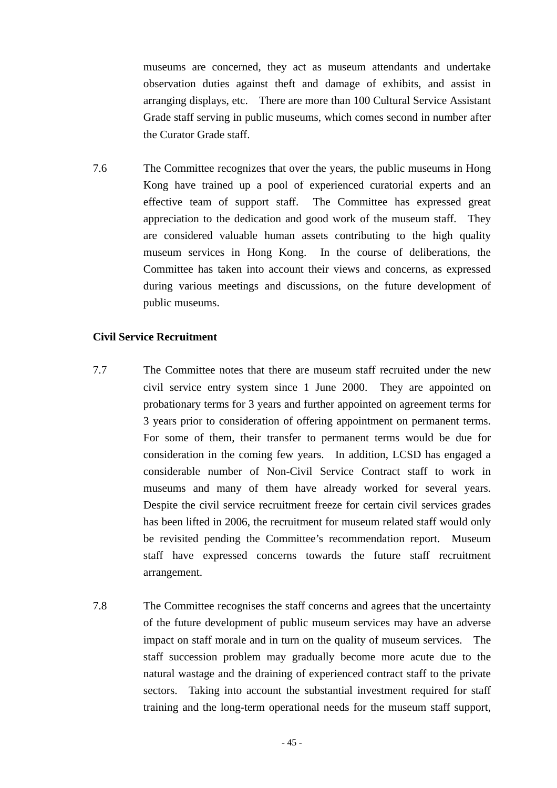museums are concerned, they act as museum attendants and undertake observation duties against theft and damage of exhibits, and assist in arranging displays, etc. There are more than 100 Cultural Service Assistant Grade staff serving in public museums, which comes second in number after the Curator Grade staff.

7.6 The Committee recognizes that over the years, the public museums in Hong Kong have trained up a pool of experienced curatorial experts and an effective team of support staff. The Committee has expressed great appreciation to the dedication and good work of the museum staff. They are considered valuable human assets contributing to the high quality museum services in Hong Kong. In the course of deliberations, the Committee has taken into account their views and concerns, as expressed during various meetings and discussions, on the future development of public museums.

## **Civil Service Recruitment**

- 7.7 The Committee notes that there are museum staff recruited under the new civil service entry system since 1 June 2000. They are appointed on probationary terms for 3 years and further appointed on agreement terms for 3 years prior to consideration of offering appointment on permanent terms. For some of them, their transfer to permanent terms would be due for consideration in the coming few years. In addition, LCSD has engaged a considerable number of Non-Civil Service Contract staff to work in museums and many of them have already worked for several years. Despite the civil service recruitment freeze for certain civil services grades has been lifted in 2006, the recruitment for museum related staff would only be revisited pending the Committee's recommendation report. Museum staff have expressed concerns towards the future staff recruitment arrangement.
- 7.8 The Committee recognises the staff concerns and agrees that the uncertainty of the future development of public museum services may have an adverse impact on staff morale and in turn on the quality of museum services. The staff succession problem may gradually become more acute due to the natural wastage and the draining of experienced contract staff to the private sectors. Taking into account the substantial investment required for staff training and the long-term operational needs for the museum staff support,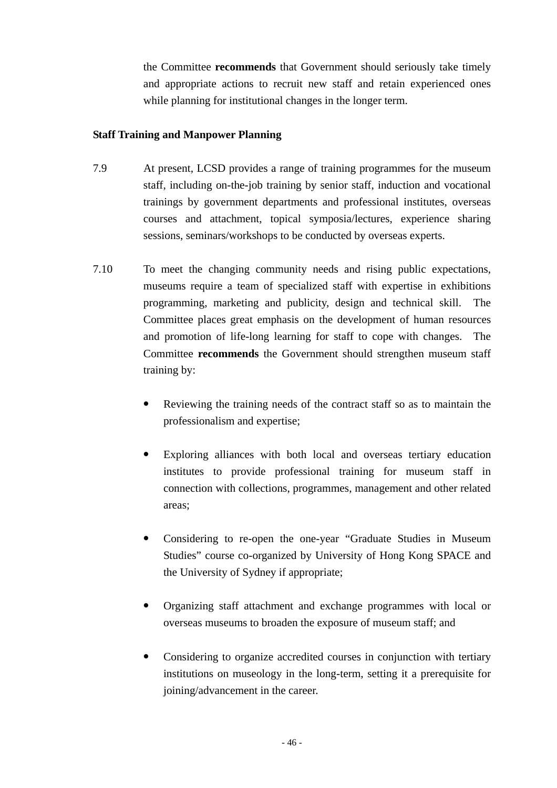the Committee **recommends** that Government should seriously take timely and appropriate actions to recruit new staff and retain experienced ones while planning for institutional changes in the longer term.

## **Staff Training and Manpower Planning**

- 7.9 At present, LCSD provides a range of training programmes for the museum staff, including on-the-job training by senior staff, induction and vocational trainings by government departments and professional institutes, overseas courses and attachment, topical symposia/lectures, experience sharing sessions, seminars/workshops to be conducted by overseas experts.
- 7.10 To meet the changing community needs and rising public expectations, museums require a team of specialized staff with expertise in exhibitions programming, marketing and publicity, design and technical skill. The Committee places great emphasis on the development of human resources and promotion of life-long learning for staff to cope with changes. The Committee **recommends** the Government should strengthen museum staff training by:
	- Reviewing the training needs of the contract staff so as to maintain the professionalism and expertise;
	- Exploring alliances with both local and overseas tertiary education institutes to provide professional training for museum staff in connection with collections, programmes, management and other related areas;
	- Considering to re-open the one-year "Graduate Studies in Museum Studies" course co-organized by University of Hong Kong SPACE and the University of Sydney if appropriate;
	- Organizing staff attachment and exchange programmes with local or overseas museums to broaden the exposure of museum staff; and
	- Considering to organize accredited courses in conjunction with tertiary institutions on museology in the long-term, setting it a prerequisite for joining/advancement in the career.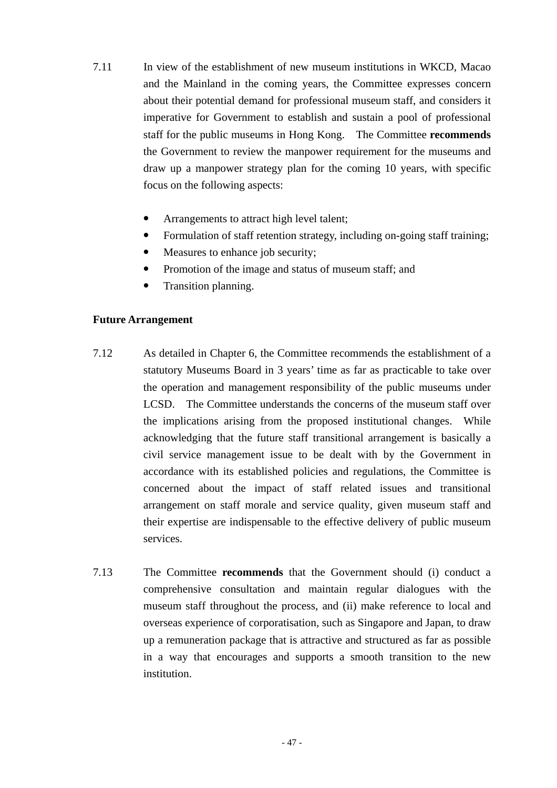- 7.11 In view of the establishment of new museum institutions in WKCD, Macao and the Mainland in the coming years, the Committee expresses concern about their potential demand for professional museum staff, and considers it imperative for Government to establish and sustain a pool of professional staff for the public museums in Hong Kong. The Committee **recommends** the Government to review the manpower requirement for the museums and draw up a manpower strategy plan for the coming 10 years, with specific focus on the following aspects:
	- Arrangements to attract high level talent;
	- Formulation of staff retention strategy, including on-going staff training;
	- Measures to enhance job security;
	- Promotion of the image and status of museum staff; and
	- Transition planning.

#### **Future Arrangement**

- 7.12 As detailed in Chapter 6, the Committee recommends the establishment of a statutory Museums Board in 3 years' time as far as practicable to take over the operation and management responsibility of the public museums under LCSD. The Committee understands the concerns of the museum staff over the implications arising from the proposed institutional changes. While acknowledging that the future staff transitional arrangement is basically a civil service management issue to be dealt with by the Government in accordance with its established policies and regulations, the Committee is concerned about the impact of staff related issues and transitional arrangement on staff morale and service quality, given museum staff and their expertise are indispensable to the effective delivery of public museum services.
- 7.13 The Committee **recommends** that the Government should (i) conduct a comprehensive consultation and maintain regular dialogues with the museum staff throughout the process, and (ii) make reference to local and overseas experience of corporatisation, such as Singapore and Japan, to draw up a remuneration package that is attractive and structured as far as possible in a way that encourages and supports a smooth transition to the new institution.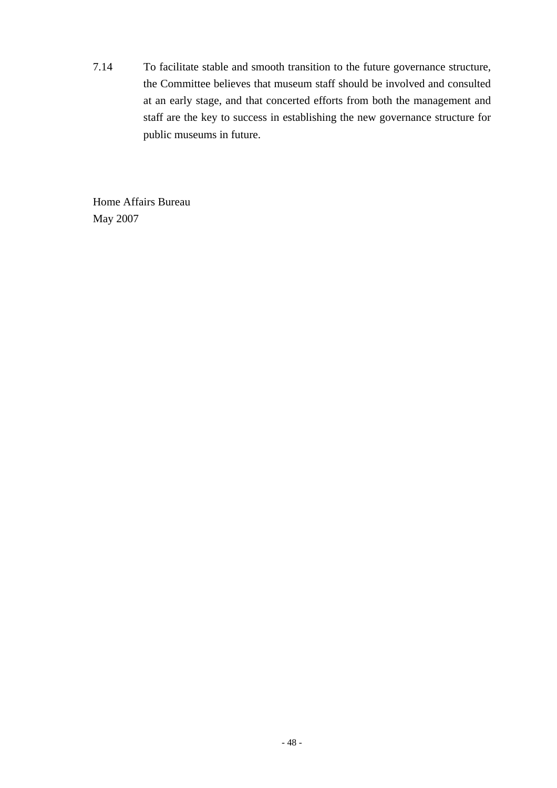7.14 To facilitate stable and smooth transition to the future governance structure, the Committee believes that museum staff should be involved and consulted at an early stage, and that concerted efforts from both the management and staff are the key to success in establishing the new governance structure for public museums in future.

Home Affairs Bureau May 2007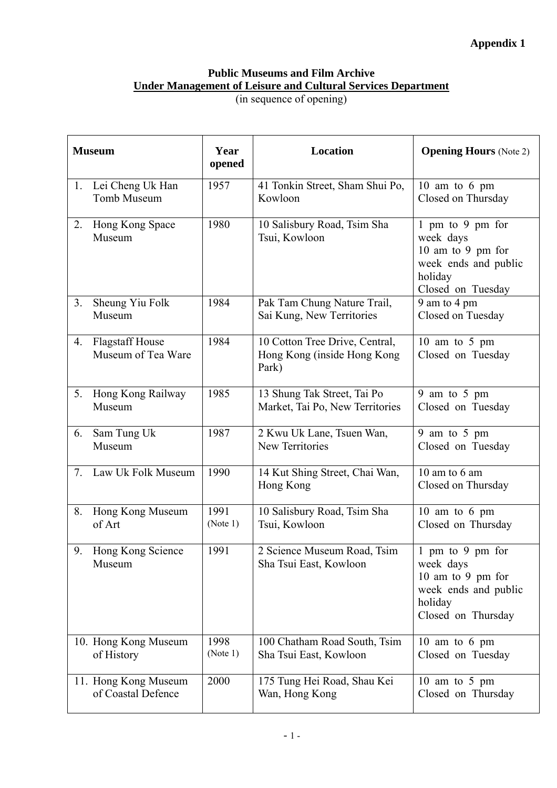# **Public Museums and Film Archive Under Management of Leisure and Cultural Services Department**

(in sequence of opening)

| <b>Museum</b> |                                              | Year<br>opened   | <b>Location</b>                                                        | <b>Opening Hours</b> (Note 2)                                                                               |
|---------------|----------------------------------------------|------------------|------------------------------------------------------------------------|-------------------------------------------------------------------------------------------------------------|
| 1.            | Lei Cheng Uk Han<br>Tomb Museum              | 1957             | 41 Tonkin Street, Sham Shui Po,<br>Kowloon                             | 10 am to 6 pm<br>Closed on Thursday                                                                         |
| 2.            | Hong Kong Space<br>Museum                    | 1980             | 10 Salisbury Road, Tsim Sha<br>Tsui, Kowloon                           | 1 pm to 9 pm for<br>week days<br>10 am to 9 pm for<br>week ends and public<br>holiday<br>Closed on Tuesday  |
| 3.            | Sheung Yiu Folk<br>Museum                    | 1984             | Pak Tam Chung Nature Trail,<br>Sai Kung, New Territories               | 9 am to 4 pm<br>Closed on Tuesday                                                                           |
| 4.            | <b>Flagstaff House</b><br>Museum of Tea Ware | 1984             | 10 Cotton Tree Drive, Central,<br>Hong Kong (inside Hong Kong<br>Park) | 10 am to 5 pm<br>Closed on Tuesday                                                                          |
| 5.            | Hong Kong Railway<br>Museum                  | 1985             | 13 Shung Tak Street, Tai Po<br>Market, Tai Po, New Territories         | 9 am to 5 pm<br>Closed on Tuesday                                                                           |
| 6.            | Sam Tung Uk<br>Museum                        | 1987             | 2 Kwu Uk Lane, Tsuen Wan,<br>New Territories                           | 9 am to 5 pm<br>Closed on Tuesday                                                                           |
| 7.            | Law Uk Folk Museum                           | 1990             | 14 Kut Shing Street, Chai Wan,<br>Hong Kong                            | 10 am to 6 am<br>Closed on Thursday                                                                         |
| 8.            | Hong Kong Museum<br>of Art                   | 1991<br>(Note 1) | 10 Salisbury Road, Tsim Sha<br>Tsui, Kowloon                           | 10 am to 6 pm<br>Closed on Thursday                                                                         |
| 9.            | Hong Kong Science<br>Museum                  | 1991             | 2 Science Museum Road, Tsim<br>Sha Tsui East, Kowloon                  | 1 pm to 9 pm for<br>week days<br>10 am to 9 pm for<br>week ends and public<br>holiday<br>Closed on Thursday |
|               | 10. Hong Kong Museum<br>of History           | 1998<br>(Note 1) | 100 Chatham Road South, Tsim<br>Sha Tsui East, Kowloon                 | 10 am to 6 pm<br>Closed on Tuesday                                                                          |
|               | 11. Hong Kong Museum<br>of Coastal Defence   | 2000             | 175 Tung Hei Road, Shau Kei<br>Wan, Hong Kong                          | 10 am to 5 pm<br>Closed on Thursday                                                                         |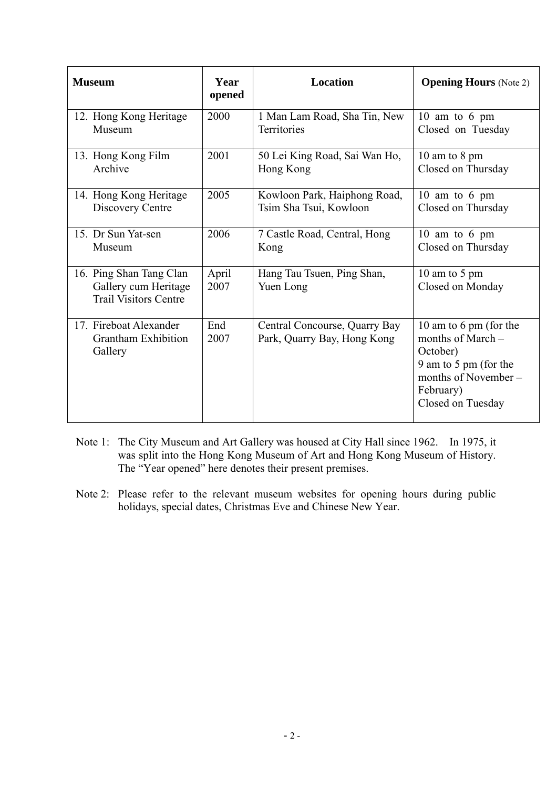| <b>Museum</b>                                                                   | Year<br>opened | <b>Location</b>                                              | <b>Opening Hours</b> (Note 2)                                                                                                                |
|---------------------------------------------------------------------------------|----------------|--------------------------------------------------------------|----------------------------------------------------------------------------------------------------------------------------------------------|
| 12. Hong Kong Heritage                                                          | 2000           | 1 Man Lam Road, Sha Tin, New                                 | 10 am to 6 pm                                                                                                                                |
| Museum                                                                          |                | <b>Territories</b>                                           | Closed on Tuesday                                                                                                                            |
| 13. Hong Kong Film                                                              | 2001           | 50 Lei King Road, Sai Wan Ho,                                | 10 am to 8 pm                                                                                                                                |
| Archive                                                                         |                | Hong Kong                                                    | Closed on Thursday                                                                                                                           |
| 14. Hong Kong Heritage                                                          | 2005           | Kowloon Park, Haiphong Road,                                 | 10 am to 6 pm                                                                                                                                |
| Discovery Centre                                                                |                | Tsim Sha Tsui, Kowloon                                       | Closed on Thursday                                                                                                                           |
| 15. Dr Sun Yat-sen                                                              | 2006           | 7 Castle Road, Central, Hong                                 | 10 am to 6 pm                                                                                                                                |
| Museum                                                                          |                | Kong                                                         | Closed on Thursday                                                                                                                           |
| 16. Ping Shan Tang Clan<br>Gallery cum Heritage<br><b>Trail Visitors Centre</b> | April<br>2007  | Hang Tau Tsuen, Ping Shan,<br>Yuen Long                      | 10 am to 5 pm<br>Closed on Monday                                                                                                            |
| 17. Fireboat Alexander<br><b>Grantham Exhibition</b><br>Gallery                 | End<br>2007    | Central Concourse, Quarry Bay<br>Park, Quarry Bay, Hong Kong | 10 am to 6 pm (for the<br>months of March $-$<br>October)<br>9 am to 5 pm (for the<br>months of November –<br>February)<br>Closed on Tuesday |

- Note 1: The City Museum and Art Gallery was housed at City Hall since 1962. In 1975, it was split into the Hong Kong Museum of Art and Hong Kong Museum of History. The "Year opened" here denotes their present premises.
- Note 2: Please refer to the relevant museum websites for opening hours during public holidays, special dates, Christmas Eve and Chinese New Year.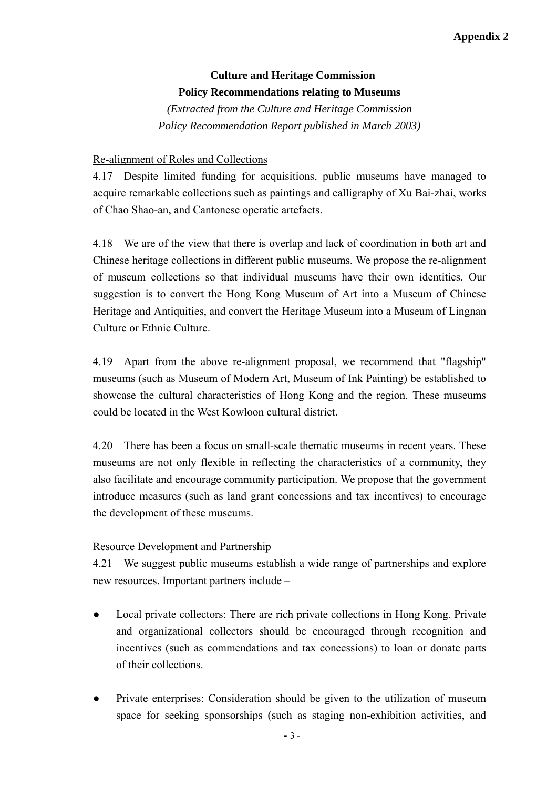## **Culture and Heritage Commission Policy Recommendations relating to Museums**

*(Extracted from the Culture and Heritage Commission Policy Recommendation Report published in March 2003)*

## Re-alignment of Roles and Collections

4.17 Despite limited funding for acquisitions, public museums have managed to acquire remarkable collections such as paintings and calligraphy of Xu Bai-zhai, works of Chao Shao-an, and Cantonese operatic artefacts.

4.18 We are of the view that there is overlap and lack of coordination in both art and Chinese heritage collections in different public museums. We propose the re-alignment of museum collections so that individual museums have their own identities. Our suggestion is to convert the Hong Kong Museum of Art into a Museum of Chinese Heritage and Antiquities, and convert the Heritage Museum into a Museum of Lingnan Culture or Ethnic Culture.

4.19 Apart from the above re-alignment proposal, we recommend that "flagship" museums (such as Museum of Modern Art, Museum of Ink Painting) be established to showcase the cultural characteristics of Hong Kong and the region. These museums could be located in the West Kowloon cultural district.

4.20 There has been a focus on small-scale thematic museums in recent years. These museums are not only flexible in reflecting the characteristics of a community, they also facilitate and encourage community participation. We propose that the government introduce measures (such as land grant concessions and tax incentives) to encourage the development of these museums.

## Resource Development and Partnership

4.21 We suggest public museums establish a wide range of partnerships and explore new resources. Important partners include –

- Local private collectors: There are rich private collections in Hong Kong. Private and organizational collectors should be encouraged through recognition and incentives (such as commendations and tax concessions) to loan or donate parts of their collections.
- Private enterprises: Consideration should be given to the utilization of museum space for seeking sponsorships (such as staging non-exhibition activities, and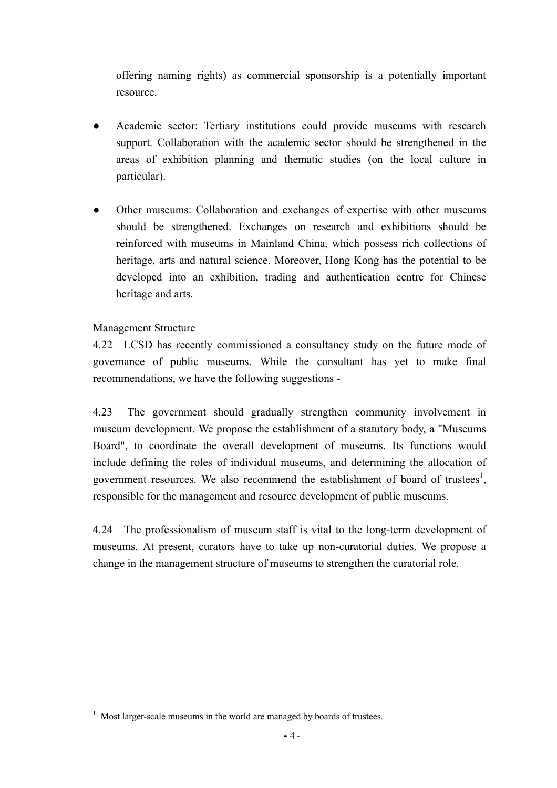offering naming rights) as commercial sponsorship is a potentially important resource.

- Academic sector: Tertiary institutions could provide museums with research support. Collaboration with the academic sector should be strengthened in the areas of exhibition planning and thematic studies (on the local culture in particular).
- Other museums: Collaboration and exchanges of expertise with other museums should be strengthened. Exchanges on research and exhibitions should be reinforced with museums in Mainland China, which possess rich collections of heritage, arts and natural science. Moreover, Hong Kong has the potential to be developed into an exhibition, trading and authentication centre for Chinese heritage and arts.

## Management Structure

4.22 LCSD has recently commissioned a consultancy study on the future mode of governance of public museums. While the consultant has yet to make final recommendations, we have the following suggestions -

4.23 The government should gradually strengthen community involvement in museum development. We propose the establishment of a statutory body, a "Museums Board", to coordinate the overall development of museums. Its functions would include defining the roles of individual museums, and determining the allocation of government resources. We also recommend the establishment of board of trustees<sup>1</sup>, responsible for the management and resource development of public museums.

4.24 The professionalism of museum staff is vital to the long-term development of museums. At present, curators have to take up non-curatorial duties. We propose a change in the management structure of museums to strengthen the curatorial role.

 $\overline{a}$ 1 Most larger-scale museums in the world are managed by boards of trustees.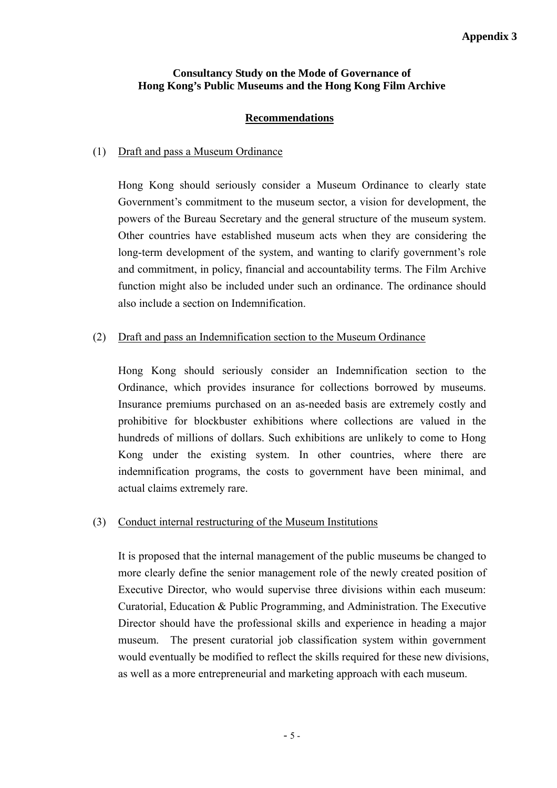## **Consultancy Study on the Mode of Governance of Hong Kong's Public Museums and the Hong Kong Film Archive**

## **Recommendations**

## (1) Draft and pass a Museum Ordinance

Hong Kong should seriously consider a Museum Ordinance to clearly state Government's commitment to the museum sector, a vision for development, the powers of the Bureau Secretary and the general structure of the museum system. Other countries have established museum acts when they are considering the long-term development of the system, and wanting to clarify government's role and commitment, in policy, financial and accountability terms. The Film Archive function might also be included under such an ordinance. The ordinance should also include a section on Indemnification.

## (2) Draft and pass an Indemnification section to the Museum Ordinance

Hong Kong should seriously consider an Indemnification section to the Ordinance, which provides insurance for collections borrowed by museums. Insurance premiums purchased on an as-needed basis are extremely costly and prohibitive for blockbuster exhibitions where collections are valued in the hundreds of millions of dollars. Such exhibitions are unlikely to come to Hong Kong under the existing system. In other countries, where there are indemnification programs, the costs to government have been minimal, and actual claims extremely rare.

## (3) Conduct internal restructuring of the Museum Institutions

It is proposed that the internal management of the public museums be changed to more clearly define the senior management role of the newly created position of Executive Director, who would supervise three divisions within each museum: Curatorial, Education & Public Programming, and Administration. The Executive Director should have the professional skills and experience in heading a major museum. The present curatorial job classification system within government would eventually be modified to reflect the skills required for these new divisions, as well as a more entrepreneurial and marketing approach with each museum.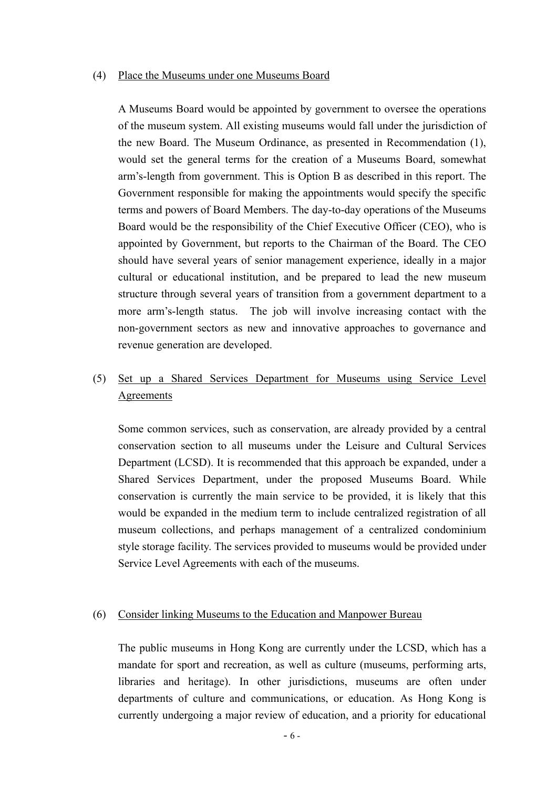#### (4) Place the Museums under one Museums Board

A Museums Board would be appointed by government to oversee the operations of the museum system. All existing museums would fall under the jurisdiction of the new Board. The Museum Ordinance, as presented in Recommendation (1), would set the general terms for the creation of a Museums Board, somewhat arm's-length from government. This is Option B as described in this report. The Government responsible for making the appointments would specify the specific terms and powers of Board Members. The day-to-day operations of the Museums Board would be the responsibility of the Chief Executive Officer (CEO), who is appointed by Government, but reports to the Chairman of the Board. The CEO should have several years of senior management experience, ideally in a major cultural or educational institution, and be prepared to lead the new museum structure through several years of transition from a government department to a more arm's-length status. The job will involve increasing contact with the non-government sectors as new and innovative approaches to governance and revenue generation are developed.

## (5) Set up a Shared Services Department for Museums using Service Level Agreements

Some common services, such as conservation, are already provided by a central conservation section to all museums under the Leisure and Cultural Services Department (LCSD). It is recommended that this approach be expanded, under a Shared Services Department, under the proposed Museums Board. While conservation is currently the main service to be provided, it is likely that this would be expanded in the medium term to include centralized registration of all museum collections, and perhaps management of a centralized condominium style storage facility. The services provided to museums would be provided under Service Level Agreements with each of the museums.

#### (6) Consider linking Museums to the Education and Manpower Bureau

The public museums in Hong Kong are currently under the LCSD, which has a mandate for sport and recreation, as well as culture (museums, performing arts, libraries and heritage). In other jurisdictions, museums are often under departments of culture and communications, or education. As Hong Kong is currently undergoing a major review of education, and a priority for educational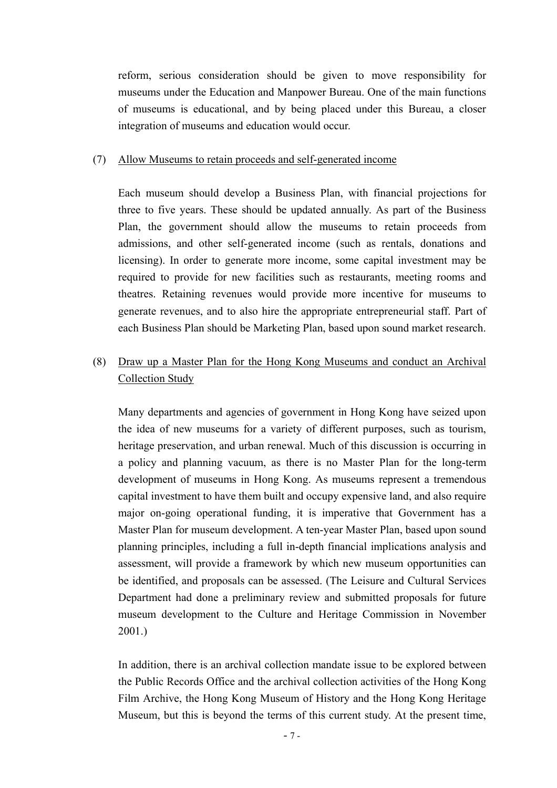reform, serious consideration should be given to move responsibility for museums under the Education and Manpower Bureau. One of the main functions of museums is educational, and by being placed under this Bureau, a closer integration of museums and education would occur.

#### (7) Allow Museums to retain proceeds and self-generated income

Each museum should develop a Business Plan, with financial projections for three to five years. These should be updated annually. As part of the Business Plan, the government should allow the museums to retain proceeds from admissions, and other self-generated income (such as rentals, donations and licensing). In order to generate more income, some capital investment may be required to provide for new facilities such as restaurants, meeting rooms and theatres. Retaining revenues would provide more incentive for museums to generate revenues, and to also hire the appropriate entrepreneurial staff. Part of each Business Plan should be Marketing Plan, based upon sound market research.

## (8) Draw up a Master Plan for the Hong Kong Museums and conduct an Archival Collection Study

Many departments and agencies of government in Hong Kong have seized upon the idea of new museums for a variety of different purposes, such as tourism, heritage preservation, and urban renewal. Much of this discussion is occurring in a policy and planning vacuum, as there is no Master Plan for the long-term development of museums in Hong Kong. As museums represent a tremendous capital investment to have them built and occupy expensive land, and also require major on-going operational funding, it is imperative that Government has a Master Plan for museum development. A ten-year Master Plan, based upon sound planning principles, including a full in-depth financial implications analysis and assessment, will provide a framework by which new museum opportunities can be identified, and proposals can be assessed. (The Leisure and Cultural Services Department had done a preliminary review and submitted proposals for future museum development to the Culture and Heritage Commission in November 2001.)

In addition, there is an archival collection mandate issue to be explored between the Public Records Office and the archival collection activities of the Hong Kong Film Archive, the Hong Kong Museum of History and the Hong Kong Heritage Museum, but this is beyond the terms of this current study. At the present time,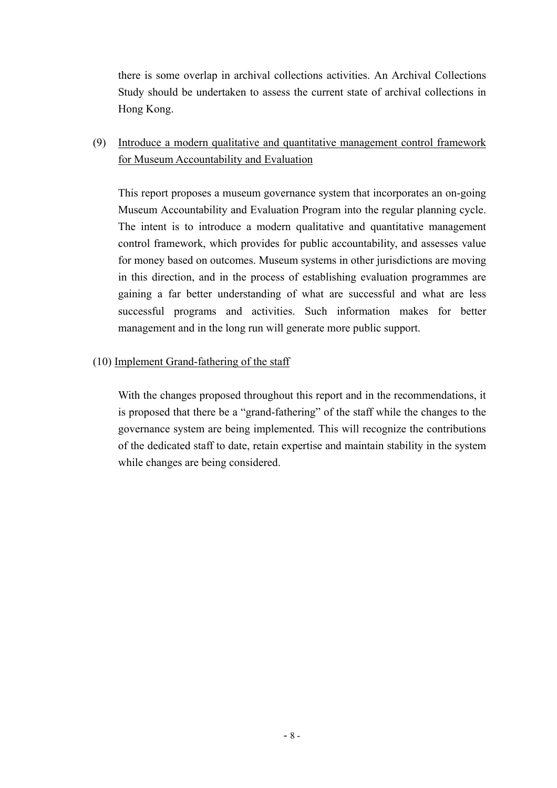there is some overlap in archival collections activities. An Archival Collections Study should be undertaken to assess the current state of archival collections in Hong Kong.

## (9) Introduce a modern qualitative and quantitative management control framework for Museum Accountability and Evaluation

This report proposes a museum governance system that incorporates an on-going Museum Accountability and Evaluation Program into the regular planning cycle. The intent is to introduce a modern qualitative and quantitative management control framework, which provides for public accountability, and assesses value for money based on outcomes. Museum systems in other jurisdictions are moving in this direction, and in the process of establishing evaluation programmes are gaining a far better understanding of what are successful and what are less successful programs and activities. Such information makes for better management and in the long run will generate more public support.

#### (10) Implement Grand-fathering of the staff

With the changes proposed throughout this report and in the recommendations, it is proposed that there be a "grand-fathering" of the staff while the changes to the governance system are being implemented. This will recognize the contributions of the dedicated staff to date, retain expertise and maintain stability in the system while changes are being considered.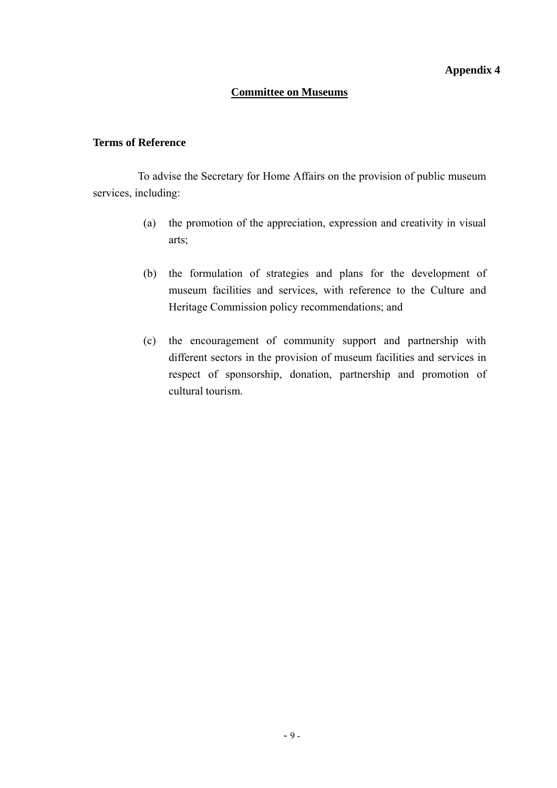#### **Committee on Museums**

#### **Terms of Reference**

 To advise the Secretary for Home Affairs on the provision of public museum services, including:

- (a) the promotion of the appreciation, expression and creativity in visual arts;
- (b) the formulation of strategies and plans for the development of museum facilities and services, with reference to the Culture and Heritage Commission policy recommendations; and
- (c) the encouragement of community support and partnership with different sectors in the provision of museum facilities and services in respect of sponsorship, donation, partnership and promotion of cultural tourism.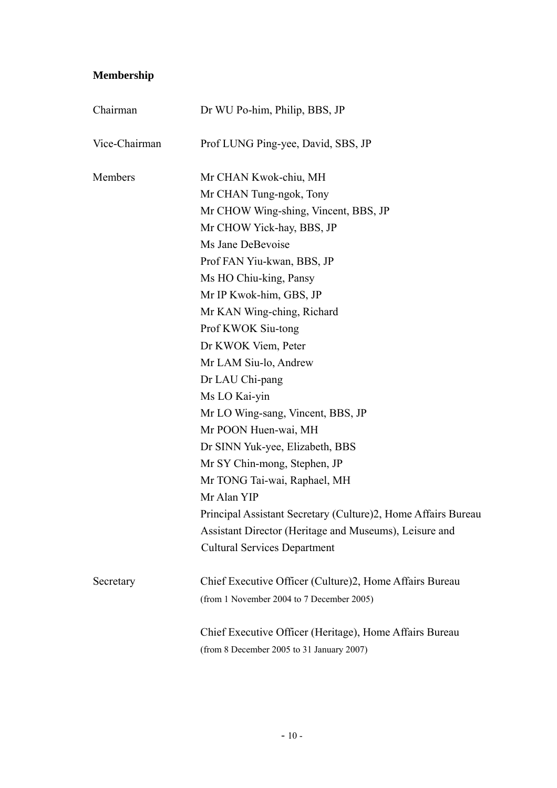# **Membership**

| Chairman      | Dr WU Po-him, Philip, BBS, JP                                 |  |
|---------------|---------------------------------------------------------------|--|
| Vice-Chairman | Prof LUNG Ping-yee, David, SBS, JP                            |  |
| Members       | Mr CHAN Kwok-chiu, MH                                         |  |
|               | Mr CHAN Tung-ngok, Tony                                       |  |
|               | Mr CHOW Wing-shing, Vincent, BBS, JP                          |  |
|               | Mr CHOW Yick-hay, BBS, JP                                     |  |
|               | Ms Jane DeBevoise                                             |  |
|               | Prof FAN Yiu-kwan, BBS, JP                                    |  |
|               | Ms HO Chiu-king, Pansy                                        |  |
|               | Mr IP Kwok-him, GBS, JP                                       |  |
|               | Mr KAN Wing-ching, Richard                                    |  |
|               | Prof KWOK Siu-tong                                            |  |
|               | Dr KWOK Viem, Peter                                           |  |
|               | Mr LAM Siu-lo, Andrew                                         |  |
|               | Dr LAU Chi-pang                                               |  |
|               | Ms LO Kai-yin                                                 |  |
|               | Mr LO Wing-sang, Vincent, BBS, JP                             |  |
|               | Mr POON Huen-wai, MH                                          |  |
|               | Dr SINN Yuk-yee, Elizabeth, BBS                               |  |
|               | Mr SY Chin-mong, Stephen, JP                                  |  |
|               | Mr TONG Tai-wai, Raphael, MH                                  |  |
|               | Mr Alan YIP                                                   |  |
|               | Principal Assistant Secretary (Culture)2, Home Affairs Bureau |  |
|               | Assistant Director (Heritage and Museums), Leisure and        |  |
|               | <b>Cultural Services Department</b>                           |  |
| Secretary     | Chief Executive Officer (Culture)2, Home Affairs Bureau       |  |
|               | (from 1 November 2004 to 7 December 2005)                     |  |
|               | Chief Executive Officer (Heritage), Home Affairs Bureau       |  |
|               | (from 8 December 2005 to 31 January 2007)                     |  |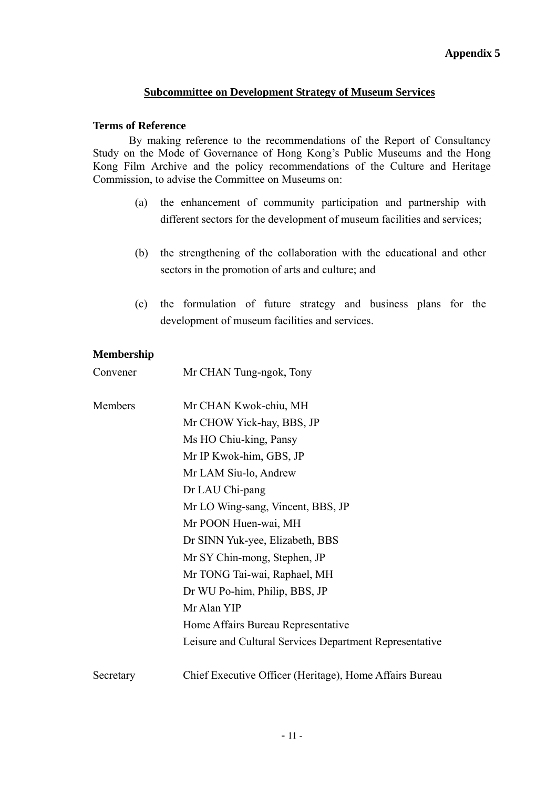## **Subcommittee on Development Strategy of Museum Services**

#### **Terms of Reference**

By making reference to the recommendations of the Report of Consultancy Study on the Mode of Governance of Hong Kong's Public Museums and the Hong Kong Film Archive and the policy recommendations of the Culture and Heritage Commission, to advise the Committee on Museums on:

- (a) the enhancement of community participation and partnership with different sectors for the development of museum facilities and services;
- (b) the strengthening of the collaboration with the educational and other sectors in the promotion of arts and culture; and
- (c) the formulation of future strategy and business plans for the development of museum facilities and services.

#### **Membership**

Convener Mr CHAN Tung-ngok, Tony

| Members   | Mr CHAN Kwok-chiu, MH                                   |
|-----------|---------------------------------------------------------|
|           | Mr CHOW Yick-hay, BBS, JP                               |
|           | Ms HO Chiu-king, Pansy                                  |
|           | Mr IP Kwok-him, GBS, JP                                 |
|           | Mr LAM Siu-lo, Andrew                                   |
|           | Dr LAU Chi-pang                                         |
|           | Mr LO Wing-sang, Vincent, BBS, JP                       |
|           | Mr POON Huen-wai, MH                                    |
|           | Dr SINN Yuk-yee, Elizabeth, BBS                         |
|           | Mr SY Chin-mong, Stephen, JP                            |
|           | Mr TONG Tai-wai, Raphael, MH                            |
|           | Dr WU Po-him, Philip, BBS, JP                           |
|           | Mr Alan YIP                                             |
|           | Home Affairs Bureau Representative                      |
|           | Leisure and Cultural Services Department Representative |
| Secretary | Chief Executive Officer (Heritage), Home Affairs Bureau |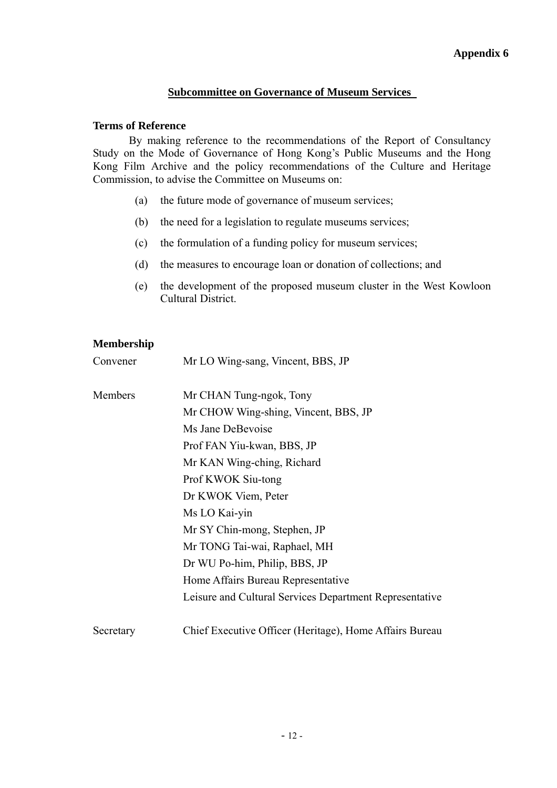## **Subcommittee on Governance of Museum Services**

#### **Terms of Reference**

By making reference to the recommendations of the Report of Consultancy Study on the Mode of Governance of Hong Kong's Public Museums and the Hong Kong Film Archive and the policy recommendations of the Culture and Heritage Commission, to advise the Committee on Museums on:

- (a) the future mode of governance of museum services;
- (b) the need for a legislation to regulate museums services;
- (c) the formulation of a funding policy for museum services;
- (d) the measures to encourage loan or donation of collections; and
- (e) the development of the proposed museum cluster in the West Kowloon Cultural District.

## **Membership**

| Convener  | Mr LO Wing-sang, Vincent, BBS, JP                       |
|-----------|---------------------------------------------------------|
| Members   | Mr CHAN Tung-ngok, Tony                                 |
|           | Mr CHOW Wing-shing, Vincent, BBS, JP                    |
|           | Ms Jane DeBevoise                                       |
|           | Prof FAN Yiu-kwan, BBS, JP                              |
|           | Mr KAN Wing-ching, Richard                              |
|           | Prof KWOK Siu-tong                                      |
|           | Dr KWOK Viem, Peter                                     |
|           | Ms LO Kai-yin                                           |
|           | Mr SY Chin-mong, Stephen, JP                            |
|           | Mr TONG Tai-wai, Raphael, MH                            |
|           | Dr WU Po-him, Philip, BBS, JP                           |
|           | Home Affairs Bureau Representative                      |
|           | Leisure and Cultural Services Department Representative |
| Secretary | Chief Executive Officer (Heritage), Home Affairs Bureau |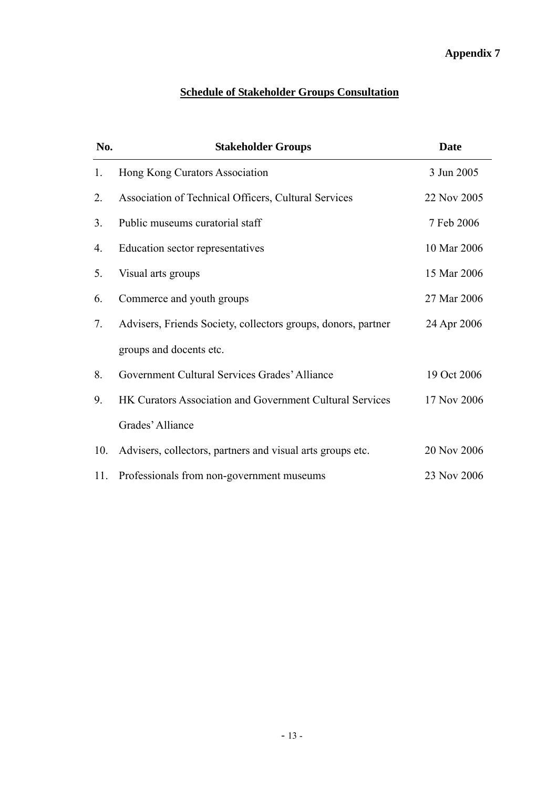# **Schedule of Stakeholder Groups Consultation**

| No.            | <b>Stakeholder Groups</b>                                     | <b>Date</b> |
|----------------|---------------------------------------------------------------|-------------|
| 1.             | Hong Kong Curators Association                                | 3 Jun 2005  |
| 2.             | Association of Technical Officers, Cultural Services          | 22 Nov 2005 |
| 3 <sub>1</sub> | Public museums curatorial staff                               | 7 Feb 2006  |
| 4.             | Education sector representatives                              | 10 Mar 2006 |
| 5.             | Visual arts groups                                            | 15 Mar 2006 |
| 6.             | Commerce and youth groups                                     | 27 Mar 2006 |
| 7.             | Advisers, Friends Society, collectors groups, donors, partner | 24 Apr 2006 |
|                | groups and docents etc.                                       |             |
| 8.             | Government Cultural Services Grades' Alliance                 | 19 Oct 2006 |
| 9.             | HK Curators Association and Government Cultural Services      | 17 Nov 2006 |
|                | Grades' Alliance                                              |             |
| 10.            | Advisers, collectors, partners and visual arts groups etc.    | 20 Nov 2006 |
| 11.            | Professionals from non-government museums                     | 23 Nov 2006 |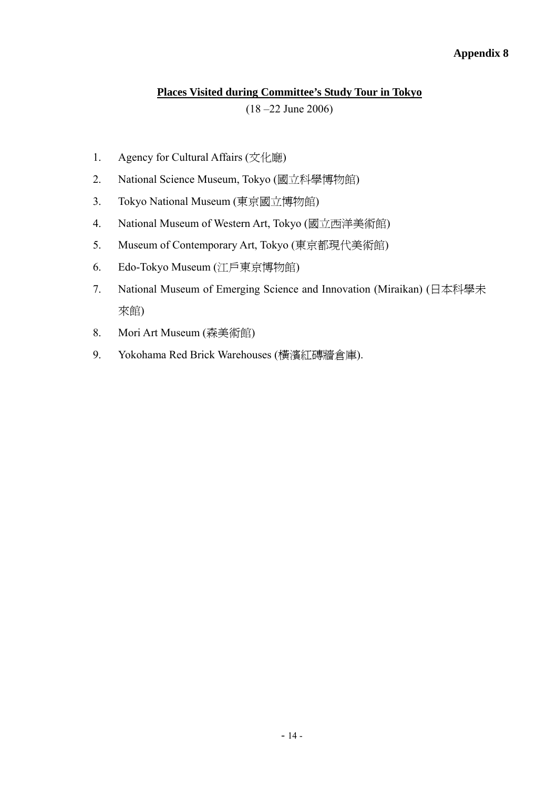## **Places Visited during Committee's Study Tour in Tokyo**

(18 –22 June 2006)

- 1. Agency for Cultural Affairs (文化廰)
- 2. National Science Museum, Tokyo (國立科學博物館)
- 3. Tokyo National Museum (東京國立博物館)
- 4. National Museum of Western Art, Tokyo (國立西洋美術館)
- 5. Museum of Contemporary Art, Tokyo (東京都現代美術館)
- 6. Edo-Tokyo Museum (江戶東京博物館)
- 7. National Museum of Emerging Science and Innovation (Miraikan) (日本科學未 來館)
- 8. Mori Art Museum (森美術館)
- 9. Yokohama Red Brick Warehouses (橫濱紅磚牆倉庫).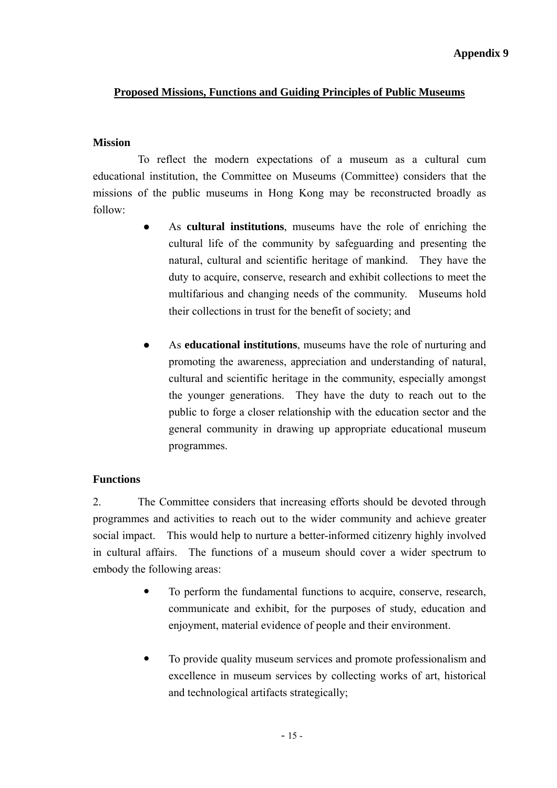# **Proposed Missions, Functions and Guiding Principles of Public Museums**

# **Mission**

 To reflect the modern expectations of a museum as a cultural cum educational institution, the Committee on Museums (Committee) considers that the missions of the public museums in Hong Kong may be reconstructed broadly as follow:

- As cultural institutions, museums have the role of enriching the cultural life of the community by safeguarding and presenting the natural, cultural and scientific heritage of mankind. They have the duty to acquire, conserve, research and exhibit collections to meet the multifarious and changing needs of the community. Museums hold their collections in trust for the benefit of society; and
- As **educational institutions**, museums have the role of nurturing and promoting the awareness, appreciation and understanding of natural, cultural and scientific heritage in the community, especially amongst the younger generations. They have the duty to reach out to the public to forge a closer relationship with the education sector and the general community in drawing up appropriate educational museum programmes.

# **Functions**

2. The Committee considers that increasing efforts should be devoted through programmes and activities to reach out to the wider community and achieve greater social impact. This would help to nurture a better-informed citizenry highly involved in cultural affairs. The functions of a museum should cover a wider spectrum to embody the following areas:

- To perform the fundamental functions to acquire, conserve, research, communicate and exhibit, for the purposes of study, education and enjoyment, material evidence of people and their environment.
- To provide quality museum services and promote professionalism and excellence in museum services by collecting works of art, historical and technological artifacts strategically;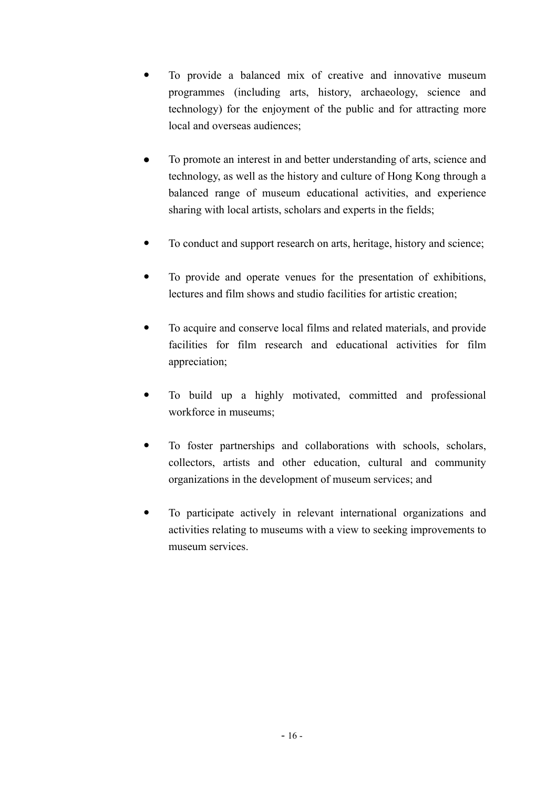- To provide a balanced mix of creative and innovative museum programmes (including arts, history, archaeology, science and technology) for the enjoyment of the public and for attracting more local and overseas audiences;
- To promote an interest in and better understanding of arts, science and technology, as well as the history and culture of Hong Kong through a balanced range of museum educational activities, and experience sharing with local artists, scholars and experts in the fields;
- To conduct and support research on arts, heritage, history and science;
- To provide and operate venues for the presentation of exhibitions, lectures and film shows and studio facilities for artistic creation;
- To acquire and conserve local films and related materials, and provide facilities for film research and educational activities for film appreciation;
- To build up a highly motivated, committed and professional workforce in museums;
- To foster partnerships and collaborations with schools, scholars, collectors, artists and other education, cultural and community organizations in the development of museum services; and
- To participate actively in relevant international organizations and activities relating to museums with a view to seeking improvements to museum services.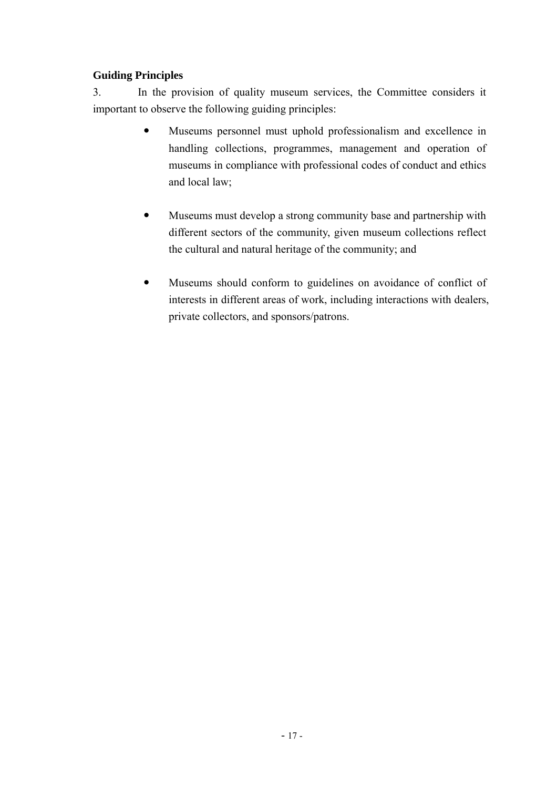# **Guiding Principles**

3. In the provision of quality museum services, the Committee considers it important to observe the following guiding principles:

- Museums personnel must uphold professionalism and excellence in handling collections, programmes, management and operation of museums in compliance with professional codes of conduct and ethics and local law;
- Museums must develop a strong community base and partnership with different sectors of the community, given museum collections reflect the cultural and natural heritage of the community; and
- Museums should conform to guidelines on avoidance of conflict of interests in different areas of work, including interactions with dealers, private collectors, and sponsors/patrons.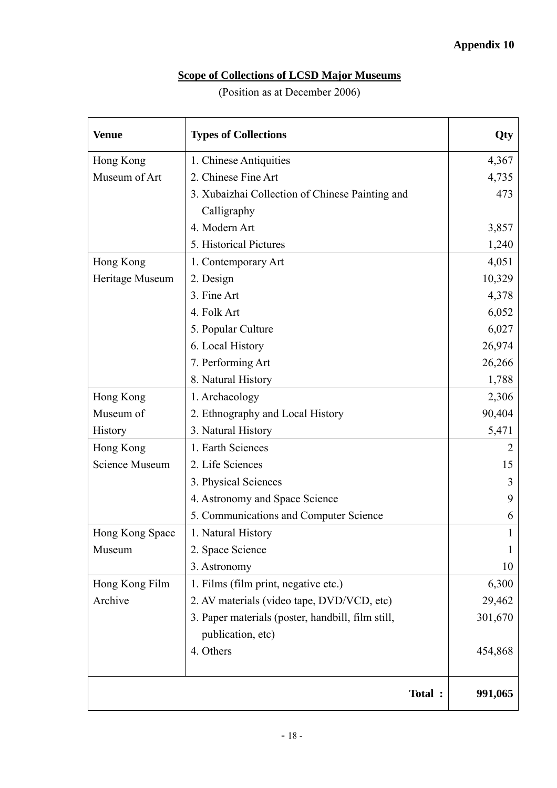# **Scope of Collections of LCSD Major Museums**

# (Position as at December 2006)

| <b>Venue</b>          | <b>Types of Collections</b>                       | Qty     |
|-----------------------|---------------------------------------------------|---------|
| Hong Kong             | 1. Chinese Antiquities                            | 4,367   |
| Museum of Art         | 2. Chinese Fine Art                               | 4,735   |
|                       | 3. Xubaizhai Collection of Chinese Painting and   | 473     |
|                       | Calligraphy                                       |         |
|                       | 4. Modern Art                                     | 3,857   |
|                       | 5. Historical Pictures                            | 1,240   |
| Hong Kong             | 1. Contemporary Art                               | 4,051   |
| Heritage Museum       | 2. Design                                         | 10,329  |
|                       | 3. Fine Art                                       | 4,378   |
|                       | 4. Folk Art                                       | 6,052   |
|                       | 5. Popular Culture                                | 6,027   |
|                       | 6. Local History                                  | 26,974  |
|                       | 7. Performing Art                                 | 26,266  |
|                       | 8. Natural History                                | 1,788   |
| Hong Kong             | 1. Archaeology                                    | 2,306   |
| Museum of             | 2. Ethnography and Local History                  | 90,404  |
| History               | 3. Natural History                                | 5,471   |
| Hong Kong             | 1. Earth Sciences                                 |         |
| <b>Science Museum</b> | 2. Life Sciences                                  | 15      |
|                       | 3. Physical Sciences                              |         |
|                       | 4. Astronomy and Space Science                    | 9       |
|                       | 5. Communications and Computer Science            | 6       |
| Hong Kong Space       | 1. Natural History                                |         |
| Museum                | 2. Space Science                                  |         |
|                       | 3. Astronomy                                      | 10      |
| Hong Kong Film        | 1. Films (film print, negative etc.)              | 6,300   |
| Archive               | 2. AV materials (video tape, DVD/VCD, etc)        | 29,462  |
|                       | 3. Paper materials (poster, handbill, film still, | 301,670 |
|                       | publication, etc)                                 |         |
|                       | 4. Others                                         | 454,868 |
|                       | Total :                                           | 991,065 |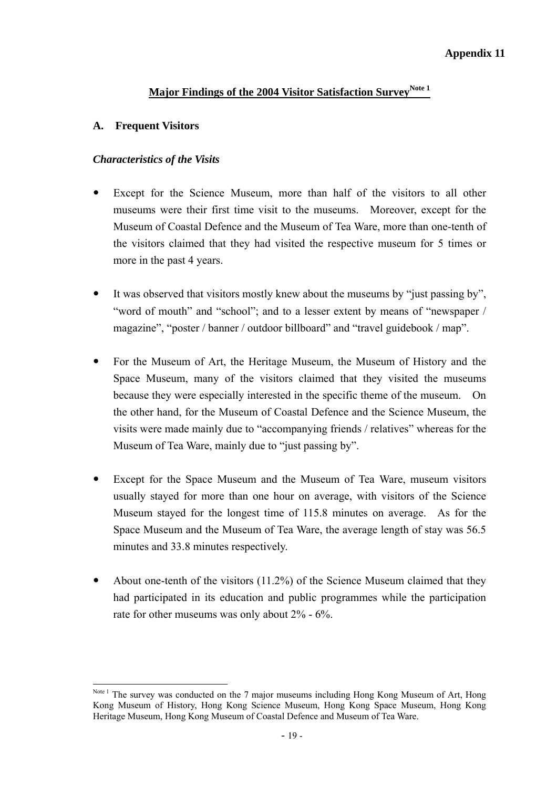# **Major Findings of the 2004 Visitor Satisfaction Survey<sup>Note 1</sup>**

### **A. Frequent Visitors**

 $\overline{a}$ 

# *Characteristics of the Visits*

- Except for the Science Museum, more than half of the visitors to all other museums were their first time visit to the museums. Moreover, except for the Museum of Coastal Defence and the Museum of Tea Ware, more than one-tenth of the visitors claimed that they had visited the respective museum for 5 times or more in the past 4 years.
- It was observed that visitors mostly knew about the museums by "just passing by". "word of mouth" and "school"; and to a lesser extent by means of "newspaper / magazine", "poster / banner / outdoor billboard" and "travel guidebook / map".
- For the Museum of Art, the Heritage Museum, the Museum of History and the Space Museum, many of the visitors claimed that they visited the museums because they were especially interested in the specific theme of the museum. On the other hand, for the Museum of Coastal Defence and the Science Museum, the visits were made mainly due to "accompanying friends / relatives" whereas for the Museum of Tea Ware, mainly due to "just passing by".
- Except for the Space Museum and the Museum of Tea Ware, museum visitors usually stayed for more than one hour on average, with visitors of the Science Museum stayed for the longest time of 115.8 minutes on average. As for the Space Museum and the Museum of Tea Ware, the average length of stay was 56.5 minutes and 33.8 minutes respectively.
- About one-tenth of the visitors  $(11.2\%)$  of the Science Museum claimed that they had participated in its education and public programmes while the participation rate for other museums was only about 2% - 6%.

Note<sup>1</sup> The survey was conducted on the 7 major museums including Hong Kong Museum of Art, Hong Kong Museum of History, Hong Kong Science Museum, Hong Kong Space Museum, Hong Kong Heritage Museum, Hong Kong Museum of Coastal Defence and Museum of Tea Ware.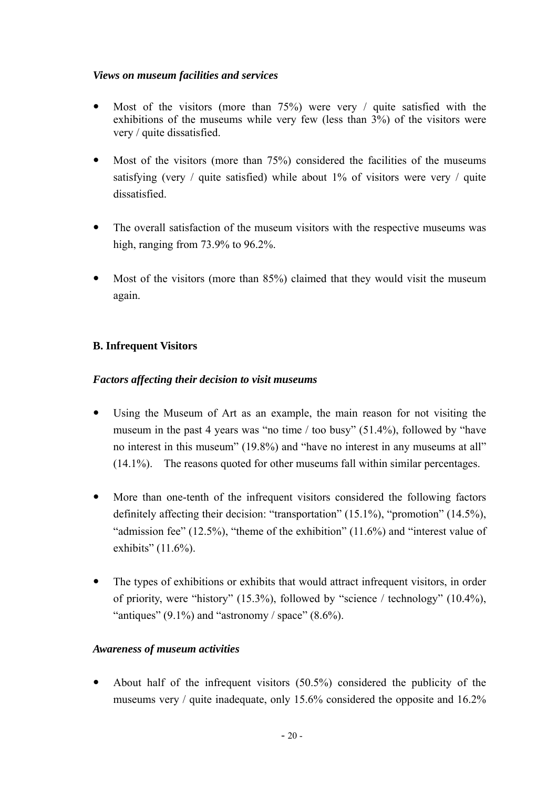# *Views on museum facilities and services*

- Most of the visitors (more than  $75\%$ ) were very / quite satisfied with the exhibitions of the museums while very few (less than 3%) of the visitors were very / quite dissatisfied.
- Most of the visitors (more than  $75\%$ ) considered the facilities of the museums satisfying (very / quite satisfied) while about  $1\%$  of visitors were very / quite dissatisfied.
- The overall satisfaction of the museum visitors with the respective museums was high, ranging from 73.9% to 96.2%.
- Most of the visitors (more than 85%) claimed that they would visit the museum again.

# **B. Infrequent Visitors**

# *Factors affecting their decision to visit museums*

- Using the Museum of Art as an example, the main reason for not visiting the museum in the past 4 years was "no time / too busy" (51.4%), followed by "have no interest in this museum" (19.8%) and "have no interest in any museums at all" (14.1%). The reasons quoted for other museums fall within similar percentages.
- More than one-tenth of the infrequent visitors considered the following factors definitely affecting their decision: "transportation" (15.1%), "promotion" (14.5%), "admission fee"  $(12.5\%)$ , "theme of the exhibition"  $(11.6\%)$  and "interest value of exhibits" (11.6%).
- The types of exhibitions or exhibits that would attract infrequent visitors, in order of priority, were "history" (15.3%), followed by "science / technology" (10.4%), "antiques"  $(9.1\%)$  and "astronomy / space"  $(8.6\%).$

#### *Awareness of museum activities*

 $\bullet$  About half of the infrequent visitors (50.5%) considered the publicity of the museums very / quite inadequate, only 15.6% considered the opposite and 16.2%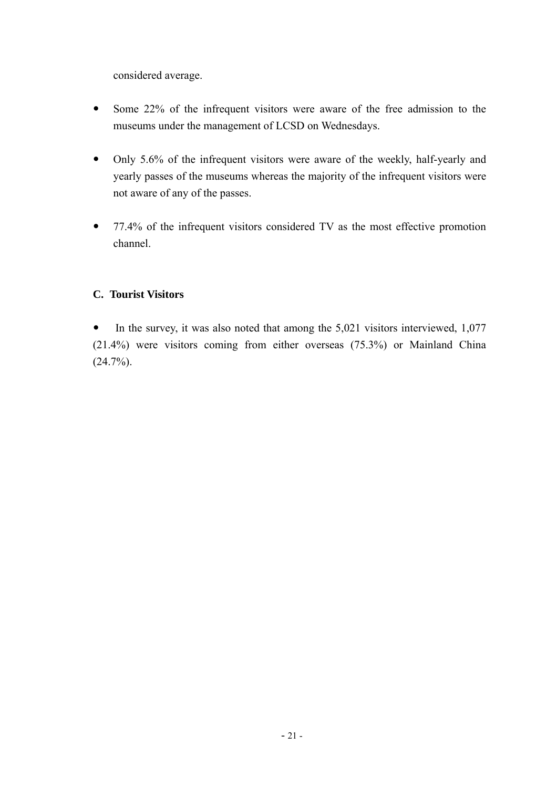considered average.

- Some 22% of the infrequent visitors were aware of the free admission to the museums under the management of LCSD on Wednesdays.
- Only 5.6% of the infrequent visitors were aware of the weekly, half-yearly and yearly passes of the museums whereas the majority of the infrequent visitors were not aware of any of the passes.
- 77.4% of the infrequent visitors considered TV as the most effective promotion channel.

# **C. Tourist Visitors**

• In the survey, it was also noted that among the  $5,021$  visitors interviewed, 1,077 (21.4%) were visitors coming from either overseas (75.3%) or Mainland China  $(24.7\%)$ .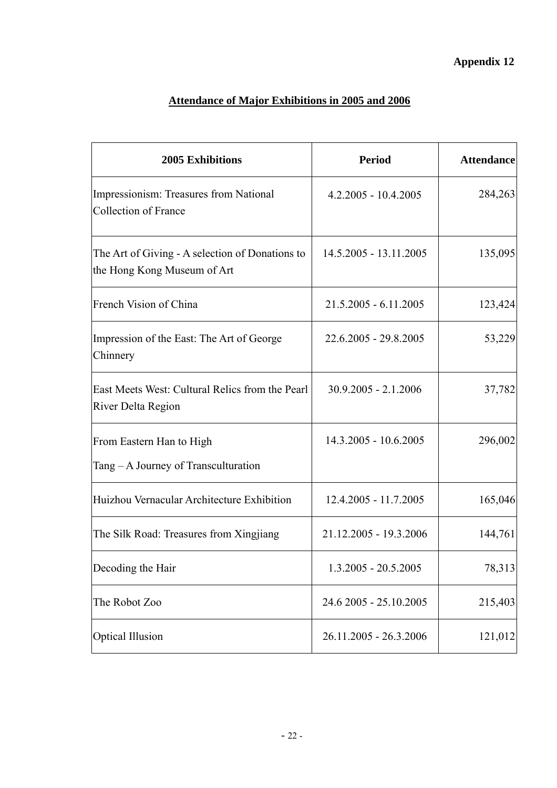# **Attendance of Major Exhibitions in 2005 and 2006**

| 2005 Exhibitions                                                               | <b>Period</b>           | <b>Attendance</b> |
|--------------------------------------------------------------------------------|-------------------------|-------------------|
| Impressionism: Treasures from National<br><b>Collection of France</b>          | $4.2.2005 - 10.4.2005$  | 284,263           |
| The Art of Giving - A selection of Donations to<br>the Hong Kong Museum of Art | 14.5.2005 - 13.11.2005  | 135,095           |
| French Vision of China                                                         | $21.5.2005 - 6.11.2005$ | 123,424           |
| Impression of the East: The Art of George<br>Chinnery                          | 22.6.2005 - 29.8.2005   | 53,229            |
| East Meets West: Cultural Relics from the Pearl<br><b>River Delta Region</b>   | $30.9.2005 - 2.1.2006$  | 37,782            |
| From Eastern Han to High<br>Tang – A Journey of Transculturation               | 14.3.2005 - 10.6.2005   | 296,002           |
| Huizhou Vernacular Architecture Exhibition                                     | 12.4.2005 - 11.7.2005   | 165,046           |
| The Silk Road: Treasures from Xingjiang                                        | 21.12.2005 - 19.3.2006  | 144,761           |
| Decoding the Hair                                                              | $1.3.2005 - 20.5.2005$  | 78,313            |
| The Robot Zoo                                                                  | 24.6 2005 - 25.10.2005  | 215,403           |
| <b>Optical Illusion</b>                                                        | 26.11.2005 - 26.3.2006  | 121,012           |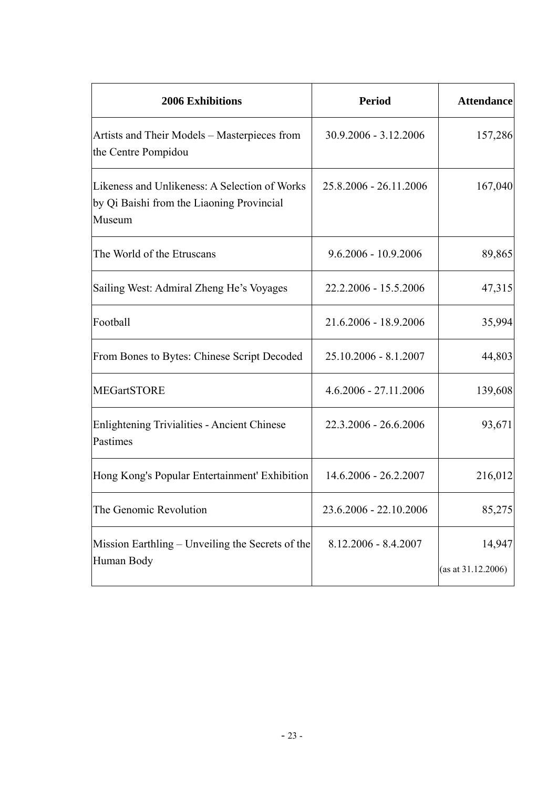| <b>2006 Exhibitions</b>                                                                              | <b>Period</b>           | <b>Attendance</b>               |
|------------------------------------------------------------------------------------------------------|-------------------------|---------------------------------|
| Artists and Their Models - Masterpieces from<br>the Centre Pompidou                                  | 30.9.2006 - 3.12.2006   | 157,286                         |
| Likeness and Unlikeness: A Selection of Works<br>by Qi Baishi from the Liaoning Provincial<br>Museum | 25.8.2006 - 26.11.2006  | 167,040                         |
| The World of the Etruscans                                                                           | 9.6.2006 - 10.9.2006    | 89,865                          |
| Sailing West: Admiral Zheng He's Voyages                                                             | 22.2.2006 - 15.5.2006   | 47,315                          |
| Football                                                                                             | 21.6.2006 - 18.9.2006   | 35,994                          |
| From Bones to Bytes: Chinese Script Decoded                                                          | 25.10.2006 - 8.1.2007   | 44,803                          |
| <b>MEGartSTORE</b>                                                                                   | $4.6.2006 - 27.11.2006$ | 139,608                         |
| <b>Enlightening Trivialities - Ancient Chinese</b><br>Pastimes                                       | 22.3.2006 - 26.6.2006   | 93,671                          |
| Hong Kong's Popular Entertainment' Exhibition                                                        | 14.6.2006 - 26.2.2007   | 216,012                         |
| The Genomic Revolution                                                                               | 23.6.2006 - 22.10.2006  | 85,275                          |
| Mission Earthling – Unveiling the Secrets of the<br>Human Body                                       | $8.12.2006 - 8.4.2007$  | 14,947<br>(as at $31.12.2006$ ) |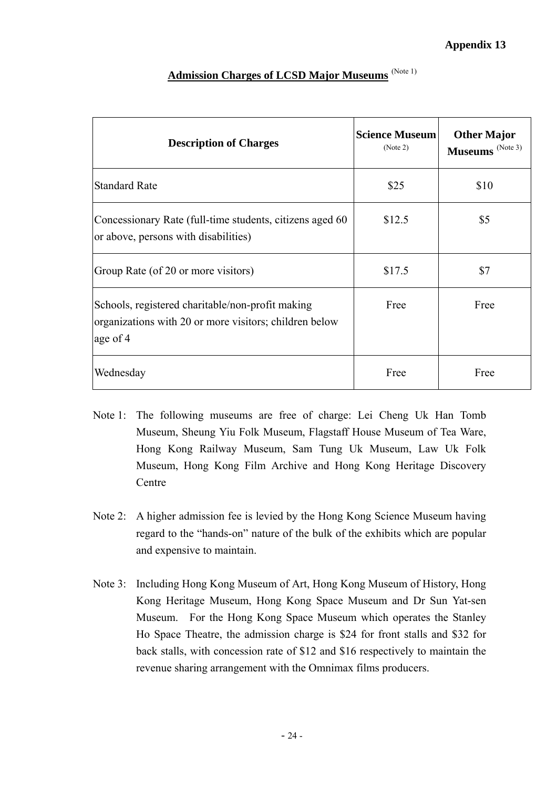| <b>Description of Charges</b>                                                                                          | <b>Science Museum</b><br>(Note 2) | <b>Other Major</b><br>Museums <sup>(Note 3)</sup> |
|------------------------------------------------------------------------------------------------------------------------|-----------------------------------|---------------------------------------------------|
| <b>Standard Rate</b>                                                                                                   | \$25                              | \$10                                              |
| Concessionary Rate (full-time students, citizens aged 60<br>or above, persons with disabilities)                       | \$12.5                            | \$5                                               |
| Group Rate (of 20 or more visitors)                                                                                    | \$17.5                            | \$7                                               |
| Schools, registered charitable/non-profit making<br>organizations with 20 or more visitors; children below<br>age of 4 | Free                              | Free                                              |
| Wednesday                                                                                                              | Free                              | Free                                              |

# **Admission Charges of LCSD Major Museums** (Note 1)

- Note 1: The following museums are free of charge: Lei Cheng Uk Han Tomb Museum, Sheung Yiu Folk Museum, Flagstaff House Museum of Tea Ware, Hong Kong Railway Museum, Sam Tung Uk Museum, Law Uk Folk Museum, Hong Kong Film Archive and Hong Kong Heritage Discovery Centre
- Note 2: A higher admission fee is levied by the Hong Kong Science Museum having regard to the "hands-on" nature of the bulk of the exhibits which are popular and expensive to maintain.
- Note 3: Including Hong Kong Museum of Art, Hong Kong Museum of History, Hong Kong Heritage Museum, Hong Kong Space Museum and Dr Sun Yat-sen Museum. For the Hong Kong Space Museum which operates the Stanley Ho Space Theatre, the admission charge is \$24 for front stalls and \$32 for back stalls, with concession rate of \$12 and \$16 respectively to maintain the revenue sharing arrangement with the Omnimax films producers.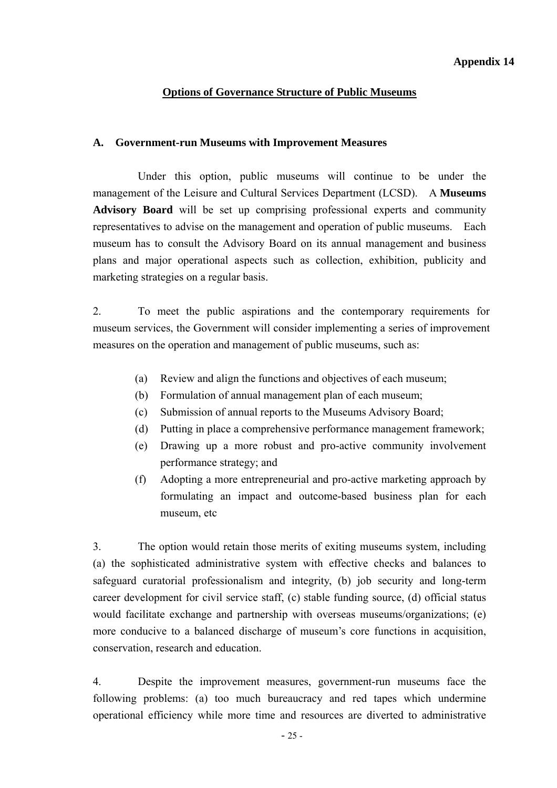# **Options of Governance Structure of Public Museums**

#### **A. Government-run Museums with Improvement Measures**

 Under this option, public museums will continue to be under the management of the Leisure and Cultural Services Department (LCSD). A **Museums Advisory Board** will be set up comprising professional experts and community representatives to advise on the management and operation of public museums. Each museum has to consult the Advisory Board on its annual management and business plans and major operational aspects such as collection, exhibition, publicity and marketing strategies on a regular basis.

2. To meet the public aspirations and the contemporary requirements for museum services, the Government will consider implementing a series of improvement measures on the operation and management of public museums, such as:

- (a) Review and align the functions and objectives of each museum;
- (b) Formulation of annual management plan of each museum;
- (c) Submission of annual reports to the Museums Advisory Board;
- (d) Putting in place a comprehensive performance management framework;
- (e) Drawing up a more robust and pro-active community involvement performance strategy; and
- (f) Adopting a more entrepreneurial and pro-active marketing approach by formulating an impact and outcome-based business plan for each museum, etc

3. The option would retain those merits of exiting museums system, including (a) the sophisticated administrative system with effective checks and balances to safeguard curatorial professionalism and integrity, (b) job security and long-term career development for civil service staff, (c) stable funding source, (d) official status would facilitate exchange and partnership with overseas museums/organizations; (e) more conducive to a balanced discharge of museum's core functions in acquisition, conservation, research and education.

4. Despite the improvement measures, government-run museums face the following problems: (a) too much bureaucracy and red tapes which undermine operational efficiency while more time and resources are diverted to administrative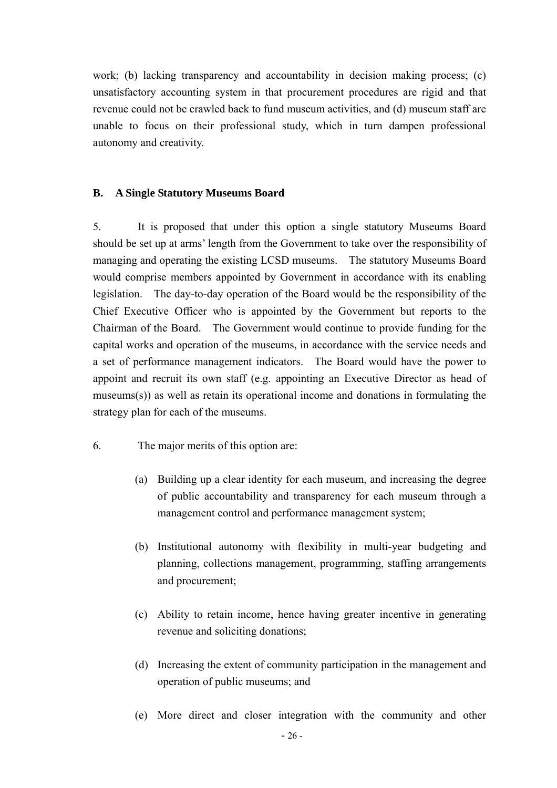work; (b) lacking transparency and accountability in decision making process; (c) unsatisfactory accounting system in that procurement procedures are rigid and that revenue could not be crawled back to fund museum activities, and (d) museum staff are unable to focus on their professional study, which in turn dampen professional autonomy and creativity.

#### **B. A Single Statutory Museums Board**

5. It is proposed that under this option a single statutory Museums Board should be set up at arms' length from the Government to take over the responsibility of managing and operating the existing LCSD museums. The statutory Museums Board would comprise members appointed by Government in accordance with its enabling legislation. The day-to-day operation of the Board would be the responsibility of the Chief Executive Officer who is appointed by the Government but reports to the Chairman of the Board. The Government would continue to provide funding for the capital works and operation of the museums, in accordance with the service needs and a set of performance management indicators. The Board would have the power to appoint and recruit its own staff (e.g. appointing an Executive Director as head of museums(s)) as well as retain its operational income and donations in formulating the strategy plan for each of the museums.

- 6. The major merits of this option are:
	- (a) Building up a clear identity for each museum, and increasing the degree of public accountability and transparency for each museum through a management control and performance management system;
	- (b) Institutional autonomy with flexibility in multi-year budgeting and planning, collections management, programming, staffing arrangements and procurement;
	- (c) Ability to retain income, hence having greater incentive in generating revenue and soliciting donations;
	- (d) Increasing the extent of community participation in the management and operation of public museums; and
	- (e) More direct and closer integration with the community and other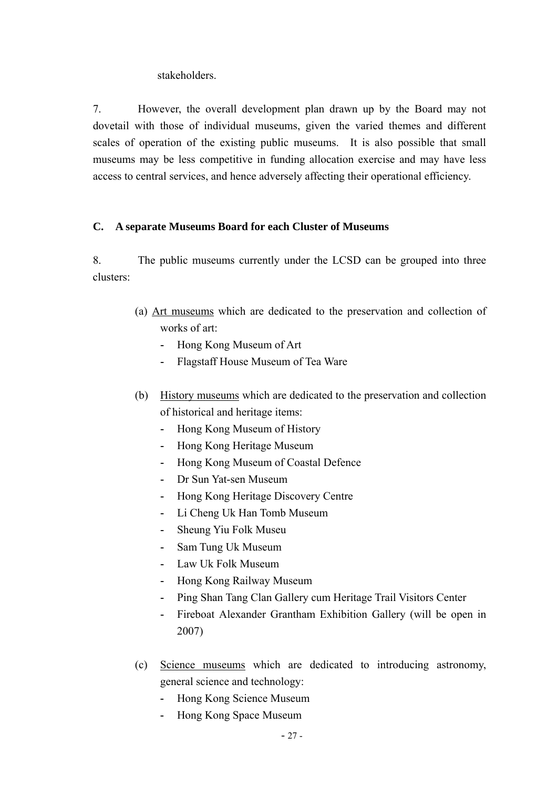stakeholders.

7. However, the overall development plan drawn up by the Board may not dovetail with those of individual museums, given the varied themes and different scales of operation of the existing public museums. It is also possible that small museums may be less competitive in funding allocation exercise and may have less access to central services, and hence adversely affecting their operational efficiency.

# **C. A separate Museums Board for each Cluster of Museums**

 8. The public museums currently under the LCSD can be grouped into three clusters:

- (a) Art museums which are dedicated to the preservation and collection of works of art:
	- **-** Hong Kong Museum of Art
	- **-** Flagstaff House Museum of Tea Ware
- (b) History museums which are dedicated to the preservation and collection of historical and heritage items:
	- **-** Hong Kong Museum of History
	- **-** Hong Kong Heritage Museum
	- **-** Hong Kong Museum of Coastal Defence
	- **-** Dr Sun Yat-sen Museum
	- **-** Hong Kong Heritage Discovery Centre
	- **-** Li Cheng Uk Han Tomb Museum
	- **-** Sheung Yiu Folk Museu
	- **-** Sam Tung Uk Museum
	- **-** Law Uk Folk Museum
	- **-** Hong Kong Railway Museum
	- **-** Ping Shan Tang Clan Gallery cum Heritage Trail Visitors Center
	- **-** Fireboat Alexander Grantham Exhibition Gallery (will be open in 2007)
- (c) Science museums which are dedicated to introducing astronomy, general science and technology:
	- **-** Hong Kong Science Museum
	- **-** Hong Kong Space Museum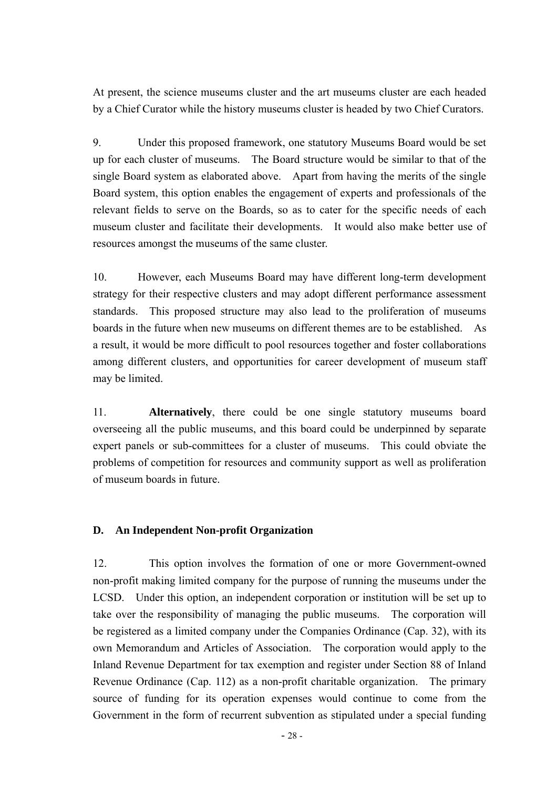At present, the science museums cluster and the art museums cluster are each headed by a Chief Curator while the history museums cluster is headed by two Chief Curators.

9. Under this proposed framework, one statutory Museums Board would be set up for each cluster of museums. The Board structure would be similar to that of the single Board system as elaborated above. Apart from having the merits of the single Board system, this option enables the engagement of experts and professionals of the relevant fields to serve on the Boards, so as to cater for the specific needs of each museum cluster and facilitate their developments. It would also make better use of resources amongst the museums of the same cluster.

10. However, each Museums Board may have different long-term development strategy for their respective clusters and may adopt different performance assessment standards. This proposed structure may also lead to the proliferation of museums boards in the future when new museums on different themes are to be established. As a result, it would be more difficult to pool resources together and foster collaborations among different clusters, and opportunities for career development of museum staff may be limited.

11. **Alternatively**, there could be one single statutory museums board overseeing all the public museums, and this board could be underpinned by separate expert panels or sub-committees for a cluster of museums. This could obviate the problems of competition for resources and community support as well as proliferation of museum boards in future.

#### **D. An Independent Non-profit Organization**

12. This option involves the formation of one or more Government-owned non-profit making limited company for the purpose of running the museums under the LCSD. Under this option, an independent corporation or institution will be set up to take over the responsibility of managing the public museums. The corporation will be registered as a limited company under the Companies Ordinance (Cap. 32), with its own Memorandum and Articles of Association. The corporation would apply to the Inland Revenue Department for tax exemption and register under Section 88 of Inland Revenue Ordinance (Cap. 112) as a non-profit charitable organization. The primary source of funding for its operation expenses would continue to come from the Government in the form of recurrent subvention as stipulated under a special funding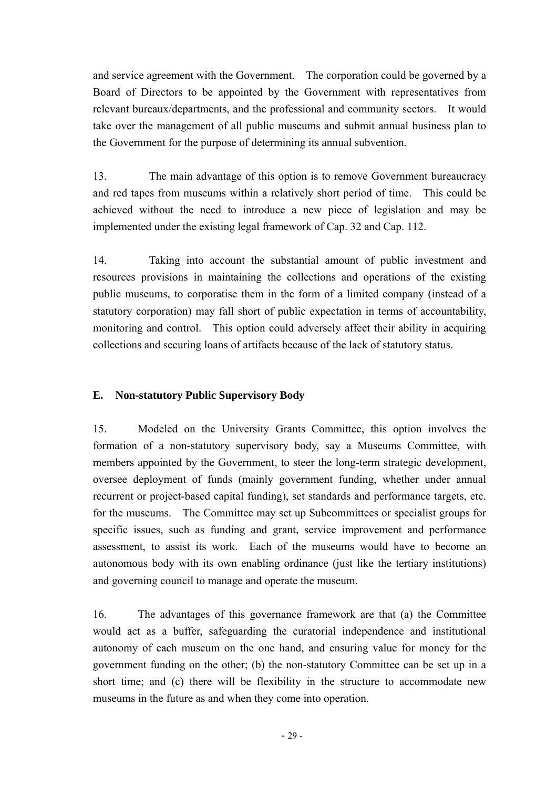and service agreement with the Government. The corporation could be governed by a Board of Directors to be appointed by the Government with representatives from relevant bureaux/departments, and the professional and community sectors. It would take over the management of all public museums and submit annual business plan to the Government for the purpose of determining its annual subvention.

13. The main advantage of this option is to remove Government bureaucracy and red tapes from museums within a relatively short period of time. This could be achieved without the need to introduce a new piece of legislation and may be implemented under the existing legal framework of Cap. 32 and Cap. 112.

14. Taking into account the substantial amount of public investment and resources provisions in maintaining the collections and operations of the existing public museums, to corporatise them in the form of a limited company (instead of a statutory corporation) may fall short of public expectation in terms of accountability, monitoring and control. This option could adversely affect their ability in acquiring collections and securing loans of artifacts because of the lack of statutory status.

#### **E. Non-statutory Public Supervisory Body**

15. Modeled on the University Grants Committee, this option involves the formation of a non-statutory supervisory body, say a Museums Committee, with members appointed by the Government, to steer the long-term strategic development, oversee deployment of funds (mainly government funding, whether under annual recurrent or project-based capital funding), set standards and performance targets, etc. for the museums. The Committee may set up Subcommittees or specialist groups for specific issues, such as funding and grant, service improvement and performance assessment, to assist its work. Each of the museums would have to become an autonomous body with its own enabling ordinance (just like the tertiary institutions) and governing council to manage and operate the museum.

16. The advantages of this governance framework are that (a) the Committee would act as a buffer, safeguarding the curatorial independence and institutional autonomy of each museum on the one hand, and ensuring value for money for the government funding on the other; (b) the non-statutory Committee can be set up in a short time; and (c) there will be flexibility in the structure to accommodate new museums in the future as and when they come into operation.